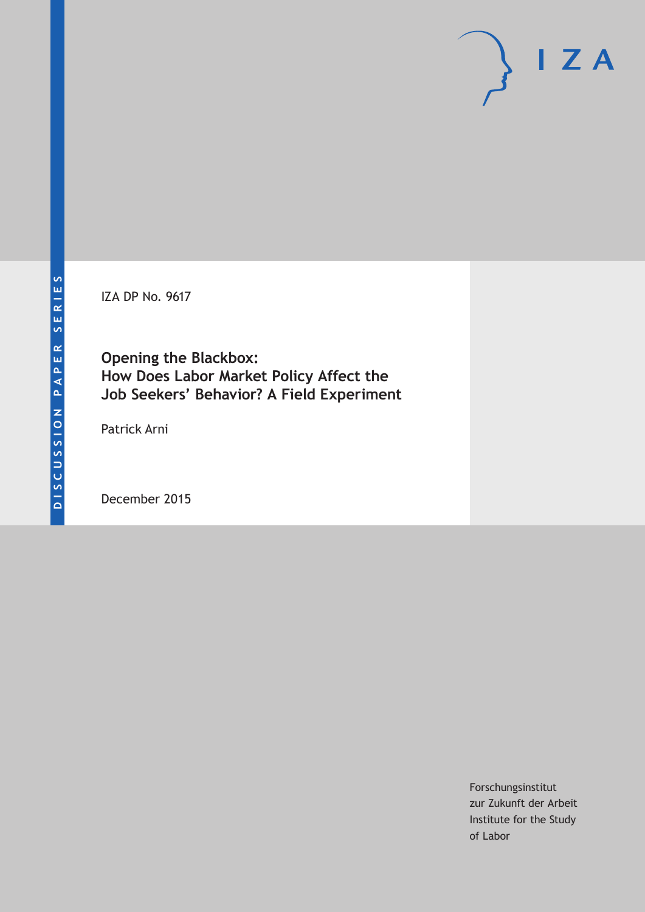IZA DP No. 9617

**Opening the Blackbox: How Does Labor Market Policy Affect the Job Seekers' Behavior? A Field Experiment**

Patrick Arni

December 2015

Forschungsinstitut zur Zukunft der Arbeit Institute for the Study of Labor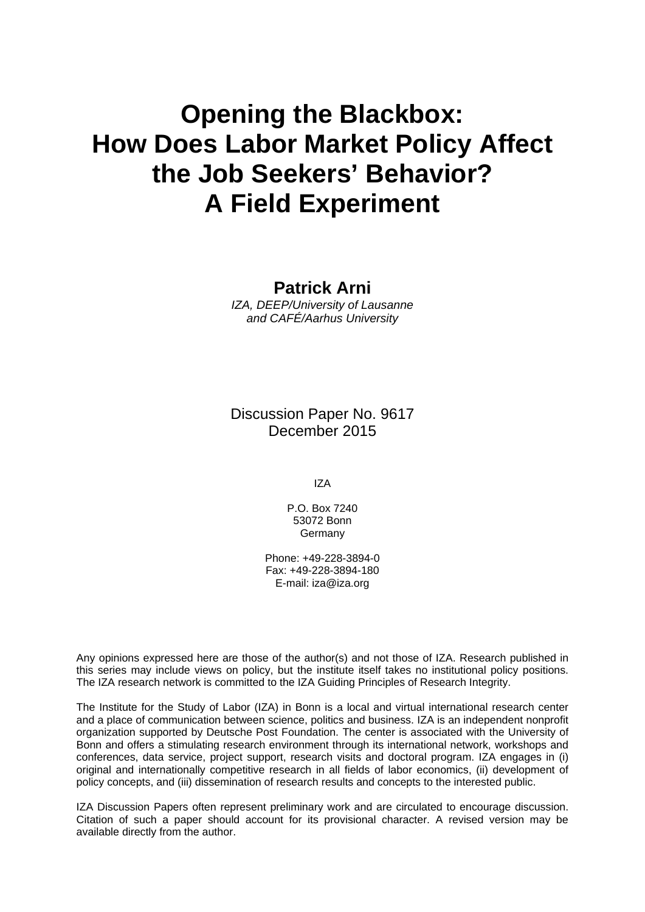# **Opening the Blackbox: How Does Labor Market Policy Affect the Job Seekers' Behavior? A Field Experiment**

**Patrick Arni** 

*IZA, DEEP/University of Lausanne and CAFÉ/Aarhus University* 

Discussion Paper No. 9617 December 2015

IZA

P.O. Box 7240 53072 Bonn Germany

Phone: +49-228-3894-0 Fax: +49-228-3894-180 E-mail: iza@iza.org

Any opinions expressed here are those of the author(s) and not those of IZA. Research published in this series may include views on policy, but the institute itself takes no institutional policy positions. The IZA research network is committed to the IZA Guiding Principles of Research Integrity.

The Institute for the Study of Labor (IZA) in Bonn is a local and virtual international research center and a place of communication between science, politics and business. IZA is an independent nonprofit organization supported by Deutsche Post Foundation. The center is associated with the University of Bonn and offers a stimulating research environment through its international network, workshops and conferences, data service, project support, research visits and doctoral program. IZA engages in (i) original and internationally competitive research in all fields of labor economics, (ii) development of policy concepts, and (iii) dissemination of research results and concepts to the interested public.

IZA Discussion Papers often represent preliminary work and are circulated to encourage discussion. Citation of such a paper should account for its provisional character. A revised version may be available directly from the author.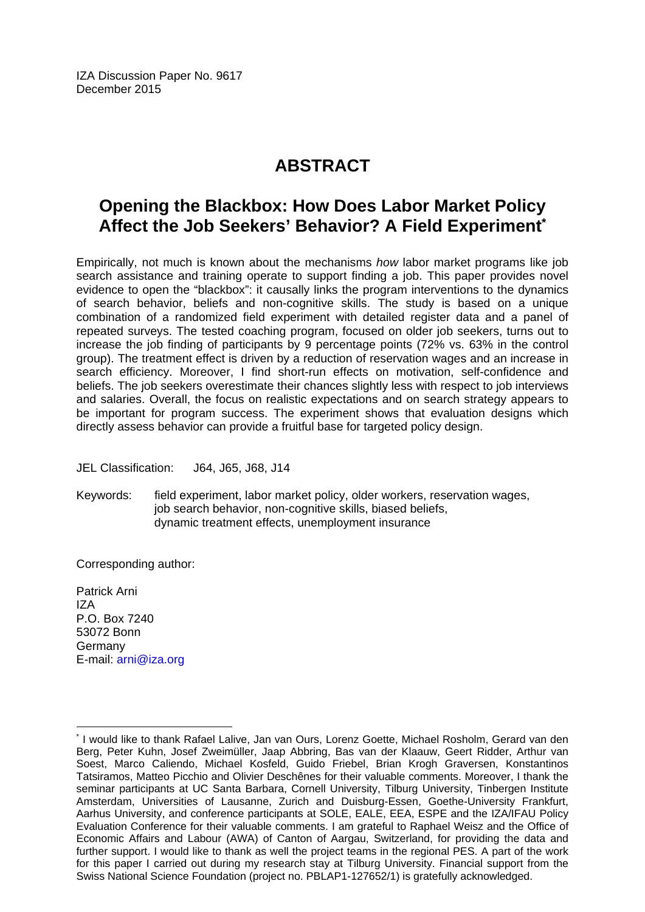IZA Discussion Paper No. 9617 December 2015

## **ABSTRACT**

## **Opening the Blackbox: How Does Labor Market Policy Affect the Job Seekers' Behavior? A Field Experiment\***

Empirically, not much is known about the mechanisms *how* labor market programs like job search assistance and training operate to support finding a job. This paper provides novel evidence to open the "blackbox": it causally links the program interventions to the dynamics of search behavior, beliefs and non-cognitive skills. The study is based on a unique combination of a randomized field experiment with detailed register data and a panel of repeated surveys. The tested coaching program, focused on older job seekers, turns out to increase the job finding of participants by 9 percentage points (72% vs. 63% in the control group). The treatment effect is driven by a reduction of reservation wages and an increase in search efficiency. Moreover, I find short-run effects on motivation, self-confidence and beliefs. The job seekers overestimate their chances slightly less with respect to job interviews and salaries. Overall, the focus on realistic expectations and on search strategy appears to be important for program success. The experiment shows that evaluation designs which directly assess behavior can provide a fruitful base for targeted policy design.

JEL Classification: J64, J65, J68, J14

Keywords: field experiment, labor market policy, older workers, reservation wages, job search behavior, non-cognitive skills, biased beliefs, dynamic treatment effects, unemployment insurance

Corresponding author:

Patrick Arni IZA P.O. Box 7240 53072 Bonn Germany E-mail: arni@iza.org

 $\overline{a}$ 

<sup>\*</sup> I would like to thank Rafael Lalive, Jan van Ours, Lorenz Goette, Michael Rosholm, Gerard van den Berg, Peter Kuhn, Josef Zweimüller, Jaap Abbring, Bas van der Klaauw, Geert Ridder, Arthur van Soest, Marco Caliendo, Michael Kosfeld, Guido Friebel, Brian Krogh Graversen, Konstantinos Tatsiramos, Matteo Picchio and Olivier Deschênes for their valuable comments. Moreover, I thank the seminar participants at UC Santa Barbara, Cornell University, Tilburg University, Tinbergen Institute Amsterdam, Universities of Lausanne, Zurich and Duisburg-Essen, Goethe-University Frankfurt, Aarhus University, and conference participants at SOLE, EALE, EEA, ESPE and the IZA/IFAU Policy Evaluation Conference for their valuable comments. I am grateful to Raphael Weisz and the Office of Economic Affairs and Labour (AWA) of Canton of Aargau, Switzerland, for providing the data and further support. I would like to thank as well the project teams in the regional PES. A part of the work for this paper I carried out during my research stay at Tilburg University. Financial support from the Swiss National Science Foundation (project no. PBLAP1-127652/1) is gratefully acknowledged.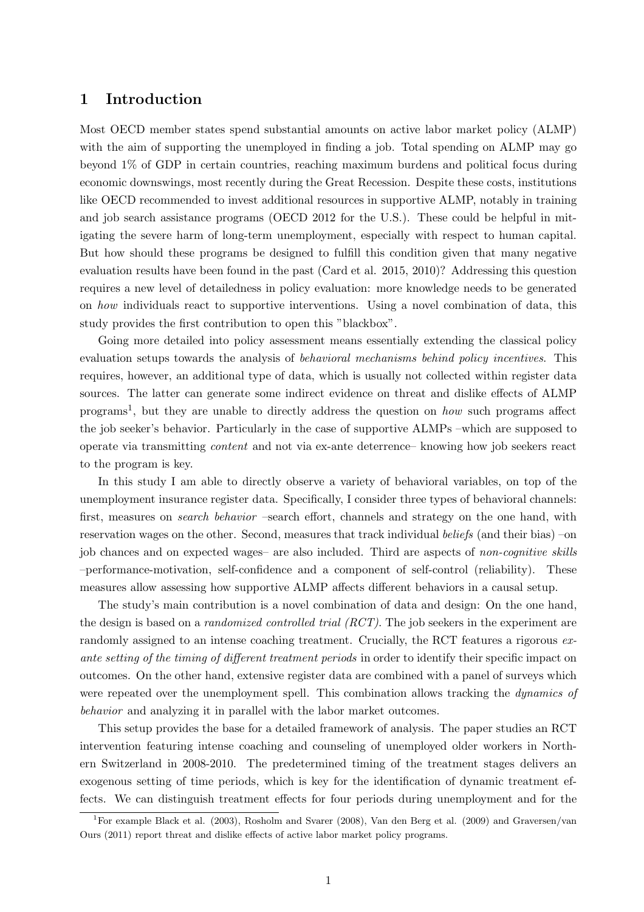## 1 Introduction

Most OECD member states spend substantial amounts on active labor market policy (ALMP) with the aim of supporting the unemployed in finding a job. Total spending on ALMP may go beyond 1% of GDP in certain countries, reaching maximum burdens and political focus during economic downswings, most recently during the Great Recession. Despite these costs, institutions like OECD recommended to invest additional resources in supportive ALMP, notably in training and job search assistance programs (OECD 2012 for the U.S.). These could be helpful in mitigating the severe harm of long-term unemployment, especially with respect to human capital. But how should these programs be designed to fulfill this condition given that many negative evaluation results have been found in the past (Card et al. 2015, 2010)? Addressing this question requires a new level of detailedness in policy evaluation: more knowledge needs to be generated on how individuals react to supportive interventions. Using a novel combination of data, this study provides the first contribution to open this "blackbox".

Going more detailed into policy assessment means essentially extending the classical policy evaluation setups towards the analysis of *behavioral mechanisms behind policy incentives*. This requires, however, an additional type of data, which is usually not collected within register data sources. The latter can generate some indirect evidence on threat and dislike effects of ALMP programs<sup>1</sup>, but they are unable to directly address the question on *how* such programs affect the job seeker's behavior. Particularly in the case of supportive ALMPs –which are supposed to operate via transmitting content and not via ex-ante deterrence– knowing how job seekers react to the program is key.

In this study I am able to directly observe a variety of behavioral variables, on top of the unemployment insurance register data. Specifically, I consider three types of behavioral channels: first, measures on *search behavior* –search effort, channels and strategy on the one hand, with reservation wages on the other. Second, measures that track individual beliefs (and their bias) –on job chances and on expected wages– are also included. Third are aspects of non-cognitive skills –performance-motivation, self-confidence and a component of self-control (reliability). These measures allow assessing how supportive ALMP affects different behaviors in a causal setup.

The study's main contribution is a novel combination of data and design: On the one hand, the design is based on a *randomized controlled trial (RCT)*. The job seekers in the experiment are randomly assigned to an intense coaching treatment. Crucially, the RCT features a rigorous exante setting of the timing of different treatment periods in order to identify their specific impact on outcomes. On the other hand, extensive register data are combined with a panel of surveys which were repeated over the unemployment spell. This combination allows tracking the dynamics of behavior and analyzing it in parallel with the labor market outcomes.

This setup provides the base for a detailed framework of analysis. The paper studies an RCT intervention featuring intense coaching and counseling of unemployed older workers in Northern Switzerland in 2008-2010. The predetermined timing of the treatment stages delivers an exogenous setting of time periods, which is key for the identification of dynamic treatment effects. We can distinguish treatment effects for four periods during unemployment and for the

<sup>&</sup>lt;sup>1</sup>For example Black et al. (2003), Rosholm and Svarer (2008), Van den Berg et al. (2009) and Graversen/van Ours (2011) report threat and dislike effects of active labor market policy programs.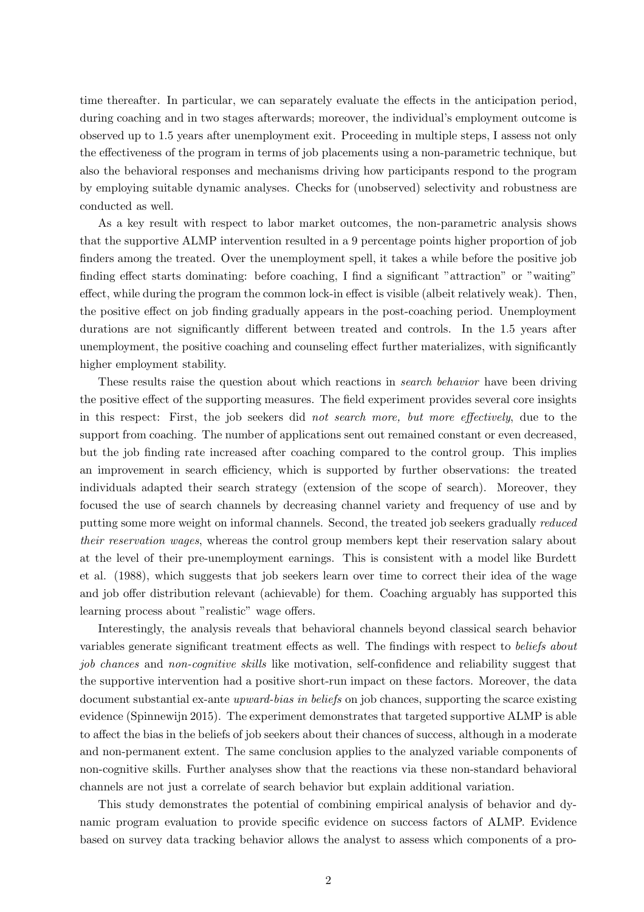time thereafter. In particular, we can separately evaluate the effects in the anticipation period, during coaching and in two stages afterwards; moreover, the individual's employment outcome is observed up to 1.5 years after unemployment exit. Proceeding in multiple steps, I assess not only the effectiveness of the program in terms of job placements using a non-parametric technique, but also the behavioral responses and mechanisms driving how participants respond to the program by employing suitable dynamic analyses. Checks for (unobserved) selectivity and robustness are conducted as well.

As a key result with respect to labor market outcomes, the non-parametric analysis shows that the supportive ALMP intervention resulted in a 9 percentage points higher proportion of job finders among the treated. Over the unemployment spell, it takes a while before the positive job finding effect starts dominating: before coaching, I find a significant "attraction" or "waiting" effect, while during the program the common lock-in effect is visible (albeit relatively weak). Then, the positive effect on job finding gradually appears in the post-coaching period. Unemployment durations are not significantly different between treated and controls. In the 1.5 years after unemployment, the positive coaching and counseling effect further materializes, with significantly higher employment stability.

These results raise the question about which reactions in *search behavior* have been driving the positive effect of the supporting measures. The field experiment provides several core insights in this respect: First, the job seekers did not search more, but more effectively, due to the support from coaching. The number of applications sent out remained constant or even decreased, but the job finding rate increased after coaching compared to the control group. This implies an improvement in search efficiency, which is supported by further observations: the treated individuals adapted their search strategy (extension of the scope of search). Moreover, they focused the use of search channels by decreasing channel variety and frequency of use and by putting some more weight on informal channels. Second, the treated job seekers gradually reduced their reservation wages, whereas the control group members kept their reservation salary about at the level of their pre-unemployment earnings. This is consistent with a model like Burdett et al. (1988), which suggests that job seekers learn over time to correct their idea of the wage and job offer distribution relevant (achievable) for them. Coaching arguably has supported this learning process about "realistic" wage offers.

Interestingly, the analysis reveals that behavioral channels beyond classical search behavior variables generate significant treatment effects as well. The findings with respect to beliefs about job chances and non-cognitive skills like motivation, self-confidence and reliability suggest that the supportive intervention had a positive short-run impact on these factors. Moreover, the data document substantial ex-ante *upward-bias in beliefs* on job chances, supporting the scarce existing evidence (Spinnewijn 2015). The experiment demonstrates that targeted supportive ALMP is able to affect the bias in the beliefs of job seekers about their chances of success, although in a moderate and non-permanent extent. The same conclusion applies to the analyzed variable components of non-cognitive skills. Further analyses show that the reactions via these non-standard behavioral channels are not just a correlate of search behavior but explain additional variation.

This study demonstrates the potential of combining empirical analysis of behavior and dynamic program evaluation to provide specific evidence on success factors of ALMP. Evidence based on survey data tracking behavior allows the analyst to assess which components of a pro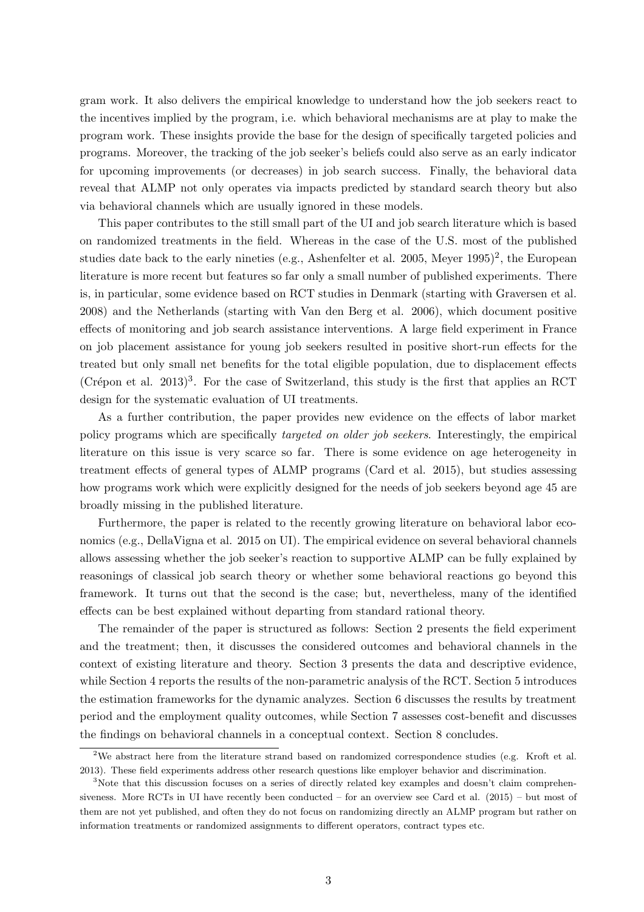gram work. It also delivers the empirical knowledge to understand how the job seekers react to the incentives implied by the program, i.e. which behavioral mechanisms are at play to make the program work. These insights provide the base for the design of specifically targeted policies and programs. Moreover, the tracking of the job seeker's beliefs could also serve as an early indicator for upcoming improvements (or decreases) in job search success. Finally, the behavioral data reveal that ALMP not only operates via impacts predicted by standard search theory but also via behavioral channels which are usually ignored in these models.

This paper contributes to the still small part of the UI and job search literature which is based on randomized treatments in the field. Whereas in the case of the U.S. most of the published studies date back to the early nineties (e.g., Ashenfelter et al. 2005, Meyer  $1995)^2$ , the European literature is more recent but features so far only a small number of published experiments. There is, in particular, some evidence based on RCT studies in Denmark (starting with Graversen et al. 2008) and the Netherlands (starting with Van den Berg et al. 2006), which document positive effects of monitoring and job search assistance interventions. A large field experiment in France on job placement assistance for young job seekers resulted in positive short-run effects for the treated but only small net benefits for the total eligible population, due to displacement effects (Crépon et al. 2013)<sup>3</sup>. For the case of Switzerland, this study is the first that applies an RCT design for the systematic evaluation of UI treatments.

As a further contribution, the paper provides new evidence on the effects of labor market policy programs which are specifically targeted on older job seekers. Interestingly, the empirical literature on this issue is very scarce so far. There is some evidence on age heterogeneity in treatment effects of general types of ALMP programs (Card et al. 2015), but studies assessing how programs work which were explicitly designed for the needs of job seekers beyond age 45 are broadly missing in the published literature.

Furthermore, the paper is related to the recently growing literature on behavioral labor economics (e.g., DellaVigna et al. 2015 on UI). The empirical evidence on several behavioral channels allows assessing whether the job seeker's reaction to supportive ALMP can be fully explained by reasonings of classical job search theory or whether some behavioral reactions go beyond this framework. It turns out that the second is the case; but, nevertheless, many of the identified effects can be best explained without departing from standard rational theory.

The remainder of the paper is structured as follows: Section 2 presents the field experiment and the treatment; then, it discusses the considered outcomes and behavioral channels in the context of existing literature and theory. Section 3 presents the data and descriptive evidence, while Section 4 reports the results of the non-parametric analysis of the RCT. Section 5 introduces the estimation frameworks for the dynamic analyzes. Section 6 discusses the results by treatment period and the employment quality outcomes, while Section 7 assesses cost-benefit and discusses the findings on behavioral channels in a conceptual context. Section 8 concludes.

<sup>&</sup>lt;sup>2</sup>We abstract here from the literature strand based on randomized correspondence studies (e.g. Kroft et al. 2013). These field experiments address other research questions like employer behavior and discrimination.

<sup>&</sup>lt;sup>3</sup>Note that this discussion focuses on a series of directly related key examples and doesn't claim comprehensiveness. More RCTs in UI have recently been conducted – for an overview see Card et al. (2015) – but most of them are not yet published, and often they do not focus on randomizing directly an ALMP program but rather on information treatments or randomized assignments to different operators, contract types etc.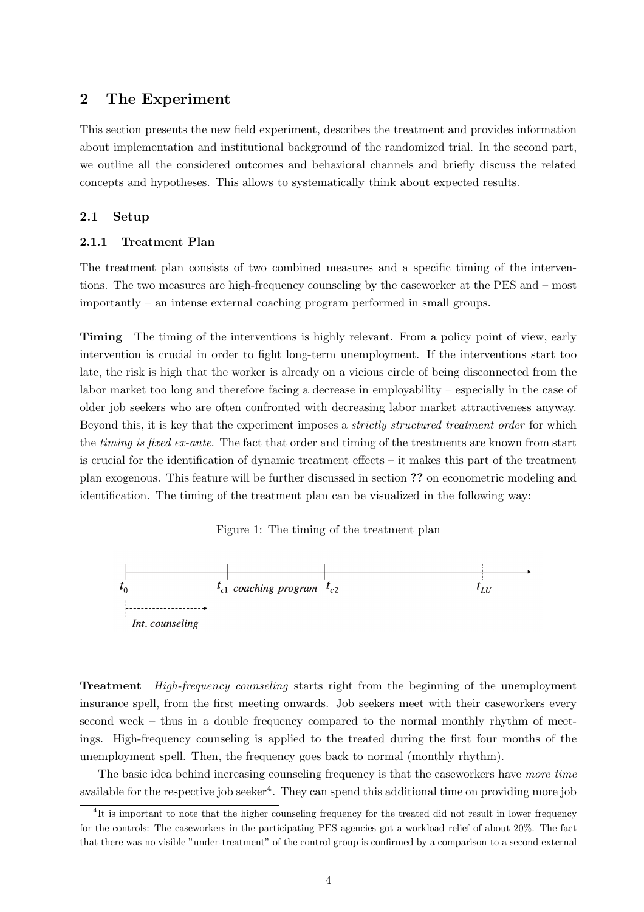### 2 The Experiment

This section presents the new field experiment, describes the treatment and provides information about implementation and institutional background of the randomized trial. In the second part, we outline all the considered outcomes and behavioral channels and briefly discuss the related concepts and hypotheses. This allows to systematically think about expected results.

#### 2.1 Setup

#### 2.1.1 Treatment Plan

The treatment plan consists of two combined measures and a specific timing of the interventions. The two measures are high-frequency counseling by the caseworker at the PES and – most importantly – an intense external coaching program performed in small groups.

**Timing** The timing of the interventions is highly relevant. From a policy point of view, early intervention is crucial in order to fight long-term unemployment. If the interventions start too late, the risk is high that the worker is already on a vicious circle of being disconnected from the labor market too long and therefore facing a decrease in employability – especially in the case of older job seekers who are often confronted with decreasing labor market attractiveness anyway. Beyond this, it is key that the experiment imposes a *strictly structured treatment order* for which the *timing is fixed ex-ante*. The fact that order and timing of the treatments are known from start is crucial for the identification of dynamic treatment effects – it makes this part of the treatment plan exogenous. This feature will be further discussed in section ?? on econometric modeling and identification. The timing of the treatment plan can be visualized in the following way:

Figure 1: The timing of the treatment plan



**Treatment** High-frequency counseling starts right from the beginning of the unemployment insurance spell, from the first meeting onwards. Job seekers meet with their caseworkers every second week – thus in a double frequency compared to the normal monthly rhythm of meetings. High-frequency counseling is applied to the treated during the first four months of the unemployment spell. Then, the frequency goes back to normal (monthly rhythm).

The basic idea behind increasing counseling frequency is that the caseworkers have more time available for the respective job seeker<sup>4</sup>. They can spend this additional time on providing more job

<sup>&</sup>lt;sup>4</sup>It is important to note that the higher counseling frequency for the treated did not result in lower frequency for the controls: The caseworkers in the participating PES agencies got a workload relief of about 20%. The fact that there was no visible "under-treatment" of the control group is confirmed by a comparison to a second external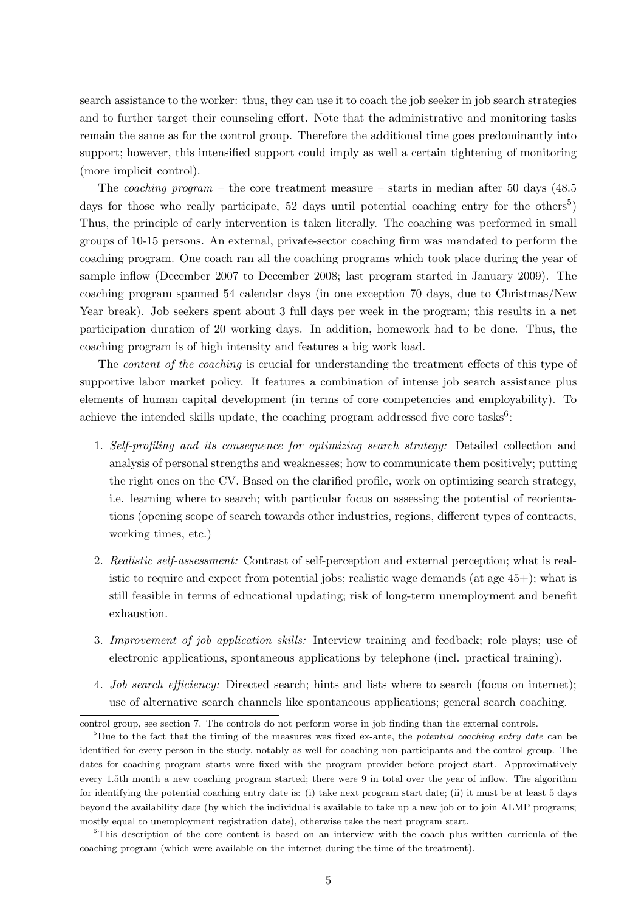search assistance to the worker: thus, they can use it to coach the job seeker in job search strategies and to further target their counseling effort. Note that the administrative and monitoring tasks remain the same as for the control group. Therefore the additional time goes predominantly into support; however, this intensified support could imply as well a certain tightening of monitoring (more implicit control).

The *coaching program* – the core treatment measure – starts in median after 50 days (48.5) days for those who really participate, 52 days until potential coaching entry for the others<sup>5</sup>) Thus, the principle of early intervention is taken literally. The coaching was performed in small groups of 10-15 persons. An external, private-sector coaching firm was mandated to perform the coaching program. One coach ran all the coaching programs which took place during the year of sample inflow (December 2007 to December 2008; last program started in January 2009). The coaching program spanned 54 calendar days (in one exception 70 days, due to Christmas/New Year break). Job seekers spent about 3 full days per week in the program; this results in a net participation duration of 20 working days. In addition, homework had to be done. Thus, the coaching program is of high intensity and features a big work load.

The *content of the coaching* is crucial for understanding the treatment effects of this type of supportive labor market policy. It features a combination of intense job search assistance plus elements of human capital development (in terms of core competencies and employability). To achieve the intended skills update, the coaching program addressed five core tasks<sup>6</sup>:

- 1. Self-profiling and its consequence for optimizing search strategy: Detailed collection and analysis of personal strengths and weaknesses; how to communicate them positively; putting the right ones on the CV. Based on the clarified profile, work on optimizing search strategy, i.e. learning where to search; with particular focus on assessing the potential of reorientations (opening scope of search towards other industries, regions, different types of contracts, working times, etc.)
- 2. Realistic self-assessment: Contrast of self-perception and external perception; what is realistic to require and expect from potential jobs; realistic wage demands (at age  $45+$ ); what is still feasible in terms of educational updating; risk of long-term unemployment and benefit exhaustion.
- 3. Improvement of job application skills: Interview training and feedback; role plays; use of electronic applications, spontaneous applications by telephone (incl. practical training).
- 4. Job search efficiency: Directed search; hints and lists where to search (focus on internet); use of alternative search channels like spontaneous applications; general search coaching.

control group, see section 7. The controls do not perform worse in job finding than the external controls.

<sup>&</sup>lt;sup>5</sup>Due to the fact that the timing of the measures was fixed ex-ante, the *potential coaching entry date* can be identified for every person in the study, notably as well for coaching non-participants and the control group. The dates for coaching program starts were fixed with the program provider before project start. Approximatively every 1.5th month a new coaching program started; there were 9 in total over the year of inflow. The algorithm for identifying the potential coaching entry date is: (i) take next program start date; (ii) it must be at least 5 days beyond the availability date (by which the individual is available to take up a new job or to join ALMP programs; mostly equal to unemployment registration date), otherwise take the next program start.

<sup>&</sup>lt;sup>6</sup>This description of the core content is based on an interview with the coach plus written curricula of the coaching program (which were available on the internet during the time of the treatment).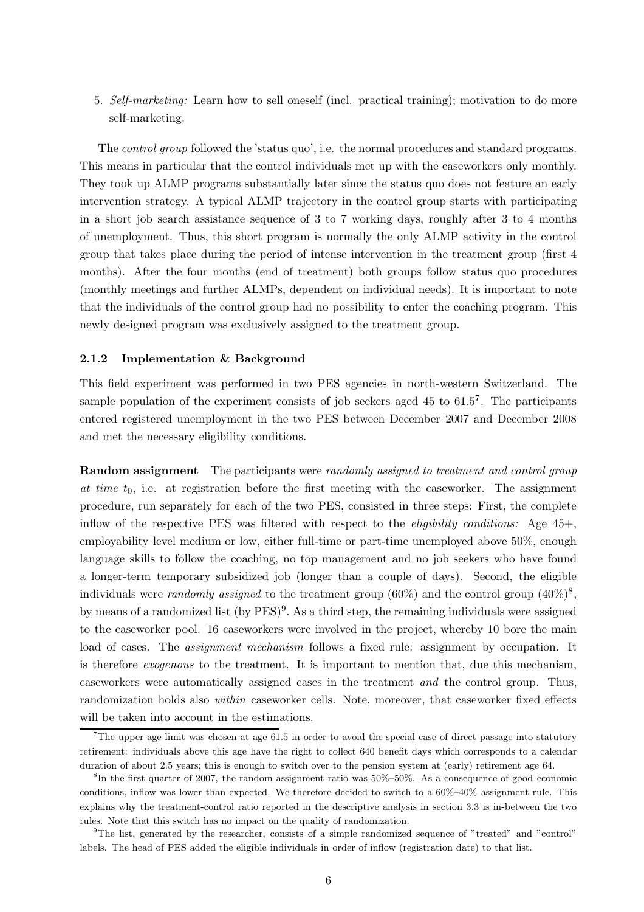5. Self-marketing: Learn how to sell oneself (incl. practical training); motivation to do more self-marketing.

The control group followed the 'status quo', i.e. the normal procedures and standard programs. This means in particular that the control individuals met up with the caseworkers only monthly. They took up ALMP programs substantially later since the status quo does not feature an early intervention strategy. A typical ALMP trajectory in the control group starts with participating in a short job search assistance sequence of 3 to 7 working days, roughly after 3 to 4 months of unemployment. Thus, this short program is normally the only ALMP activity in the control group that takes place during the period of intense intervention in the treatment group (first 4 months). After the four months (end of treatment) both groups follow status quo procedures (monthly meetings and further ALMPs, dependent on individual needs). It is important to note that the individuals of the control group had no possibility to enter the coaching program. This newly designed program was exclusively assigned to the treatment group.

#### 2.1.2 Implementation & Background

This field experiment was performed in two PES agencies in north-western Switzerland. The sample population of the experiment consists of job seekers aged 45 to 61.5<sup>7</sup>. The participants entered registered unemployment in the two PES between December 2007 and December 2008 and met the necessary eligibility conditions.

**Random assignment** The participants were *randomly assigned to treatment and control group* at time  $t_0$ , i.e. at registration before the first meeting with the caseworker. The assignment procedure, run separately for each of the two PES, consisted in three steps: First, the complete inflow of the respective PES was filtered with respect to the *eligibility conditions:* Age  $45+$ , employability level medium or low, either full-time or part-time unemployed above 50%, enough language skills to follow the coaching, no top management and no job seekers who have found a longer-term temporary subsidized job (longer than a couple of days). Second, the eligible individuals were *randomly assigned* to the treatment group (60%) and the control group  $(40\%)^8$ , by means of a randomized list (by PES)<sup>9</sup>. As a third step, the remaining individuals were assigned to the caseworker pool. 16 caseworkers were involved in the project, whereby 10 bore the main load of cases. The *assignment mechanism* follows a fixed rule: assignment by occupation. It is therefore exogenous to the treatment. It is important to mention that, due this mechanism, caseworkers were automatically assigned cases in the treatment and the control group. Thus, randomization holds also within caseworker cells. Note, moreover, that caseworker fixed effects will be taken into account in the estimations.

The upper age limit was chosen at age 61.5 in order to avoid the special case of direct passage into statutory retirement: individuals above this age have the right to collect 640 benefit days which corresponds to a calendar duration of about 2.5 years; this is enough to switch over to the pension system at (early) retirement age 64.

<sup>8</sup> In the first quarter of 2007, the random assignment ratio was 50%–50%. As a consequence of good economic conditions, inflow was lower than expected. We therefore decided to switch to a 60%–40% assignment rule. This explains why the treatment-control ratio reported in the descriptive analysis in section 3.3 is in-between the two rules. Note that this switch has no impact on the quality of randomization.

<sup>9</sup>The list, generated by the researcher, consists of a simple randomized sequence of "treated" and "control" labels. The head of PES added the eligible individuals in order of inflow (registration date) to that list.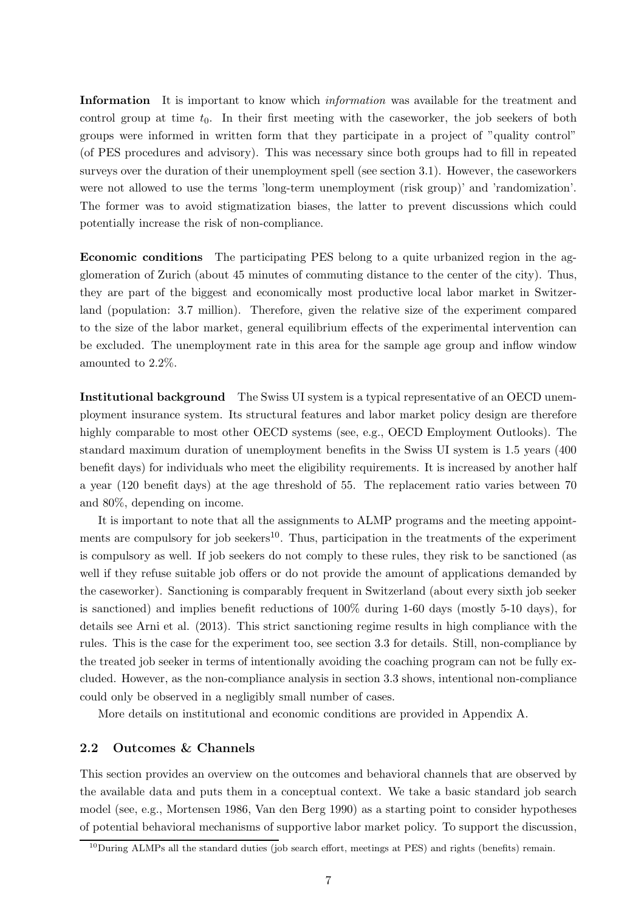Information It is important to know which *information* was available for the treatment and control group at time  $t_0$ . In their first meeting with the caseworker, the job seekers of both groups were informed in written form that they participate in a project of "quality control" (of PES procedures and advisory). This was necessary since both groups had to fill in repeated surveys over the duration of their unemployment spell (see section 3.1). However, the caseworkers were not allowed to use the terms 'long-term unemployment (risk group)' and 'randomization'. The former was to avoid stigmatization biases, the latter to prevent discussions which could potentially increase the risk of non-compliance.

Economic conditions The participating PES belong to a quite urbanized region in the agglomeration of Zurich (about 45 minutes of commuting distance to the center of the city). Thus, they are part of the biggest and economically most productive local labor market in Switzerland (population: 3.7 million). Therefore, given the relative size of the experiment compared to the size of the labor market, general equilibrium effects of the experimental intervention can be excluded. The unemployment rate in this area for the sample age group and inflow window amounted to 2.2%.

Institutional background The Swiss UI system is a typical representative of an OECD unemployment insurance system. Its structural features and labor market policy design are therefore highly comparable to most other OECD systems (see, e.g., OECD Employment Outlooks). The standard maximum duration of unemployment benefits in the Swiss UI system is 1.5 years (400 benefit days) for individuals who meet the eligibility requirements. It is increased by another half a year (120 benefit days) at the age threshold of 55. The replacement ratio varies between 70 and 80%, depending on income.

It is important to note that all the assignments to ALMP programs and the meeting appointments are compulsory for job seekers<sup>10</sup>. Thus, participation in the treatments of the experiment is compulsory as well. If job seekers do not comply to these rules, they risk to be sanctioned (as well if they refuse suitable job offers or do not provide the amount of applications demanded by the caseworker). Sanctioning is comparably frequent in Switzerland (about every sixth job seeker is sanctioned) and implies benefit reductions of 100% during 1-60 days (mostly 5-10 days), for details see Arni et al. (2013). This strict sanctioning regime results in high compliance with the rules. This is the case for the experiment too, see section 3.3 for details. Still, non-compliance by the treated job seeker in terms of intentionally avoiding the coaching program can not be fully excluded. However, as the non-compliance analysis in section 3.3 shows, intentional non-compliance could only be observed in a negligibly small number of cases.

More details on institutional and economic conditions are provided in Appendix A.

#### 2.2 Outcomes & Channels

This section provides an overview on the outcomes and behavioral channels that are observed by the available data and puts them in a conceptual context. We take a basic standard job search model (see, e.g., Mortensen 1986, Van den Berg 1990) as a starting point to consider hypotheses of potential behavioral mechanisms of supportive labor market policy. To support the discussion,

 $10$ During ALMPs all the standard duties (job search effort, meetings at PES) and rights (benefits) remain.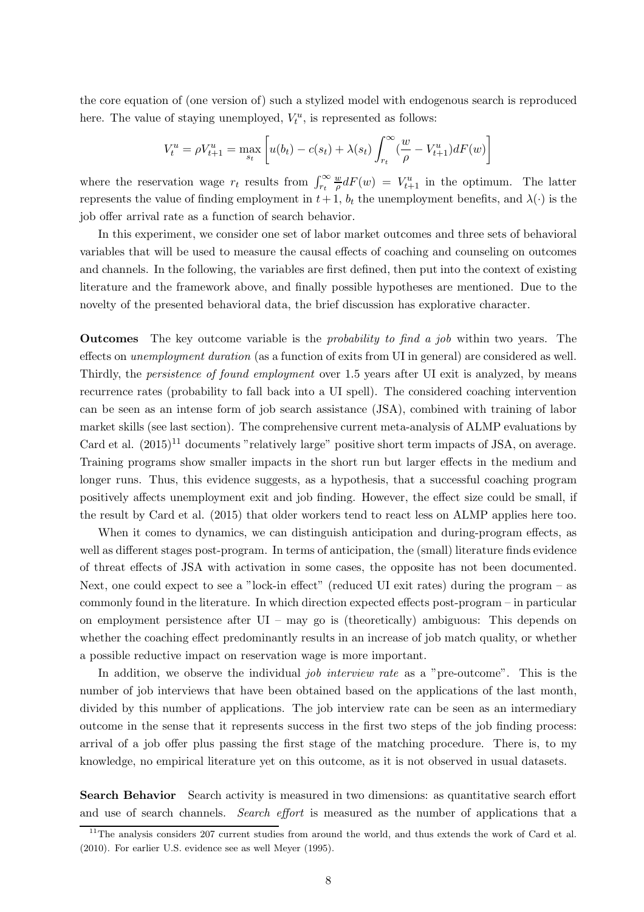the core equation of (one version of) such a stylized model with endogenous search is reproduced here. The value of staying unemployed,  $V_t^u$ , is represented as follows:

$$
V_t^u = \rho V_{t+1}^u = \max_{s_t} \left[ u(b_t) - c(s_t) + \lambda(s_t) \int_{r_t}^{\infty} \left( \frac{w}{\rho} - V_{t+1}^u \right) dF(w) \right]
$$

where the reservation wage  $r_t$  results from  $\int_{r_t}^{\infty}$ w  $\frac{w}{\rho}dF(w) = V_{t+1}^u$  in the optimum. The latter represents the value of finding employment in  $t+1$ ,  $b_t$  the unemployment benefits, and  $\lambda(\cdot)$  is the job offer arrival rate as a function of search behavior.

In this experiment, we consider one set of labor market outcomes and three sets of behavioral variables that will be used to measure the causal effects of coaching and counseling on outcomes and channels. In the following, the variables are first defined, then put into the context of existing literature and the framework above, and finally possible hypotheses are mentioned. Due to the novelty of the presented behavioral data, the brief discussion has explorative character.

Outcomes The key outcome variable is the probability to find a job within two years. The effects on unemployment duration (as a function of exits from UI in general) are considered as well. Thirdly, the persistence of found employment over 1.5 years after UI exit is analyzed, by means recurrence rates (probability to fall back into a UI spell). The considered coaching intervention can be seen as an intense form of job search assistance (JSA), combined with training of labor market skills (see last section). The comprehensive current meta-analysis of ALMP evaluations by Card et al.  $(2015)^{11}$  documents "relatively large" positive short term impacts of JSA, on average. Training programs show smaller impacts in the short run but larger effects in the medium and longer runs. Thus, this evidence suggests, as a hypothesis, that a successful coaching program positively affects unemployment exit and job finding. However, the effect size could be small, if the result by Card et al. (2015) that older workers tend to react less on ALMP applies here too.

When it comes to dynamics, we can distinguish anticipation and during-program effects, as well as different stages post-program. In terms of anticipation, the (small) literature finds evidence of threat effects of JSA with activation in some cases, the opposite has not been documented. Next, one could expect to see a "lock-in effect" (reduced UI exit rates) during the program – as commonly found in the literature. In which direction expected effects post-program – in particular on employment persistence after UI – may go is (theoretically) ambiguous: This depends on whether the coaching effect predominantly results in an increase of job match quality, or whether a possible reductive impact on reservation wage is more important.

In addition, we observe the individual *job interview rate* as a "pre-outcome". This is the number of job interviews that have been obtained based on the applications of the last month, divided by this number of applications. The job interview rate can be seen as an intermediary outcome in the sense that it represents success in the first two steps of the job finding process: arrival of a job offer plus passing the first stage of the matching procedure. There is, to my knowledge, no empirical literature yet on this outcome, as it is not observed in usual datasets.

Search Behavior Search activity is measured in two dimensions: as quantitative search effort and use of search channels. Search effort is measured as the number of applications that a

<sup>&</sup>lt;sup>11</sup>The analysis considers 207 current studies from around the world, and thus extends the work of Card et al. (2010). For earlier U.S. evidence see as well Meyer (1995).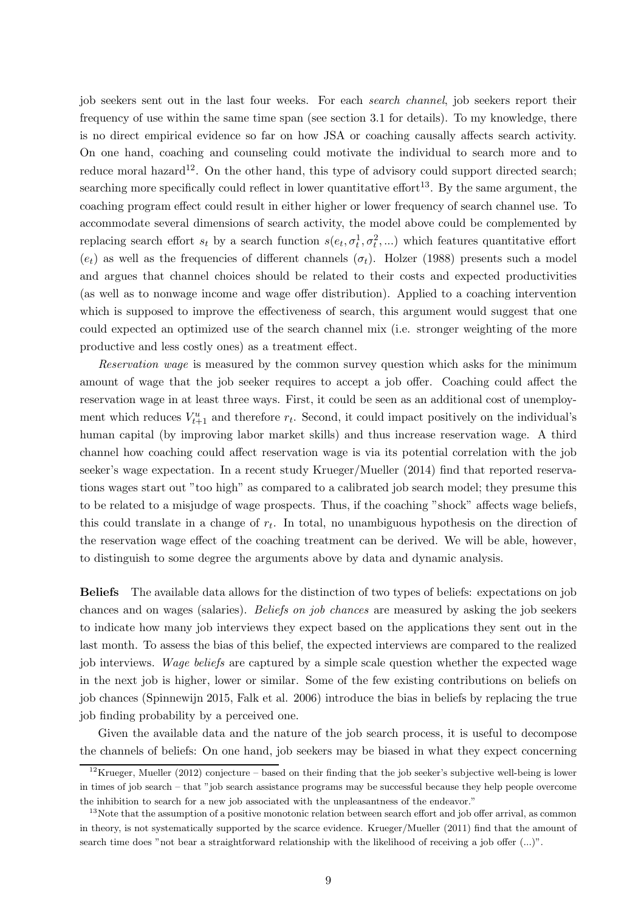job seekers sent out in the last four weeks. For each *search channel*, job seekers report their frequency of use within the same time span (see section 3.1 for details). To my knowledge, there is no direct empirical evidence so far on how JSA or coaching causally affects search activity. On one hand, coaching and counseling could motivate the individual to search more and to reduce moral hazard<sup>12</sup>. On the other hand, this type of advisory could support directed search; searching more specifically could reflect in lower quantitative effort<sup>13</sup>. By the same argument, the coaching program effect could result in either higher or lower frequency of search channel use. To accommodate several dimensions of search activity, the model above could be complemented by replacing search effort  $s_t$  by a search function  $s(e_t, \sigma_t^1, \sigma_t^2, ...)$  which features quantitative effort  $(e_t)$  as well as the frequencies of different channels  $(\sigma_t)$ . Holzer (1988) presents such a model and argues that channel choices should be related to their costs and expected productivities (as well as to nonwage income and wage offer distribution). Applied to a coaching intervention which is supposed to improve the effectiveness of search, this argument would suggest that one could expected an optimized use of the search channel mix (i.e. stronger weighting of the more productive and less costly ones) as a treatment effect.

Reservation wage is measured by the common survey question which asks for the minimum amount of wage that the job seeker requires to accept a job offer. Coaching could affect the reservation wage in at least three ways. First, it could be seen as an additional cost of unemployment which reduces  $V_{t+1}^u$  and therefore  $r_t$ . Second, it could impact positively on the individual's human capital (by improving labor market skills) and thus increase reservation wage. A third channel how coaching could affect reservation wage is via its potential correlation with the job seeker's wage expectation. In a recent study Krueger/Mueller (2014) find that reported reservations wages start out "too high" as compared to a calibrated job search model; they presume this to be related to a misjudge of wage prospects. Thus, if the coaching "shock" affects wage beliefs, this could translate in a change of  $r_t$ . In total, no unambiguous hypothesis on the direction of the reservation wage effect of the coaching treatment can be derived. We will be able, however, to distinguish to some degree the arguments above by data and dynamic analysis.

Beliefs The available data allows for the distinction of two types of beliefs: expectations on job chances and on wages (salaries). Beliefs on job chances are measured by asking the job seekers to indicate how many job interviews they expect based on the applications they sent out in the last month. To assess the bias of this belief, the expected interviews are compared to the realized job interviews. Wage beliefs are captured by a simple scale question whether the expected wage in the next job is higher, lower or similar. Some of the few existing contributions on beliefs on job chances (Spinnewijn 2015, Falk et al. 2006) introduce the bias in beliefs by replacing the true job finding probability by a perceived one.

Given the available data and the nature of the job search process, it is useful to decompose the channels of beliefs: On one hand, job seekers may be biased in what they expect concerning

 $12$ Krueger, Mueller (2012) conjecture – based on their finding that the job seeker's subjective well-being is lower in times of job search – that "job search assistance programs may be successful because they help people overcome the inhibition to search for a new job associated with the unpleasantness of the endeavor."

 $13$ Note that the assumption of a positive monotonic relation between search effort and job offer arrival, as common in theory, is not systematically supported by the scarce evidence. Krueger/Mueller (2011) find that the amount of search time does "not bear a straightforward relationship with the likelihood of receiving a job offer (...)".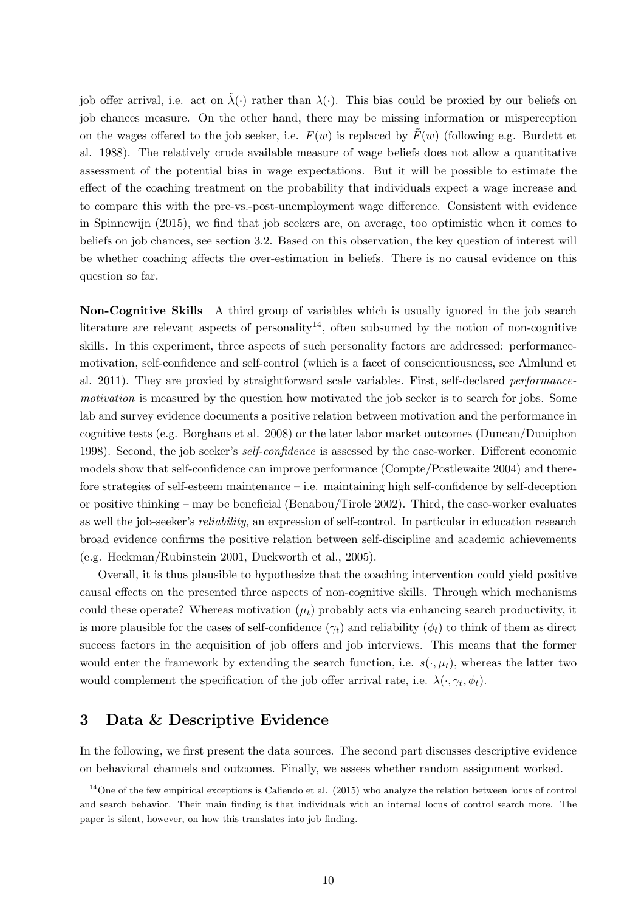job offer arrival, i.e. act on  $\tilde{\lambda}(\cdot)$  rather than  $\lambda(\cdot)$ . This bias could be proxied by our beliefs on job chances measure. On the other hand, there may be missing information or misperception on the wages offered to the job seeker, i.e.  $F(w)$  is replaced by  $\tilde{F}(w)$  (following e.g. Burdett et al. 1988). The relatively crude available measure of wage beliefs does not allow a quantitative assessment of the potential bias in wage expectations. But it will be possible to estimate the effect of the coaching treatment on the probability that individuals expect a wage increase and to compare this with the pre-vs.-post-unemployment wage difference. Consistent with evidence in Spinnewijn (2015), we find that job seekers are, on average, too optimistic when it comes to beliefs on job chances, see section 3.2. Based on this observation, the key question of interest will be whether coaching affects the over-estimation in beliefs. There is no causal evidence on this question so far.

Non-Cognitive Skills A third group of variables which is usually ignored in the job search literature are relevant aspects of personality<sup>14</sup>, often subsumed by the notion of non-cognitive skills. In this experiment, three aspects of such personality factors are addressed: performancemotivation, self-confidence and self-control (which is a facet of conscientiousness, see Almlund et al. 2011). They are proxied by straightforward scale variables. First, self-declared performancemotivation is measured by the question how motivated the job seeker is to search for jobs. Some lab and survey evidence documents a positive relation between motivation and the performance in cognitive tests (e.g. Borghans et al. 2008) or the later labor market outcomes (Duncan/Duniphon 1998). Second, the job seeker's *self-confidence* is assessed by the case-worker. Different economic models show that self-confidence can improve performance (Compte/Postlewaite 2004) and therefore strategies of self-esteem maintenance – i.e. maintaining high self-confidence by self-deception or positive thinking – may be beneficial (Benabou/Tirole 2002). Third, the case-worker evaluates as well the job-seeker's reliability, an expression of self-control. In particular in education research broad evidence confirms the positive relation between self-discipline and academic achievements (e.g. Heckman/Rubinstein 2001, Duckworth et al., 2005).

Overall, it is thus plausible to hypothesize that the coaching intervention could yield positive causal effects on the presented three aspects of non-cognitive skills. Through which mechanisms could these operate? Whereas motivation  $(\mu_t)$  probably acts via enhancing search productivity, it is more plausible for the cases of self-confidence  $(\gamma_t)$  and reliability  $(\phi_t)$  to think of them as direct success factors in the acquisition of job offers and job interviews. This means that the former would enter the framework by extending the search function, i.e.  $s(\cdot, \mu_t)$ , whereas the latter two would complement the specification of the job offer arrival rate, i.e.  $\lambda(\cdot, \gamma_t, \phi_t)$ .

## 3 Data & Descriptive Evidence

In the following, we first present the data sources. The second part discusses descriptive evidence on behavioral channels and outcomes. Finally, we assess whether random assignment worked.

 $14$ One of the few empirical exceptions is Caliendo et al. (2015) who analyze the relation between locus of control and search behavior. Their main finding is that individuals with an internal locus of control search more. The paper is silent, however, on how this translates into job finding.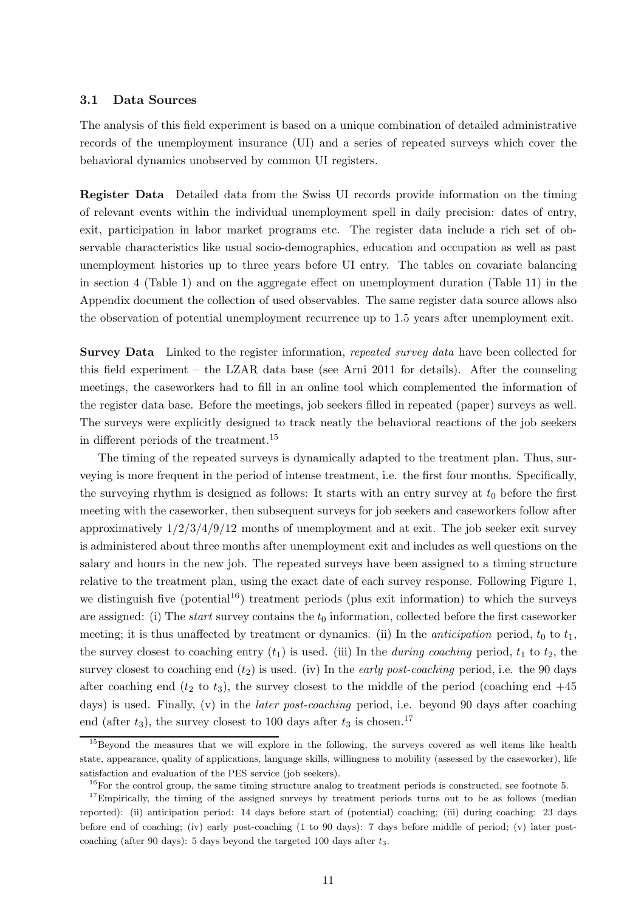#### 3.1 Data Sources

The analysis of this field experiment is based on a unique combination of detailed administrative records of the unemployment insurance (UI) and a series of repeated surveys which cover the behavioral dynamics unobserved by common UI registers.

Register Data Detailed data from the Swiss UI records provide information on the timing of relevant events within the individual unemployment spell in daily precision: dates of entry, exit, participation in labor market programs etc. The register data include a rich set of observable characteristics like usual socio-demographics, education and occupation as well as past unemployment histories up to three years before UI entry. The tables on covariate balancing in section 4 (Table 1) and on the aggregate effect on unemployment duration (Table 11) in the Appendix document the collection of used observables. The same register data source allows also the observation of potential unemployment recurrence up to 1.5 years after unemployment exit.

**Survey Data** Linked to the register information, repeated survey data have been collected for this field experiment – the LZAR data base (see Arni 2011 for details). After the counseling meetings, the caseworkers had to fill in an online tool which complemented the information of the register data base. Before the meetings, job seekers filled in repeated (paper) surveys as well. The surveys were explicitly designed to track neatly the behavioral reactions of the job seekers in different periods of the treatment.<sup>15</sup>

The timing of the repeated surveys is dynamically adapted to the treatment plan. Thus, surveying is more frequent in the period of intense treatment, i.e. the first four months. Specifically, the surveying rhythm is designed as follows: It starts with an entry survey at  $t_0$  before the first meeting with the caseworker, then subsequent surveys for job seekers and caseworkers follow after approximatively  $1/2/3/4/9/12$  months of unemployment and at exit. The job seeker exit survey is administered about three months after unemployment exit and includes as well questions on the salary and hours in the new job. The repeated surveys have been assigned to a timing structure relative to the treatment plan, using the exact date of each survey response. Following Figure 1, we distinguish five (potential<sup>16</sup>) treatment periods (plus exit information) to which the surveys are assigned: (i) The *start* survey contains the  $t_0$  information, collected before the first caseworker meeting; it is thus unaffected by treatment or dynamics. (ii) In the *anticipation* period,  $t_0$  to  $t_1$ , the survey closest to coaching entry  $(t_1)$  is used. (iii) In the *during coaching* period,  $t_1$  to  $t_2$ , the survey closest to coaching end  $(t_2)$  is used. (iv) In the *early post-coaching* period, i.e. the 90 days after coaching end  $(t_2 \text{ to } t_3)$ , the survey closest to the middle of the period (coaching end  $+45$ days) is used. Finally, (v) in the *later post-coaching* period, i.e. beyond 90 days after coaching end (after  $t_3$ ), the survey closest to 100 days after  $t_3$  is chosen.<sup>17</sup>

<sup>&</sup>lt;sup>15</sup>Beyond the measures that we will explore in the following, the surveys covered as well items like health state, appearance, quality of applications, language skills, willingness to mobility (assessed by the caseworker), life satisfaction and evaluation of the PES service (job seekers).

 $16$ For the control group, the same timing structure analog to treatment periods is constructed, see footnote 5.

<sup>&</sup>lt;sup>17</sup>Empirically, the timing of the assigned surveys by treatment periods turns out to be as follows (median reported): (ii) anticipation period: 14 days before start of (potential) coaching; (iii) during coaching: 23 days before end of coaching; (iv) early post-coaching (1 to 90 days): 7 days before middle of period; (v) later postcoaching (after 90 days): 5 days beyond the targeted 100 days after  $t_3$ .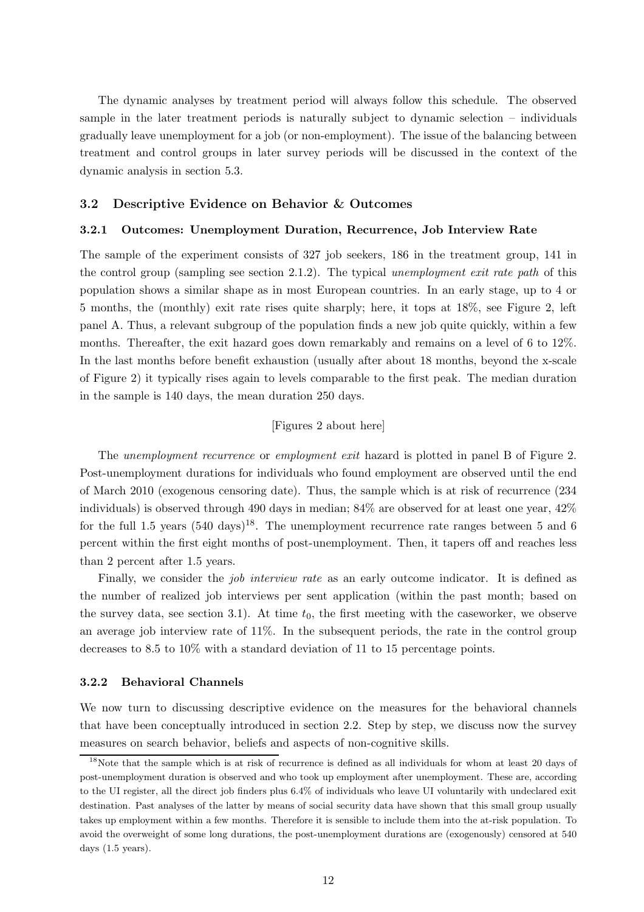The dynamic analyses by treatment period will always follow this schedule. The observed sample in the later treatment periods is naturally subject to dynamic selection – individuals gradually leave unemployment for a job (or non-employment). The issue of the balancing between treatment and control groups in later survey periods will be discussed in the context of the dynamic analysis in section 5.3.

#### 3.2 Descriptive Evidence on Behavior & Outcomes

#### 3.2.1 Outcomes: Unemployment Duration, Recurrence, Job Interview Rate

The sample of the experiment consists of 327 job seekers, 186 in the treatment group, 141 in the control group (sampling see section 2.1.2). The typical unemployment exit rate path of this population shows a similar shape as in most European countries. In an early stage, up to 4 or 5 months, the (monthly) exit rate rises quite sharply; here, it tops at 18%, see Figure 2, left panel A. Thus, a relevant subgroup of the population finds a new job quite quickly, within a few months. Thereafter, the exit hazard goes down remarkably and remains on a level of 6 to 12%. In the last months before benefit exhaustion (usually after about 18 months, beyond the x-scale of Figure 2) it typically rises again to levels comparable to the first peak. The median duration in the sample is 140 days, the mean duration 250 days.

#### [Figures 2 about here]

The *unemployment recurrence* or *employment exit* hazard is plotted in panel B of Figure 2. Post-unemployment durations for individuals who found employment are observed until the end of March 2010 (exogenous censoring date). Thus, the sample which is at risk of recurrence (234 individuals) is observed through 490 days in median;  $84\%$  are observed for at least one year,  $42\%$ for the full 1.5 years  $(540 \text{ days})^{18}$ . The unemployment recurrence rate ranges between 5 and 6 percent within the first eight months of post-unemployment. Then, it tapers off and reaches less than 2 percent after 1.5 years.

Finally, we consider the *job interview rate* as an early outcome indicator. It is defined as the number of realized job interviews per sent application (within the past month; based on the survey data, see section 3.1). At time  $t_0$ , the first meeting with the caseworker, we observe an average job interview rate of 11%. In the subsequent periods, the rate in the control group decreases to 8.5 to 10% with a standard deviation of 11 to 15 percentage points.

#### 3.2.2 Behavioral Channels

We now turn to discussing descriptive evidence on the measures for the behavioral channels that have been conceptually introduced in section 2.2. Step by step, we discuss now the survey measures on search behavior, beliefs and aspects of non-cognitive skills.

<sup>&</sup>lt;sup>18</sup>Note that the sample which is at risk of recurrence is defined as all individuals for whom at least 20 days of post-unemployment duration is observed and who took up employment after unemployment. These are, according to the UI register, all the direct job finders plus 6.4% of individuals who leave UI voluntarily with undeclared exit destination. Past analyses of the latter by means of social security data have shown that this small group usually takes up employment within a few months. Therefore it is sensible to include them into the at-risk population. To avoid the overweight of some long durations, the post-unemployment durations are (exogenously) censored at 540 days (1.5 years).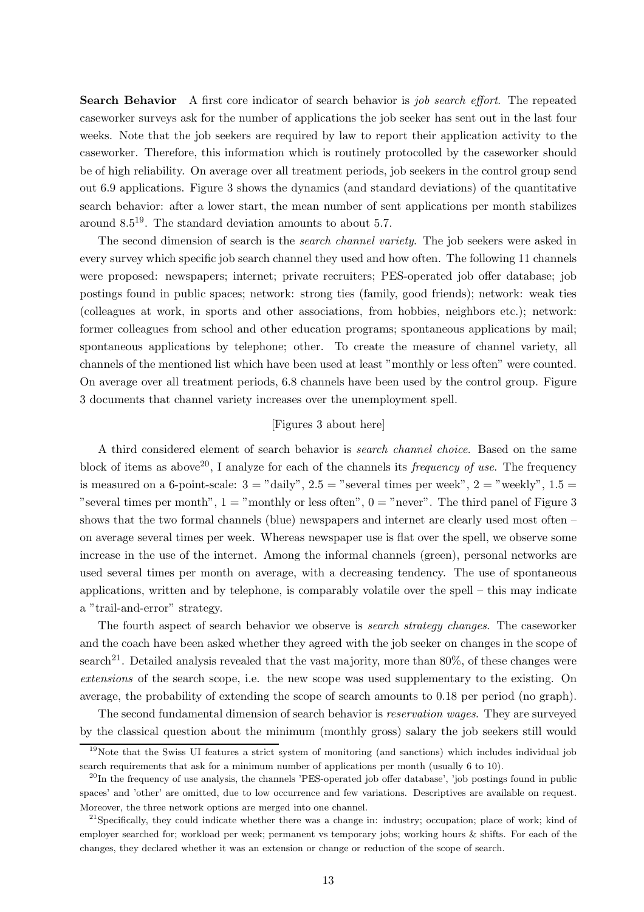Search Behavior A first core indicator of search behavior is job search effort. The repeated caseworker surveys ask for the number of applications the job seeker has sent out in the last four weeks. Note that the job seekers are required by law to report their application activity to the caseworker. Therefore, this information which is routinely protocolled by the caseworker should be of high reliability. On average over all treatment periods, job seekers in the control group send out 6.9 applications. Figure 3 shows the dynamics (and standard deviations) of the quantitative search behavior: after a lower start, the mean number of sent applications per month stabilizes around  $8.5^{19}$ . The standard deviation amounts to about 5.7.

The second dimension of search is the *search channel variety*. The job seekers were asked in every survey which specific job search channel they used and how often. The following 11 channels were proposed: newspapers; internet; private recruiters; PES-operated job offer database; job postings found in public spaces; network: strong ties (family, good friends); network: weak ties (colleagues at work, in sports and other associations, from hobbies, neighbors etc.); network: former colleagues from school and other education programs; spontaneous applications by mail; spontaneous applications by telephone; other. To create the measure of channel variety, all channels of the mentioned list which have been used at least "monthly or less often" were counted. On average over all treatment periods, 6.8 channels have been used by the control group. Figure 3 documents that channel variety increases over the unemployment spell.

#### [Figures 3 about here]

A third considered element of search behavior is search channel choice. Based on the same block of items as above<sup>20</sup>, I analyze for each of the channels its *frequency of use*. The frequency is measured on a 6-point-scale:  $3 =$  "daily",  $2.5 =$  "several times per week",  $2 =$  "weekly",  $1.5 =$ "several times per month",  $1 =$  "monthly or less often",  $0 =$  "never". The third panel of Figure 3 shows that the two formal channels (blue) newspapers and internet are clearly used most often – on average several times per week. Whereas newspaper use is flat over the spell, we observe some increase in the use of the internet. Among the informal channels (green), personal networks are used several times per month on average, with a decreasing tendency. The use of spontaneous applications, written and by telephone, is comparably volatile over the spell – this may indicate a "trail-and-error" strategy.

The fourth aspect of search behavior we observe is *search strategy changes*. The caseworker and the coach have been asked whether they agreed with the job seeker on changes in the scope of search<sup>21</sup>. Detailed analysis revealed that the vast majority, more than  $80\%$ , of these changes were extensions of the search scope, i.e. the new scope was used supplementary to the existing. On average, the probability of extending the scope of search amounts to 0.18 per period (no graph).

The second fundamental dimension of search behavior is reservation wages. They are surveyed by the classical question about the minimum (monthly gross) salary the job seekers still would

<sup>&</sup>lt;sup>19</sup>Note that the Swiss UI features a strict system of monitoring (and sanctions) which includes individual job search requirements that ask for a minimum number of applications per month (usually  $6 \text{ to } 10$ ).

 $^{20}$ In the frequency of use analysis, the channels 'PES-operated job offer database', 'job postings found in public spaces' and 'other' are omitted, due to low occurrence and few variations. Descriptives are available on request. Moreover, the three network options are merged into one channel.

<sup>&</sup>lt;sup>21</sup>Specifically, they could indicate whether there was a change in: industry; occupation; place of work; kind of employer searched for; workload per week; permanent vs temporary jobs; working hours & shifts. For each of the changes, they declared whether it was an extension or change or reduction of the scope of search.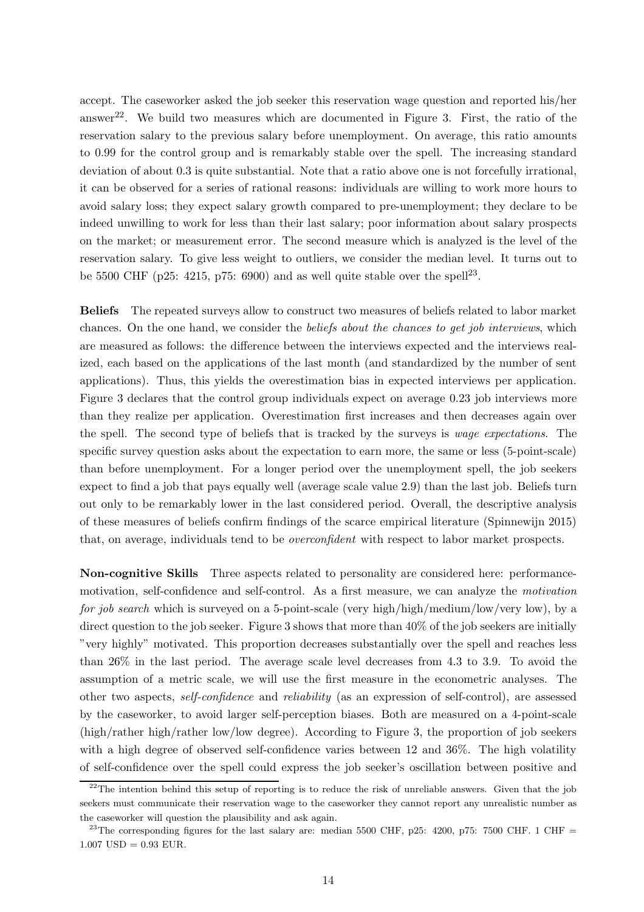accept. The caseworker asked the job seeker this reservation wage question and reported his/her answer<sup>22</sup>. We build two measures which are documented in Figure 3. First, the ratio of the reservation salary to the previous salary before unemployment. On average, this ratio amounts to 0.99 for the control group and is remarkably stable over the spell. The increasing standard deviation of about 0.3 is quite substantial. Note that a ratio above one is not forcefully irrational, it can be observed for a series of rational reasons: individuals are willing to work more hours to avoid salary loss; they expect salary growth compared to pre-unemployment; they declare to be indeed unwilling to work for less than their last salary; poor information about salary prospects on the market; or measurement error. The second measure which is analyzed is the level of the reservation salary. To give less weight to outliers, we consider the median level. It turns out to be 5500 CHF ( $p25: 4215, p75: 6900$ ) and as well quite stable over the spell<sup>23</sup>.

Beliefs The repeated surveys allow to construct two measures of beliefs related to labor market chances. On the one hand, we consider the beliefs about the chances to get job interviews, which are measured as follows: the difference between the interviews expected and the interviews realized, each based on the applications of the last month (and standardized by the number of sent applications). Thus, this yields the overestimation bias in expected interviews per application. Figure 3 declares that the control group individuals expect on average 0.23 job interviews more than they realize per application. Overestimation first increases and then decreases again over the spell. The second type of beliefs that is tracked by the surveys is wage expectations. The specific survey question asks about the expectation to earn more, the same or less (5-point-scale) than before unemployment. For a longer period over the unemployment spell, the job seekers expect to find a job that pays equally well (average scale value 2.9) than the last job. Beliefs turn out only to be remarkably lower in the last considered period. Overall, the descriptive analysis of these measures of beliefs confirm findings of the scarce empirical literature (Spinnewijn 2015) that, on average, individuals tend to be overconfident with respect to labor market prospects.

Non-cognitive Skills Three aspects related to personality are considered here: performancemotivation, self-confidence and self-control. As a first measure, we can analyze the motivation for job search which is surveyed on a 5-point-scale (very high/high/medium/low/very low), by a direct question to the job seeker. Figure 3 shows that more than  $40\%$  of the job seekers are initially "very highly" motivated. This proportion decreases substantially over the spell and reaches less than 26% in the last period. The average scale level decreases from 4.3 to 3.9. To avoid the assumption of a metric scale, we will use the first measure in the econometric analyses. The other two aspects, self-confidence and reliability (as an expression of self-control), are assessed by the caseworker, to avoid larger self-perception biases. Both are measured on a 4-point-scale (high/rather high/rather low/low degree). According to Figure 3, the proportion of job seekers with a high degree of observed self-confidence varies between 12 and 36%. The high volatility of self-confidence over the spell could express the job seeker's oscillation between positive and

 $22$ The intention behind this setup of reporting is to reduce the risk of unreliable answers. Given that the job seekers must communicate their reservation wage to the caseworker they cannot report any unrealistic number as the caseworker will question the plausibility and ask again.

<sup>&</sup>lt;sup>23</sup>The corresponding figures for the last salary are: median 5500 CHF, p25: 4200, p75: 7500 CHF. 1 CHF =  $1.007$  USD = 0.93 EUR.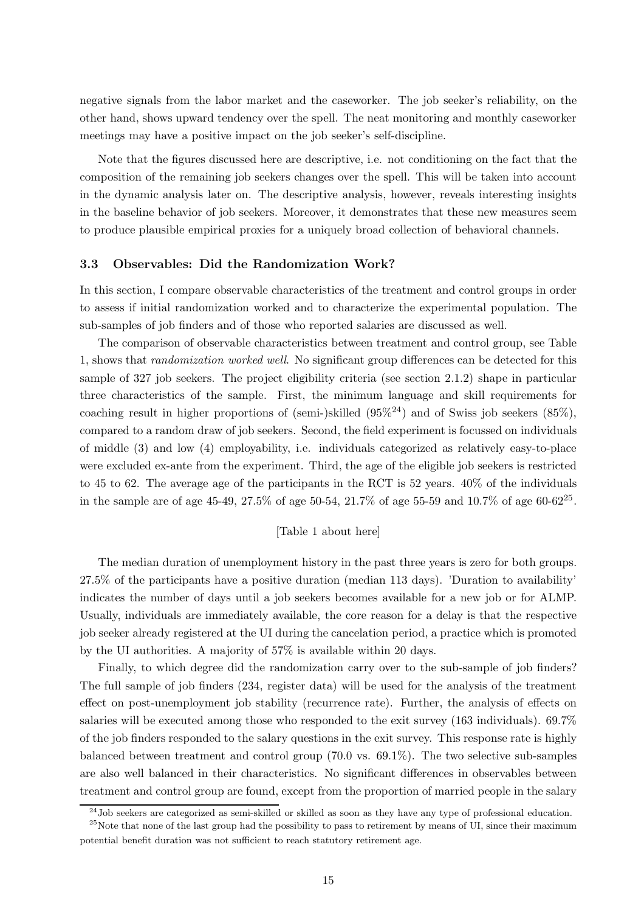negative signals from the labor market and the caseworker. The job seeker's reliability, on the other hand, shows upward tendency over the spell. The neat monitoring and monthly caseworker meetings may have a positive impact on the job seeker's self-discipline.

Note that the figures discussed here are descriptive, i.e. not conditioning on the fact that the composition of the remaining job seekers changes over the spell. This will be taken into account in the dynamic analysis later on. The descriptive analysis, however, reveals interesting insights in the baseline behavior of job seekers. Moreover, it demonstrates that these new measures seem to produce plausible empirical proxies for a uniquely broad collection of behavioral channels.

#### 3.3 Observables: Did the Randomization Work?

In this section, I compare observable characteristics of the treatment and control groups in order to assess if initial randomization worked and to characterize the experimental population. The sub-samples of job finders and of those who reported salaries are discussed as well.

The comparison of observable characteristics between treatment and control group, see Table 1, shows that randomization worked well. No significant group differences can be detected for this sample of 327 job seekers. The project eligibility criteria (see section 2.1.2) shape in particular three characteristics of the sample. First, the minimum language and skill requirements for coaching result in higher proportions of (semi-)skilled  $(95\%)^24$ ) and of Swiss job seekers  $(85\%)$ , compared to a random draw of job seekers. Second, the field experiment is focussed on individuals of middle (3) and low (4) employability, i.e. individuals categorized as relatively easy-to-place were excluded ex-ante from the experiment. Third, the age of the eligible job seekers is restricted to 45 to 62. The average age of the participants in the RCT is 52 years. 40% of the individuals in the sample are of age 45-49, 27.5% of age 50-54, 21.7% of age 55-59 and 10.7% of age 60-62<sup>25</sup>.

#### [Table 1 about here]

The median duration of unemployment history in the past three years is zero for both groups. 27.5% of the participants have a positive duration (median 113 days). 'Duration to availability' indicates the number of days until a job seekers becomes available for a new job or for ALMP. Usually, individuals are immediately available, the core reason for a delay is that the respective job seeker already registered at the UI during the cancelation period, a practice which is promoted by the UI authorities. A majority of 57% is available within 20 days.

Finally, to which degree did the randomization carry over to the sub-sample of job finders? The full sample of job finders (234, register data) will be used for the analysis of the treatment effect on post-unemployment job stability (recurrence rate). Further, the analysis of effects on salaries will be executed among those who responded to the exit survey (163 individuals). 69.7% of the job finders responded to the salary questions in the exit survey. This response rate is highly balanced between treatment and control group (70.0 vs. 69.1%). The two selective sub-samples are also well balanced in their characteristics. No significant differences in observables between treatment and control group are found, except from the proportion of married people in the salary

<sup>24</sup>Job seekers are categorized as semi-skilled or skilled as soon as they have any type of professional education.

 $25$ Note that none of the last group had the possibility to pass to retirement by means of UI, since their maximum potential benefit duration was not sufficient to reach statutory retirement age.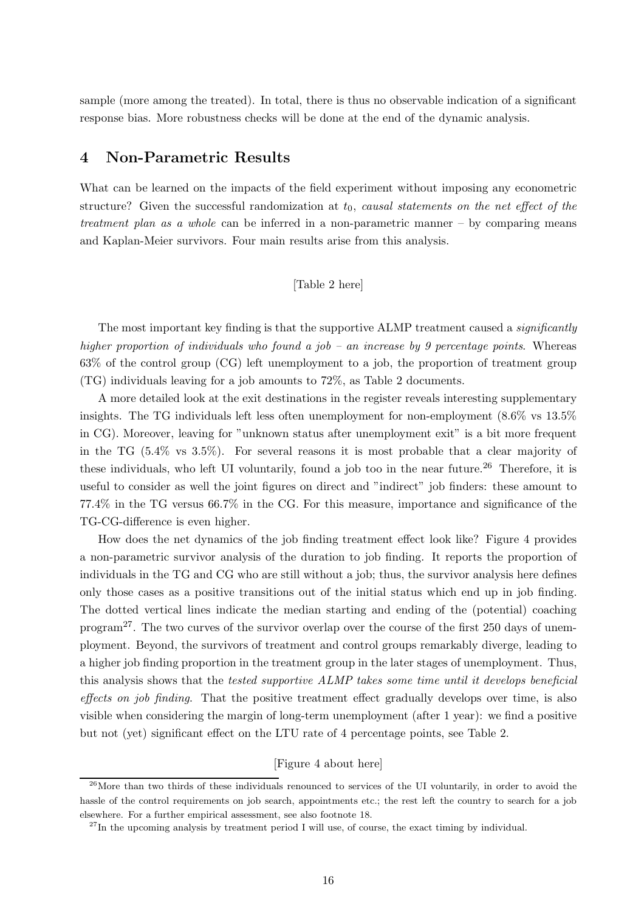sample (more among the treated). In total, there is thus no observable indication of a significant response bias. More robustness checks will be done at the end of the dynamic analysis.

## 4 Non-Parametric Results

What can be learned on the impacts of the field experiment without imposing any econometric structure? Given the successful randomization at  $t_0$ , causal statements on the net effect of the treatment plan as a whole can be inferred in a non-parametric manner  $-$  by comparing means and Kaplan-Meier survivors. Four main results arise from this analysis.

#### [Table 2 here]

The most important key finding is that the supportive ALMP treatment caused a *significantly* higher proportion of individuals who found a job – an increase by 9 percentage points. Whereas 63% of the control group (CG) left unemployment to a job, the proportion of treatment group (TG) individuals leaving for a job amounts to 72%, as Table 2 documents.

A more detailed look at the exit destinations in the register reveals interesting supplementary insights. The TG individuals left less often unemployment for non-employment (8.6% vs 13.5% in CG). Moreover, leaving for "unknown status after unemployment exit" is a bit more frequent in the TG (5.4% vs 3.5%). For several reasons it is most probable that a clear majority of these individuals, who left UI voluntarily, found a job too in the near future.<sup>26</sup> Therefore, it is useful to consider as well the joint figures on direct and "indirect" job finders: these amount to 77.4% in the TG versus 66.7% in the CG. For this measure, importance and significance of the TG-CG-difference is even higher.

How does the net dynamics of the job finding treatment effect look like? Figure 4 provides a non-parametric survivor analysis of the duration to job finding. It reports the proportion of individuals in the TG and CG who are still without a job; thus, the survivor analysis here defines only those cases as a positive transitions out of the initial status which end up in job finding. The dotted vertical lines indicate the median starting and ending of the (potential) coaching program<sup>27</sup>. The two curves of the survivor overlap over the course of the first 250 days of unemployment. Beyond, the survivors of treatment and control groups remarkably diverge, leading to a higher job finding proportion in the treatment group in the later stages of unemployment. Thus, this analysis shows that the tested supportive ALMP takes some time until it develops beneficial effects on job finding. That the positive treatment effect gradually develops over time, is also visible when considering the margin of long-term unemployment (after 1 year): we find a positive but not (yet) significant effect on the LTU rate of 4 percentage points, see Table 2.

#### [Figure 4 about here]

<sup>&</sup>lt;sup>26</sup>More than two thirds of these individuals renounced to services of the UI voluntarily, in order to avoid the hassle of the control requirements on job search, appointments etc.; the rest left the country to search for a job elsewhere. For a further empirical assessment, see also footnote 18.

 $^{27}$ In the upcoming analysis by treatment period I will use, of course, the exact timing by individual.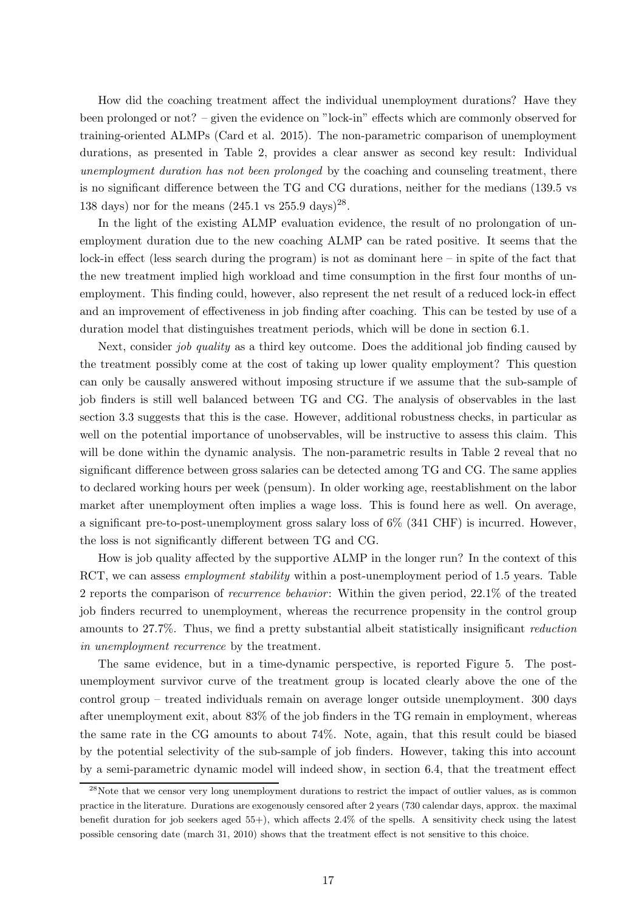How did the coaching treatment affect the individual unemployment durations? Have they been prolonged or not? – given the evidence on "lock-in" effects which are commonly observed for training-oriented ALMPs (Card et al. 2015). The non-parametric comparison of unemployment durations, as presented in Table 2, provides a clear answer as second key result: Individual unemployment duration has not been prolonged by the coaching and counseling treatment, there is no significant difference between the TG and CG durations, neither for the medians (139.5 vs 138 days) nor for the means  $(245.1 \text{ vs } 255.9 \text{ days})^{28}$ .

In the light of the existing ALMP evaluation evidence, the result of no prolongation of unemployment duration due to the new coaching ALMP can be rated positive. It seems that the lock-in effect (less search during the program) is not as dominant here – in spite of the fact that the new treatment implied high workload and time consumption in the first four months of unemployment. This finding could, however, also represent the net result of a reduced lock-in effect and an improvement of effectiveness in job finding after coaching. This can be tested by use of a duration model that distinguishes treatment periods, which will be done in section 6.1.

Next, consider job quality as a third key outcome. Does the additional job finding caused by the treatment possibly come at the cost of taking up lower quality employment? This question can only be causally answered without imposing structure if we assume that the sub-sample of job finders is still well balanced between TG and CG. The analysis of observables in the last section 3.3 suggests that this is the case. However, additional robustness checks, in particular as well on the potential importance of unobservables, will be instructive to assess this claim. This will be done within the dynamic analysis. The non-parametric results in Table 2 reveal that no significant difference between gross salaries can be detected among TG and CG. The same applies to declared working hours per week (pensum). In older working age, reestablishment on the labor market after unemployment often implies a wage loss. This is found here as well. On average, a significant pre-to-post-unemployment gross salary loss of 6% (341 CHF) is incurred. However, the loss is not significantly different between TG and CG.

How is job quality affected by the supportive ALMP in the longer run? In the context of this RCT, we can assess *employment stability* within a post-unemployment period of 1.5 years. Table 2 reports the comparison of *recurrence behavior*: Within the given period, 22.1% of the treated job finders recurred to unemployment, whereas the recurrence propensity in the control group amounts to 27.7%. Thus, we find a pretty substantial albeit statistically insignificant reduction in unemployment recurrence by the treatment.

The same evidence, but in a time-dynamic perspective, is reported Figure 5. The postunemployment survivor curve of the treatment group is located clearly above the one of the control group – treated individuals remain on average longer outside unemployment. 300 days after unemployment exit, about 83% of the job finders in the TG remain in employment, whereas the same rate in the CG amounts to about 74%. Note, again, that this result could be biased by the potential selectivity of the sub-sample of job finders. However, taking this into account by a semi-parametric dynamic model will indeed show, in section 6.4, that the treatment effect

<sup>&</sup>lt;sup>28</sup>Note that we censor very long unemployment durations to restrict the impact of outlier values, as is common practice in the literature. Durations are exogenously censored after 2 years (730 calendar days, approx. the maximal benefit duration for job seekers aged 55+), which affects 2.4% of the spells. A sensitivity check using the latest possible censoring date (march 31, 2010) shows that the treatment effect is not sensitive to this choice.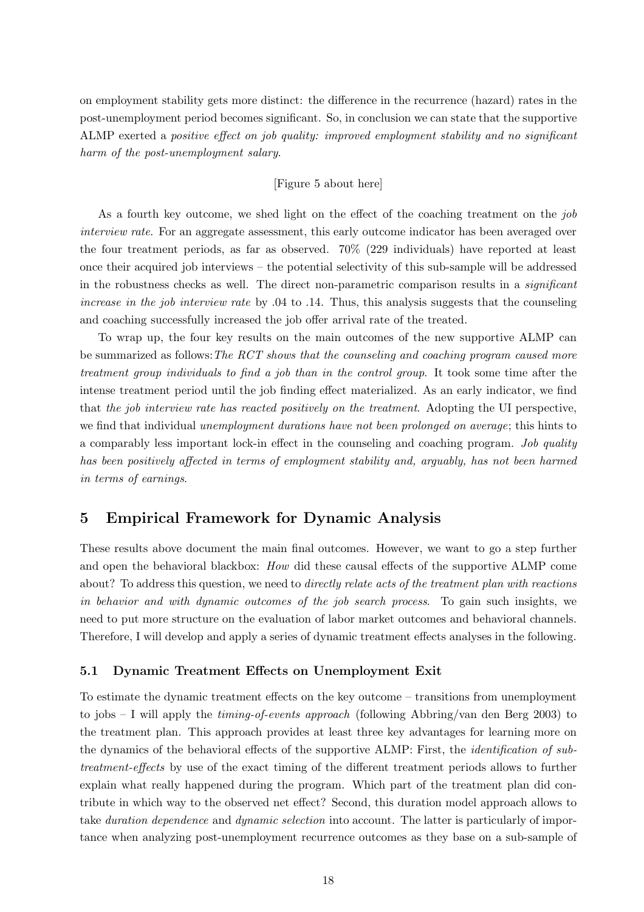on employment stability gets more distinct: the difference in the recurrence (hazard) rates in the post-unemployment period becomes significant. So, in conclusion we can state that the supportive ALMP exerted a positive effect on job quality: improved employment stability and no significant harm of the post-unemployment salary.

#### [Figure 5 about here]

As a fourth key outcome, we shed light on the effect of the coaching treatment on the job interview rate. For an aggregate assessment, this early outcome indicator has been averaged over the four treatment periods, as far as observed. 70% (229 individuals) have reported at least once their acquired job interviews – the potential selectivity of this sub-sample will be addressed in the robustness checks as well. The direct non-parametric comparison results in a significant increase in the job interview rate by .04 to .14. Thus, this analysis suggests that the counseling and coaching successfully increased the job offer arrival rate of the treated.

To wrap up, the four key results on the main outcomes of the new supportive ALMP can be summarized as follows: The RCT shows that the counseling and coaching program caused more treatment group individuals to find a job than in the control group. It took some time after the intense treatment period until the job finding effect materialized. As an early indicator, we find that the job interview rate has reacted positively on the treatment. Adopting the UI perspective, we find that individual unemployment durations have not been prolonged on average; this hints to a comparably less important lock-in effect in the counseling and coaching program. Job quality has been positively affected in terms of employment stability and, arguably, has not been harmed in terms of earnings.

## 5 Empirical Framework for Dynamic Analysis

These results above document the main final outcomes. However, we want to go a step further and open the behavioral blackbox: How did these causal effects of the supportive ALMP come about? To address this question, we need to *directly relate acts of the treatment plan with reactions* in behavior and with dynamic outcomes of the job search process. To gain such insights, we need to put more structure on the evaluation of labor market outcomes and behavioral channels. Therefore, I will develop and apply a series of dynamic treatment effects analyses in the following.

#### 5.1 Dynamic Treatment Effects on Unemployment Exit

To estimate the dynamic treatment effects on the key outcome – transitions from unemployment to jobs  $-1$  will apply the *timing-of-events approach* (following Abbring/van den Berg 2003) to the treatment plan. This approach provides at least three key advantages for learning more on the dynamics of the behavioral effects of the supportive ALMP: First, the identification of subtreatment-effects by use of the exact timing of the different treatment periods allows to further explain what really happened during the program. Which part of the treatment plan did contribute in which way to the observed net effect? Second, this duration model approach allows to take *duration dependence* and *dynamic selection* into account. The latter is particularly of importance when analyzing post-unemployment recurrence outcomes as they base on a sub-sample of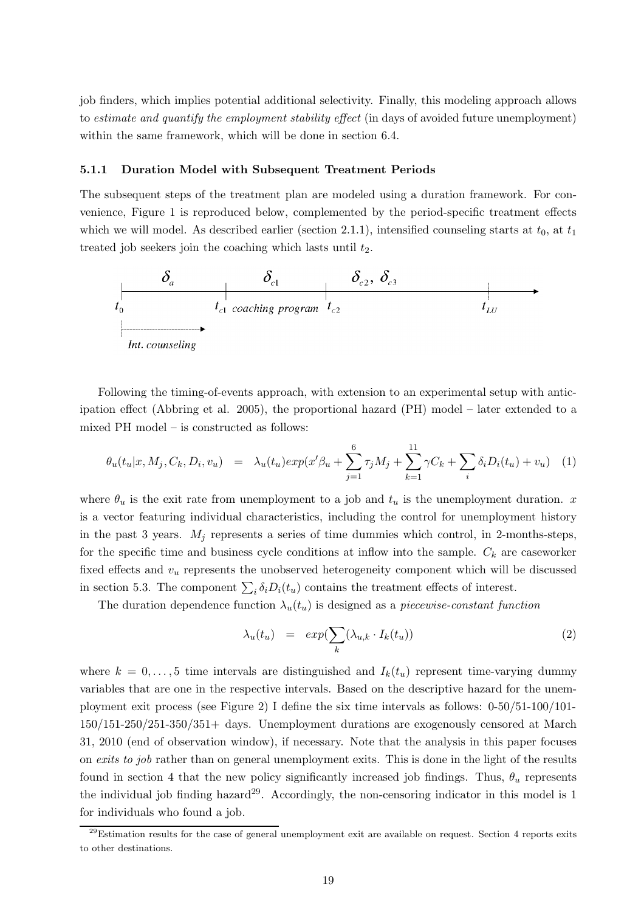job finders, which implies potential additional selectivity. Finally, this modeling approach allows to estimate and quantify the employment stability effect (in days of avoided future unemployment) within the same framework, which will be done in section 6.4.

#### 5.1.1 Duration Model with Subsequent Treatment Periods

The subsequent steps of the treatment plan are modeled using a duration framework. For convenience, Figure 1 is reproduced below, complemented by the period-specific treatment effects which we will model. As described earlier (section 2.1.1), intensified counseling starts at  $t_0$ , at  $t_1$ treated job seekers join the coaching which lasts until  $t_2$ .



Following the timing-of-events approach, with extension to an experimental setup with anticipation effect (Abbring et al. 2005), the proportional hazard (PH) model – later extended to a mixed PH model – is constructed as follows:

$$
\theta_u(t_u|x, M_j, C_k, D_i, v_u) = \lambda_u(t_u) \exp(x'\beta_u + \sum_{j=1}^6 \tau_j M_j + \sum_{k=1}^{11} \gamma C_k + \sum_i \delta_i D_i(t_u) + v_u) \tag{1}
$$

where  $\theta_u$  is the exit rate from unemployment to a job and  $t_u$  is the unemployment duration. x is a vector featuring individual characteristics, including the control for unemployment history in the past 3 years.  $M_i$  represents a series of time dummies which control, in 2-months-steps, for the specific time and business cycle conditions at inflow into the sample.  $C_k$  are caseworker fixed effects and  $v_u$  represents the unobserved heterogeneity component which will be discussed in section 5.3. The component  $\sum_i \delta_i D_i(t_u)$  contains the treatment effects of interest.

The duration dependence function  $\lambda_u(t_u)$  is designed as a piecewise-constant function

$$
\lambda_u(t_u) = exp(\sum_k (\lambda_{u,k} \cdot I_k(t_u))
$$
\n(2)

where  $k = 0, \ldots, 5$  time intervals are distinguished and  $I_k(t_u)$  represent time-varying dummy variables that are one in the respective intervals. Based on the descriptive hazard for the unemployment exit process (see Figure 2) I define the six time intervals as follows: 0-50/51-100/101- 150/151-250/251-350/351+ days. Unemployment durations are exogenously censored at March 31, 2010 (end of observation window), if necessary. Note that the analysis in this paper focuses on exits to job rather than on general unemployment exits. This is done in the light of the results found in section 4 that the new policy significantly increased job findings. Thus,  $\theta_u$  represents the individual job finding hazard<sup>29</sup>. Accordingly, the non-censoring indicator in this model is 1 for individuals who found a job.

 $^{29}$ Estimation results for the case of general unemployment exit are available on request. Section 4 reports exits to other destinations.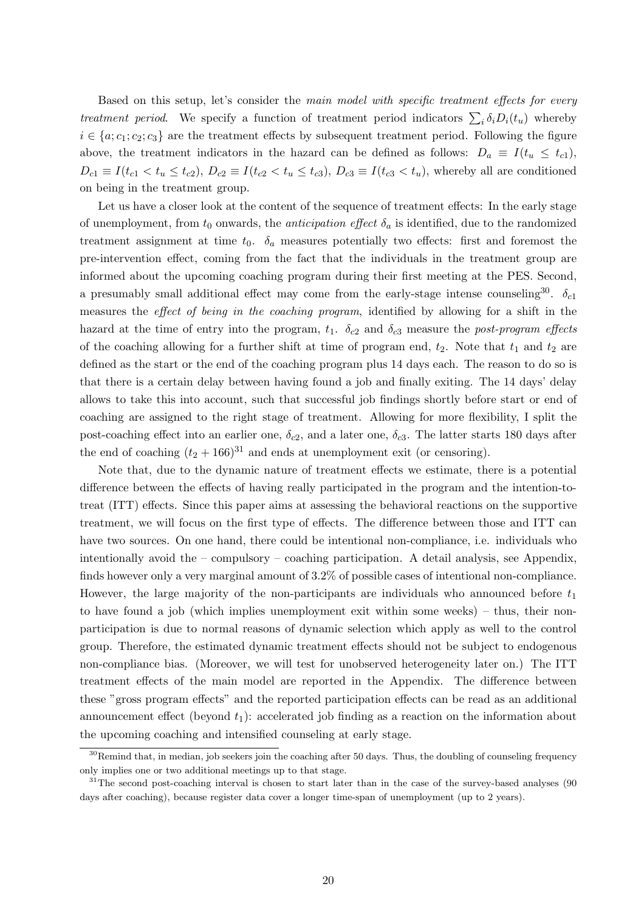Based on this setup, let's consider the main model with specific treatment effects for every treatment period. We specify a function of treatment period indicators  $\sum_i \delta_i D_i(t_u)$  whereby  $i \in \{a; c_1; c_2; c_3\}$  are the treatment effects by subsequent treatment period. Following the figure above, the treatment indicators in the hazard can be defined as follows:  $D_a \equiv I(t_u \leq t_{c1})$ ,  $D_{c1} \equiv I(t_{c1} < t_u \leq t_{c2}), D_{c2} \equiv I(t_{c2} < t_u \leq t_{c3}), D_{c3} \equiv I(t_{c3} < t_u),$  whereby all are conditioned on being in the treatment group.

Let us have a closer look at the content of the sequence of treatment effects: In the early stage of unemployment, from  $t_0$  onwards, the *anticipation effect*  $\delta_a$  is identified, due to the randomized treatment assignment at time  $t_0$ .  $\delta_a$  measures potentially two effects: first and foremost the pre-intervention effect, coming from the fact that the individuals in the treatment group are informed about the upcoming coaching program during their first meeting at the PES. Second, a presumably small additional effect may come from the early-stage intense counseling<sup>30</sup>.  $\delta_{c1}$ measures the effect of being in the coaching program, identified by allowing for a shift in the hazard at the time of entry into the program,  $t_1$ .  $\delta_{c2}$  and  $\delta_{c3}$  measure the post-program effects of the coaching allowing for a further shift at time of program end,  $t_2$ . Note that  $t_1$  and  $t_2$  are defined as the start or the end of the coaching program plus 14 days each. The reason to do so is that there is a certain delay between having found a job and finally exiting. The 14 days' delay allows to take this into account, such that successful job findings shortly before start or end of coaching are assigned to the right stage of treatment. Allowing for more flexibility, I split the post-coaching effect into an earlier one,  $\delta_{c2}$ , and a later one,  $\delta_{c3}$ . The latter starts 180 days after the end of coaching  $(t_2 + 166)^{31}$  and ends at unemployment exit (or censoring).

Note that, due to the dynamic nature of treatment effects we estimate, there is a potential difference between the effects of having really participated in the program and the intention-totreat (ITT) effects. Since this paper aims at assessing the behavioral reactions on the supportive treatment, we will focus on the first type of effects. The difference between those and ITT can have two sources. On one hand, there could be intentional non-compliance, i.e. individuals who intentionally avoid the – compulsory – coaching participation. A detail analysis, see Appendix, finds however only a very marginal amount of 3.2% of possible cases of intentional non-compliance. However, the large majority of the non-participants are individuals who announced before  $t_1$ to have found a job (which implies unemployment exit within some weeks) – thus, their nonparticipation is due to normal reasons of dynamic selection which apply as well to the control group. Therefore, the estimated dynamic treatment effects should not be subject to endogenous non-compliance bias. (Moreover, we will test for unobserved heterogeneity later on.) The ITT treatment effects of the main model are reported in the Appendix. The difference between these "gross program effects" and the reported participation effects can be read as an additional announcement effect (beyond  $t_1$ ): accelerated job finding as a reaction on the information about the upcoming coaching and intensified counseling at early stage.

 $30$ Remind that, in median, job seekers join the coaching after 50 days. Thus, the doubling of counseling frequency only implies one or two additional meetings up to that stage.

<sup>&</sup>lt;sup>31</sup>The second post-coaching interval is chosen to start later than in the case of the survey-based analyses (90 days after coaching), because register data cover a longer time-span of unemployment (up to 2 years).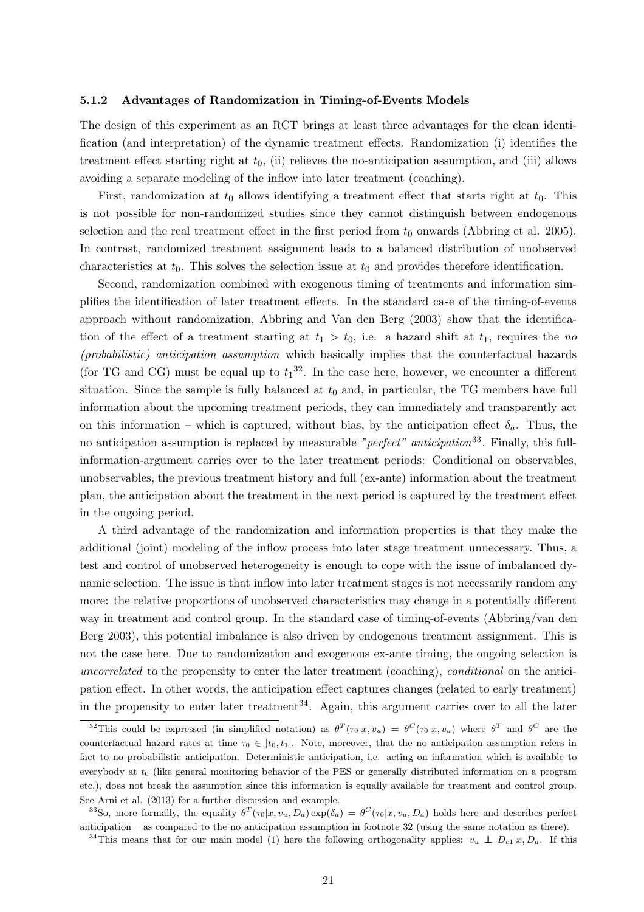#### 5.1.2 Advantages of Randomization in Timing-of-Events Models

The design of this experiment as an RCT brings at least three advantages for the clean identification (and interpretation) of the dynamic treatment effects. Randomization (i) identifies the treatment effect starting right at  $t_0$ , (ii) relieves the no-anticipation assumption, and (iii) allows avoiding a separate modeling of the inflow into later treatment (coaching).

First, randomization at  $t_0$  allows identifying a treatment effect that starts right at  $t_0$ . This is not possible for non-randomized studies since they cannot distinguish between endogenous selection and the real treatment effect in the first period from  $t_0$  onwards (Abbring et al. 2005). In contrast, randomized treatment assignment leads to a balanced distribution of unobserved characteristics at  $t_0$ . This solves the selection issue at  $t_0$  and provides therefore identification.

Second, randomization combined with exogenous timing of treatments and information simplifies the identification of later treatment effects. In the standard case of the timing-of-events approach without randomization, Abbring and Van den Berg (2003) show that the identification of the effect of a treatment starting at  $t_1 > t_0$ , i.e. a hazard shift at  $t_1$ , requires the no (probabilistic) anticipation assumption which basically implies that the counterfactual hazards (for TG and CG) must be equal up to  $t_1^{32}$ . In the case here, however, we encounter a different situation. Since the sample is fully balanced at  $t_0$  and, in particular, the TG members have full information about the upcoming treatment periods, they can immediately and transparently act on this information – which is captured, without bias, by the anticipation effect  $\delta_a$ . Thus, the no anticipation assumption is replaced by measurable "perfect" anticipation<sup>33</sup>. Finally, this fullinformation-argument carries over to the later treatment periods: Conditional on observables, unobservables, the previous treatment history and full (ex-ante) information about the treatment plan, the anticipation about the treatment in the next period is captured by the treatment effect in the ongoing period.

A third advantage of the randomization and information properties is that they make the additional (joint) modeling of the inflow process into later stage treatment unnecessary. Thus, a test and control of unobserved heterogeneity is enough to cope with the issue of imbalanced dynamic selection. The issue is that inflow into later treatment stages is not necessarily random any more: the relative proportions of unobserved characteristics may change in a potentially different way in treatment and control group. In the standard case of timing-of-events (Abbring/van den Berg 2003), this potential imbalance is also driven by endogenous treatment assignment. This is not the case here. Due to randomization and exogenous ex-ante timing, the ongoing selection is uncorrelated to the propensity to enter the later treatment (coaching), conditional on the anticipation effect. In other words, the anticipation effect captures changes (related to early treatment) in the propensity to enter later treatment<sup>34</sup>. Again, this argument carries over to all the later

<sup>&</sup>lt;sup>32</sup>This could be expressed (in simplified notation) as  $\theta^T(\tau_0|x,v_u) = \theta^C(\tau_0|x,v_u)$  where  $\theta^T$  and  $\theta^C$  are the counterfactual hazard rates at time  $\tau_0 \in [t_0, t_1]$ . Note, moreover, that the no anticipation assumption refers in fact to no probabilistic anticipation. Deterministic anticipation, i.e. acting on information which is available to everybody at  $t_0$  (like general monitoring behavior of the PES or generally distributed information on a program etc.), does not break the assumption since this information is equally available for treatment and control group. See Arni et al. (2013) for a further discussion and example.

<sup>&</sup>lt;sup>33</sup>So, more formally, the equality  $\theta^T(\tau_0|x, v_u, D_a) \exp(\delta_a) = \theta^C(\tau_0|x, v_u, D_a)$  holds here and describes perfect anticipation – as compared to the no anticipation assumption in footnote 32 (using the same notation as there).

<sup>&</sup>lt;sup>34</sup>This means that for our main model (1) here the following orthogonality applies:  $v_u \perp D_{c1}|x, D_a$ . If this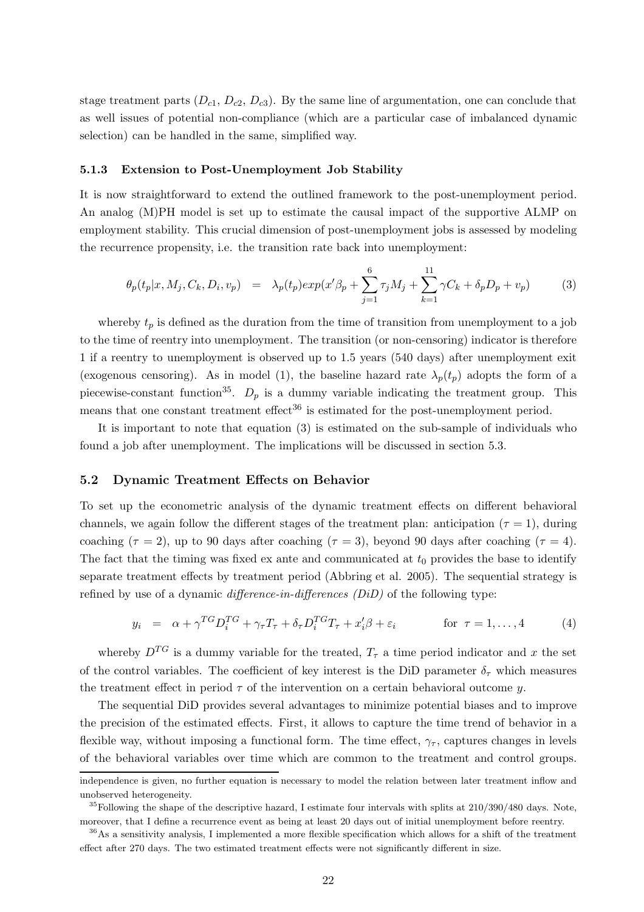stage treatment parts  $(D_{c1}, D_{c2}, D_{c3})$ . By the same line of argumentation, one can conclude that as well issues of potential non-compliance (which are a particular case of imbalanced dynamic selection) can be handled in the same, simplified way.

#### 5.1.3 Extension to Post-Unemployment Job Stability

It is now straightforward to extend the outlined framework to the post-unemployment period. An analog (M)PH model is set up to estimate the causal impact of the supportive ALMP on employment stability. This crucial dimension of post-unemployment jobs is assessed by modeling the recurrence propensity, i.e. the transition rate back into unemployment:

$$
\theta_p(t_p|x, M_j, C_k, D_i, v_p) = \lambda_p(t_p) exp(x'\beta_p + \sum_{j=1}^6 \tau_j M_j + \sum_{k=1}^{11} \gamma C_k + \delta_p D_p + v_p)
$$
(3)

whereby  $t_p$  is defined as the duration from the time of transition from unemployment to a job to the time of reentry into unemployment. The transition (or non-censoring) indicator is therefore 1 if a reentry to unemployment is observed up to 1.5 years (540 days) after unemployment exit (exogenous censoring). As in model (1), the baseline hazard rate  $\lambda_p(t_p)$  adopts the form of a piecewise-constant function<sup>35</sup>.  $D_p$  is a dummy variable indicating the treatment group. This means that one constant treatment effect<sup>36</sup> is estimated for the post-unemployment period.

It is important to note that equation (3) is estimated on the sub-sample of individuals who found a job after unemployment. The implications will be discussed in section 5.3.

#### 5.2 Dynamic Treatment Effects on Behavior

To set up the econometric analysis of the dynamic treatment effects on different behavioral channels, we again follow the different stages of the treatment plan: anticipation ( $\tau = 1$ ), during coaching ( $\tau = 2$ ), up to 90 days after coaching ( $\tau = 3$ ), beyond 90 days after coaching ( $\tau = 4$ ). The fact that the timing was fixed ex ante and communicated at  $t_0$  provides the base to identify separate treatment effects by treatment period (Abbring et al. 2005). The sequential strategy is refined by use of a dynamic *difference-in-differences*  $(DiD)$  of the following type:

$$
y_i = \alpha + \gamma^{TG} D_i^{TG} + \gamma_\tau T_\tau + \delta_\tau D_i^{TG} T_\tau + x_i' \beta + \varepsilon_i \qquad \text{for } \tau = 1, ..., 4 \qquad (4)
$$

whereby  $D^{TG}$  is a dummy variable for the treated,  $T_{\tau}$  a time period indicator and x the set of the control variables. The coefficient of key interest is the DiD parameter  $\delta_{\tau}$  which measures the treatment effect in period  $\tau$  of the intervention on a certain behavioral outcome y.

The sequential DiD provides several advantages to minimize potential biases and to improve the precision of the estimated effects. First, it allows to capture the time trend of behavior in a flexible way, without imposing a functional form. The time effect,  $\gamma_{\tau}$ , captures changes in levels of the behavioral variables over time which are common to the treatment and control groups.

independence is given, no further equation is necessary to model the relation between later treatment inflow and unobserved heterogeneity.

 $35$ Following the shape of the descriptive hazard, I estimate four intervals with splits at  $210/390/480$  days. Note, moreover, that I define a recurrence event as being at least 20 days out of initial unemployment before reentry.

<sup>36</sup>As a sensitivity analysis, I implemented a more flexible specification which allows for a shift of the treatment effect after 270 days. The two estimated treatment effects were not significantly different in size.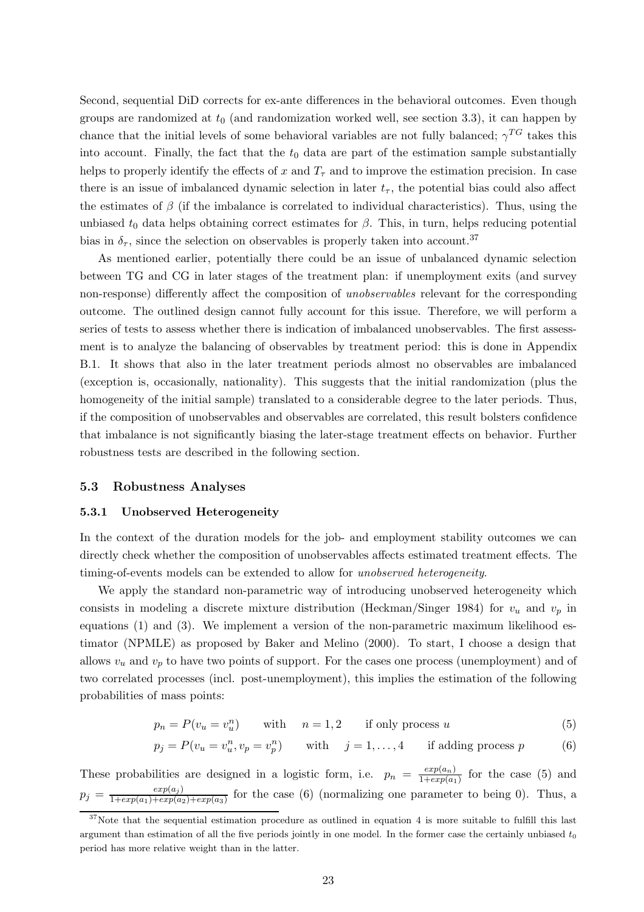Second, sequential DiD corrects for ex-ante differences in the behavioral outcomes. Even though groups are randomized at  $t_0$  (and randomization worked well, see section 3.3), it can happen by chance that the initial levels of some behavioral variables are not fully balanced;  $\gamma^{TG}$  takes this into account. Finally, the fact that the  $t_0$  data are part of the estimation sample substantially helps to properly identify the effects of x and  $T<sub>\tau</sub>$  and to improve the estimation precision. In case there is an issue of imbalanced dynamic selection in later  $t_{\tau}$ , the potential bias could also affect the estimates of  $\beta$  (if the imbalance is correlated to individual characteristics). Thus, using the unbiased  $t_0$  data helps obtaining correct estimates for  $\beta$ . This, in turn, helps reducing potential bias in  $\delta_{\tau}$ , since the selection on observables is properly taken into account.<sup>37</sup>

As mentioned earlier, potentially there could be an issue of unbalanced dynamic selection between TG and CG in later stages of the treatment plan: if unemployment exits (and survey non-response) differently affect the composition of unobservables relevant for the corresponding outcome. The outlined design cannot fully account for this issue. Therefore, we will perform a series of tests to assess whether there is indication of imbalanced unobservables. The first assessment is to analyze the balancing of observables by treatment period: this is done in Appendix B.1. It shows that also in the later treatment periods almost no observables are imbalanced (exception is, occasionally, nationality). This suggests that the initial randomization (plus the homogeneity of the initial sample) translated to a considerable degree to the later periods. Thus, if the composition of unobservables and observables are correlated, this result bolsters confidence that imbalance is not significantly biasing the later-stage treatment effects on behavior. Further robustness tests are described in the following section.

#### 5.3 Robustness Analyses

#### 5.3.1 Unobserved Heterogeneity

In the context of the duration models for the job- and employment stability outcomes we can directly check whether the composition of unobservables affects estimated treatment effects. The timing-of-events models can be extended to allow for unobserved heterogeneity.

We apply the standard non-parametric way of introducing unobserved heterogeneity which consists in modeling a discrete mixture distribution (Heckman/Singer 1984) for  $v_u$  and  $v_p$  in equations (1) and (3). We implement a version of the non-parametric maximum likelihood estimator (NPMLE) as proposed by Baker and Melino (2000). To start, I choose a design that allows  $v_u$  and  $v_p$  to have two points of support. For the cases one process (unemployment) and of two correlated processes (incl. post-unemployment), this implies the estimation of the following probabilities of mass points:

$$
p_n = P(v_u = v_u^n) \qquad \text{with} \qquad n = 1, 2 \qquad \text{if only process } u \tag{5}
$$

$$
p_j = P(v_u = v_u^n, v_p = v_p^n) \qquad \text{with} \quad j = 1, \dots, 4 \qquad \text{if adding process } p \tag{6}
$$

These probabilities are designed in a logistic form, i.e.  $p_n = \frac{exp(a_n)}{1 + exp(a_n)}$  $\frac{exp(a_n)}{1+exp(a_1)}$  for the case (5) and  $p_j = \frac{exp(a_j)}{1+exp(a_1)+exp(a_2)}$  $\frac{exp(a_j)}{1+exp(a_1)+exp(a_2)+exp(a_3)}$  for the case (6) (normalizing one parameter to being 0). Thus, a

<sup>&</sup>lt;sup>37</sup>Note that the sequential estimation procedure as outlined in equation 4 is more suitable to fulfill this last argument than estimation of all the five periods jointly in one model. In the former case the certainly unbiased  $t_0$ period has more relative weight than in the latter.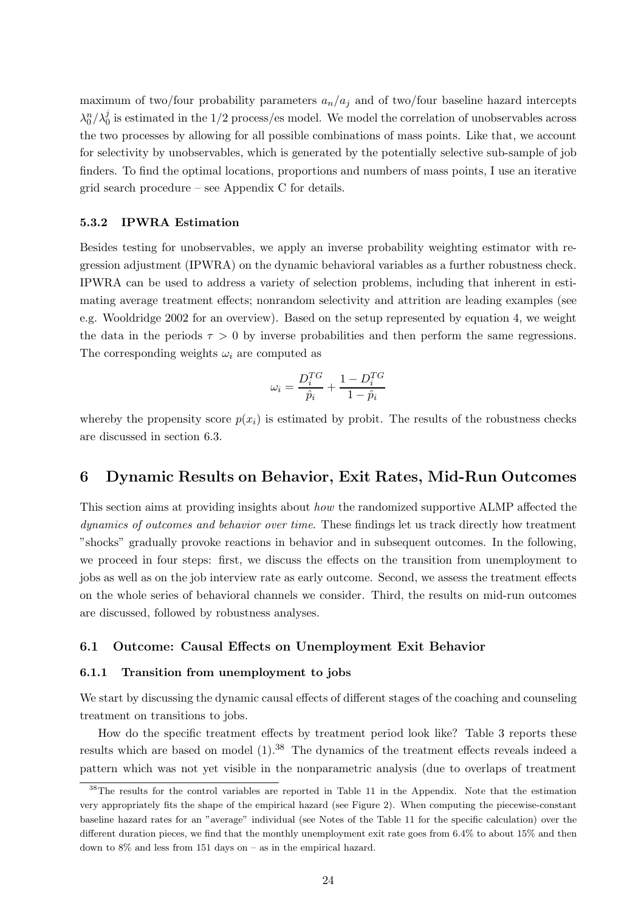maximum of two/four probability parameters  $a_n/a_j$  and of two/four baseline hazard intercepts  $\lambda_0^n/\lambda_0^j$  $\frac{1}{0}$  is estimated in the 1/2 process/es model. We model the correlation of unobservables across the two processes by allowing for all possible combinations of mass points. Like that, we account for selectivity by unobservables, which is generated by the potentially selective sub-sample of job finders. To find the optimal locations, proportions and numbers of mass points, I use an iterative grid search procedure – see Appendix C for details.

#### 5.3.2 IPWRA Estimation

Besides testing for unobservables, we apply an inverse probability weighting estimator with regression adjustment (IPWRA) on the dynamic behavioral variables as a further robustness check. IPWRA can be used to address a variety of selection problems, including that inherent in estimating average treatment effects; nonrandom selectivity and attrition are leading examples (see e.g. Wooldridge 2002 for an overview). Based on the setup represented by equation 4, we weight the data in the periods  $\tau > 0$  by inverse probabilities and then perform the same regressions. The corresponding weights  $\omega_i$  are computed as

$$
\omega_i = \frac{D_i^{TG}}{\hat{p}_i} + \frac{1 - D_i^{TG}}{1 - \hat{p}_i}
$$

whereby the propensity score  $p(x_i)$  is estimated by probit. The results of the robustness checks are discussed in section 6.3.

### 6 Dynamic Results on Behavior, Exit Rates, Mid-Run Outcomes

This section aims at providing insights about how the randomized supportive ALMP affected the dynamics of outcomes and behavior over time. These findings let us track directly how treatment "shocks" gradually provoke reactions in behavior and in subsequent outcomes. In the following, we proceed in four steps: first, we discuss the effects on the transition from unemployment to jobs as well as on the job interview rate as early outcome. Second, we assess the treatment effects on the whole series of behavioral channels we consider. Third, the results on mid-run outcomes are discussed, followed by robustness analyses.

#### 6.1 Outcome: Causal Effects on Unemployment Exit Behavior

#### 6.1.1 Transition from unemployment to jobs

We start by discussing the dynamic causal effects of different stages of the coaching and counseling treatment on transitions to jobs.

How do the specific treatment effects by treatment period look like? Table 3 reports these results which are based on model  $(1).<sup>38</sup>$  The dynamics of the treatment effects reveals indeed a pattern which was not yet visible in the nonparametric analysis (due to overlaps of treatment

<sup>&</sup>lt;sup>38</sup>The results for the control variables are reported in Table 11 in the Appendix. Note that the estimation very appropriately fits the shape of the empirical hazard (see Figure 2). When computing the piecewise-constant baseline hazard rates for an "average" individual (see Notes of the Table 11 for the specific calculation) over the different duration pieces, we find that the monthly unemployment exit rate goes from 6.4% to about 15% and then down to 8% and less from 151 days on – as in the empirical hazard.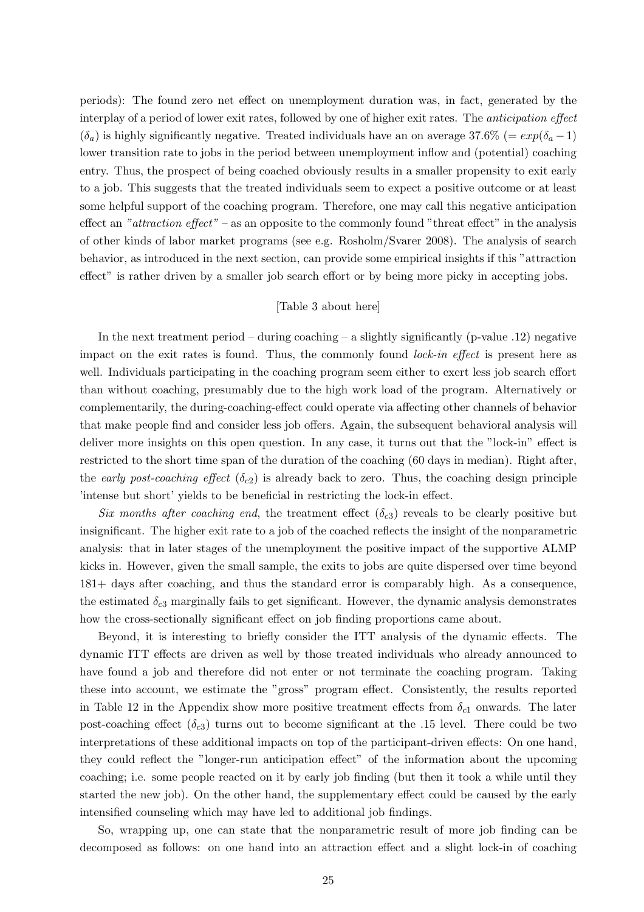periods): The found zero net effect on unemployment duration was, in fact, generated by the interplay of a period of lower exit rates, followed by one of higher exit rates. The anticipation effect  $(\delta_a)$  is highly significantly negative. Treated individuals have an on average 37.6% (=  $exp(\delta_a - 1)$ ) lower transition rate to jobs in the period between unemployment inflow and (potential) coaching entry. Thus, the prospect of being coached obviously results in a smaller propensity to exit early to a job. This suggests that the treated individuals seem to expect a positive outcome or at least some helpful support of the coaching program. Therefore, one may call this negative anticipation effect an "attraction effect" – as an opposite to the commonly found "threat effect" in the analysis of other kinds of labor market programs (see e.g. Rosholm/Svarer 2008). The analysis of search behavior, as introduced in the next section, can provide some empirical insights if this "attraction effect" is rather driven by a smaller job search effort or by being more picky in accepting jobs.

#### [Table 3 about here]

In the next treatment period – during coaching – a slightly significantly (p-value .12) negative impact on the exit rates is found. Thus, the commonly found lock-in effect is present here as well. Individuals participating in the coaching program seem either to exert less job search effort than without coaching, presumably due to the high work load of the program. Alternatively or complementarily, the during-coaching-effect could operate via affecting other channels of behavior that make people find and consider less job offers. Again, the subsequent behavioral analysis will deliver more insights on this open question. In any case, it turns out that the "lock-in" effect is restricted to the short time span of the duration of the coaching (60 days in median). Right after, the early post-coaching effect  $(\delta_{c2})$  is already back to zero. Thus, the coaching design principle 'intense but short' yields to be beneficial in restricting the lock-in effect.

Six months after coaching end, the treatment effect  $(\delta_{c3})$  reveals to be clearly positive but insignificant. The higher exit rate to a job of the coached reflects the insight of the nonparametric analysis: that in later stages of the unemployment the positive impact of the supportive ALMP kicks in. However, given the small sample, the exits to jobs are quite dispersed over time beyond 181+ days after coaching, and thus the standard error is comparably high. As a consequence, the estimated  $\delta_{c3}$  marginally fails to get significant. However, the dynamic analysis demonstrates how the cross-sectionally significant effect on job finding proportions came about.

Beyond, it is interesting to briefly consider the ITT analysis of the dynamic effects. The dynamic ITT effects are driven as well by those treated individuals who already announced to have found a job and therefore did not enter or not terminate the coaching program. Taking these into account, we estimate the "gross" program effect. Consistently, the results reported in Table 12 in the Appendix show more positive treatment effects from  $\delta_{c1}$  onwards. The later post-coaching effect  $(\delta_{c3})$  turns out to become significant at the .15 level. There could be two interpretations of these additional impacts on top of the participant-driven effects: On one hand, they could reflect the "longer-run anticipation effect" of the information about the upcoming coaching; i.e. some people reacted on it by early job finding (but then it took a while until they started the new job). On the other hand, the supplementary effect could be caused by the early intensified counseling which may have led to additional job findings.

So, wrapping up, one can state that the nonparametric result of more job finding can be decomposed as follows: on one hand into an attraction effect and a slight lock-in of coaching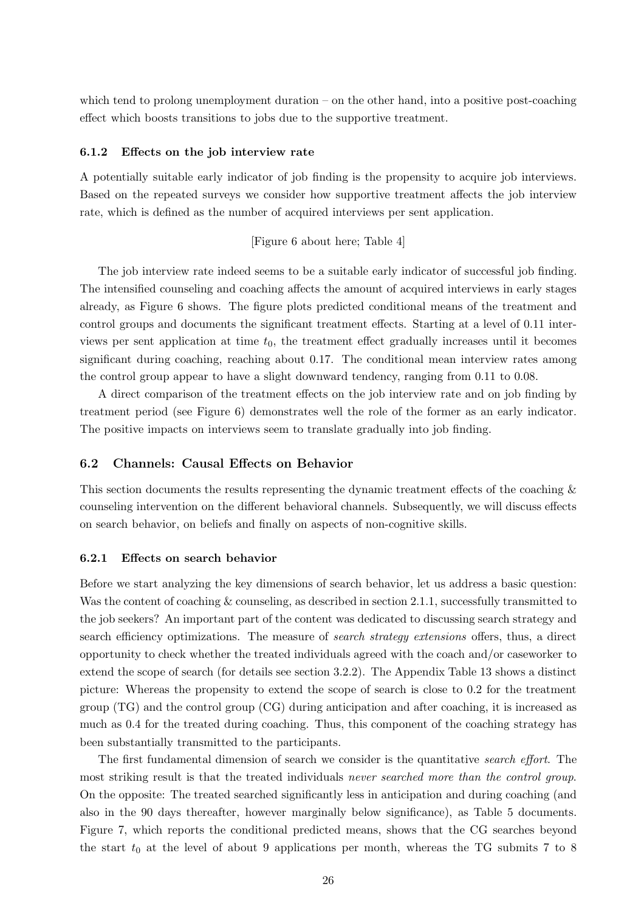which tend to prolong unemployment duration – on the other hand, into a positive post-coaching effect which boosts transitions to jobs due to the supportive treatment.

#### 6.1.2 Effects on the job interview rate

A potentially suitable early indicator of job finding is the propensity to acquire job interviews. Based on the repeated surveys we consider how supportive treatment affects the job interview rate, which is defined as the number of acquired interviews per sent application.

#### [Figure 6 about here; Table 4]

The job interview rate indeed seems to be a suitable early indicator of successful job finding. The intensified counseling and coaching affects the amount of acquired interviews in early stages already, as Figure 6 shows. The figure plots predicted conditional means of the treatment and control groups and documents the significant treatment effects. Starting at a level of 0.11 interviews per sent application at time  $t_0$ , the treatment effect gradually increases until it becomes significant during coaching, reaching about 0.17. The conditional mean interview rates among the control group appear to have a slight downward tendency, ranging from 0.11 to 0.08.

A direct comparison of the treatment effects on the job interview rate and on job finding by treatment period (see Figure 6) demonstrates well the role of the former as an early indicator. The positive impacts on interviews seem to translate gradually into job finding.

#### 6.2 Channels: Causal Effects on Behavior

This section documents the results representing the dynamic treatment effects of the coaching & counseling intervention on the different behavioral channels. Subsequently, we will discuss effects on search behavior, on beliefs and finally on aspects of non-cognitive skills.

#### 6.2.1 Effects on search behavior

Before we start analyzing the key dimensions of search behavior, let us address a basic question: Was the content of coaching & counseling, as described in section 2.1.1, successfully transmitted to the job seekers? An important part of the content was dedicated to discussing search strategy and search efficiency optimizations. The measure of *search strategy extensions* offers, thus, a direct opportunity to check whether the treated individuals agreed with the coach and/or caseworker to extend the scope of search (for details see section 3.2.2). The Appendix Table 13 shows a distinct picture: Whereas the propensity to extend the scope of search is close to 0.2 for the treatment group (TG) and the control group (CG) during anticipation and after coaching, it is increased as much as 0.4 for the treated during coaching. Thus, this component of the coaching strategy has been substantially transmitted to the participants.

The first fundamental dimension of search we consider is the quantitative *search effort*. The most striking result is that the treated individuals never searched more than the control group. On the opposite: The treated searched significantly less in anticipation and during coaching (and also in the 90 days thereafter, however marginally below significance), as Table 5 documents. Figure 7, which reports the conditional predicted means, shows that the CG searches beyond the start  $t_0$  at the level of about 9 applications per month, whereas the TG submits 7 to 8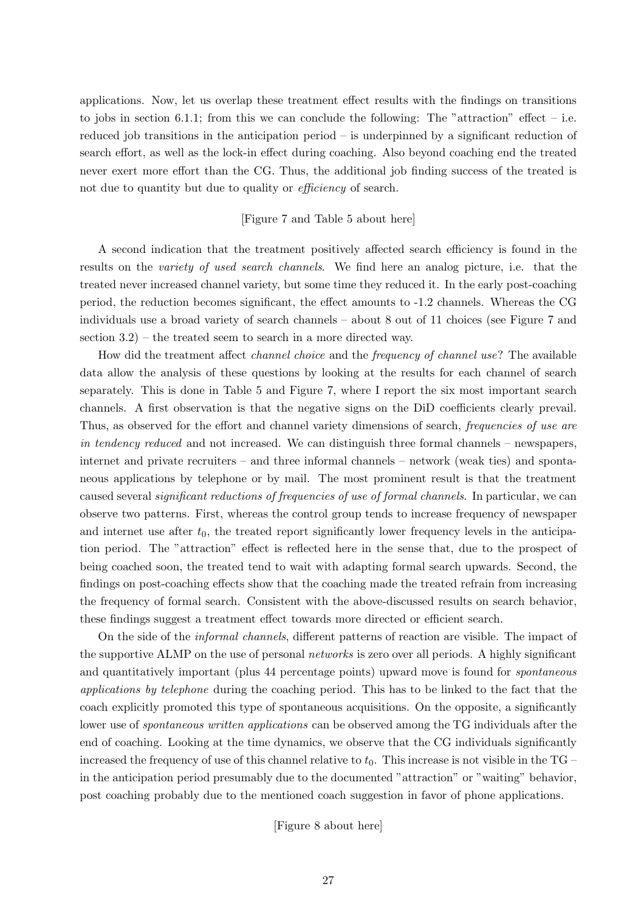applications. Now, let us overlap these treatment effect results with the findings on transitions to jobs in section 6.1.1; from this we can conclude the following: The "attraction" effect – i.e. reduced job transitions in the anticipation period – is underpinned by a significant reduction of search effort, as well as the lock-in effect during coaching. Also beyond coaching end the treated never exert more effort than the CG. Thus, the additional job finding success of the treated is not due to quantity but due to quality or *efficiency* of search.

#### [Figure 7 and Table 5 about here]

A second indication that the treatment positively affected search efficiency is found in the results on the variety of used search channels. We find here an analog picture, i.e. that the treated never increased channel variety, but some time they reduced it. In the early post-coaching period, the reduction becomes significant, the effect amounts to -1.2 channels. Whereas the CG individuals use a broad variety of search channels – about 8 out of 11 choices (see Figure 7 and section 3.2) – the treated seem to search in a more directed way.

How did the treatment affect channel choice and the frequency of channel use? The available data allow the analysis of these questions by looking at the results for each channel of search separately. This is done in Table 5 and Figure 7, where I report the six most important search channels. A first observation is that the negative signs on the DiD coefficients clearly prevail. Thus, as observed for the effort and channel variety dimensions of search, *frequencies of use are* in tendency reduced and not increased. We can distinguish three formal channels – newspapers, internet and private recruiters – and three informal channels – network (weak ties) and spontaneous applications by telephone or by mail. The most prominent result is that the treatment caused several significant reductions of frequencies of use of formal channels. In particular, we can observe two patterns. First, whereas the control group tends to increase frequency of newspaper and internet use after  $t_0$ , the treated report significantly lower frequency levels in the anticipation period. The "attraction" effect is reflected here in the sense that, due to the prospect of being coached soon, the treated tend to wait with adapting formal search upwards. Second, the findings on post-coaching effects show that the coaching made the treated refrain from increasing the frequency of formal search. Consistent with the above-discussed results on search behavior, these findings suggest a treatment effect towards more directed or efficient search.

On the side of the informal channels, different patterns of reaction are visible. The impact of the supportive ALMP on the use of personal networks is zero over all periods. A highly significant and quantitatively important (plus 44 percentage points) upward move is found for spontaneous applications by telephone during the coaching period. This has to be linked to the fact that the coach explicitly promoted this type of spontaneous acquisitions. On the opposite, a significantly lower use of *spontaneous written applications* can be observed among the TG individuals after the end of coaching. Looking at the time dynamics, we observe that the CG individuals significantly increased the frequency of use of this channel relative to  $t_0$ . This increase is not visible in the TG – in the anticipation period presumably due to the documented "attraction" or "waiting" behavior, post coaching probably due to the mentioned coach suggestion in favor of phone applications.

[Figure 8 about here]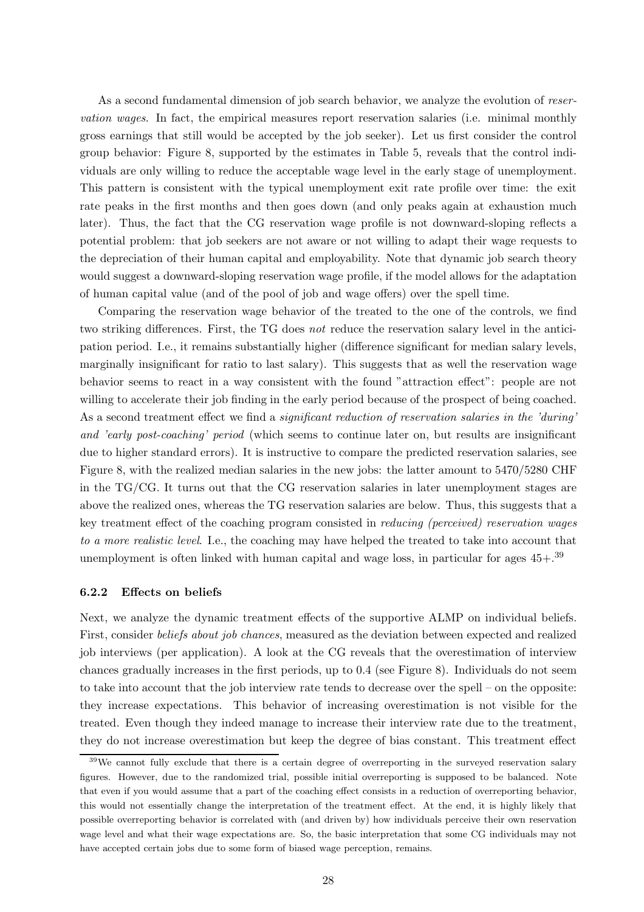As a second fundamental dimension of job search behavior, we analyze the evolution of reservation wages. In fact, the empirical measures report reservation salaries (i.e. minimal monthly gross earnings that still would be accepted by the job seeker). Let us first consider the control group behavior: Figure 8, supported by the estimates in Table 5, reveals that the control individuals are only willing to reduce the acceptable wage level in the early stage of unemployment. This pattern is consistent with the typical unemployment exit rate profile over time: the exit rate peaks in the first months and then goes down (and only peaks again at exhaustion much later). Thus, the fact that the CG reservation wage profile is not downward-sloping reflects a potential problem: that job seekers are not aware or not willing to adapt their wage requests to the depreciation of their human capital and employability. Note that dynamic job search theory would suggest a downward-sloping reservation wage profile, if the model allows for the adaptation of human capital value (and of the pool of job and wage offers) over the spell time.

Comparing the reservation wage behavior of the treated to the one of the controls, we find two striking differences. First, the TG does not reduce the reservation salary level in the anticipation period. I.e., it remains substantially higher (difference significant for median salary levels, marginally insignificant for ratio to last salary). This suggests that as well the reservation wage behavior seems to react in a way consistent with the found "attraction effect": people are not willing to accelerate their job finding in the early period because of the prospect of being coached. As a second treatment effect we find a *significant reduction of reservation salaries in the 'during'* and 'early post-coaching' period (which seems to continue later on, but results are insignificant due to higher standard errors). It is instructive to compare the predicted reservation salaries, see Figure 8, with the realized median salaries in the new jobs: the latter amount to 5470/5280 CHF in the TG/CG. It turns out that the CG reservation salaries in later unemployment stages are above the realized ones, whereas the TG reservation salaries are below. Thus, this suggests that a key treatment effect of the coaching program consisted in reducing (perceived) reservation wages to a more realistic level. I.e., the coaching may have helped the treated to take into account that unemployment is often linked with human capital and wage loss, in particular for ages  $45+.39$ 

#### 6.2.2 Effects on beliefs

Next, we analyze the dynamic treatment effects of the supportive ALMP on individual beliefs. First, consider beliefs about job chances, measured as the deviation between expected and realized job interviews (per application). A look at the CG reveals that the overestimation of interview chances gradually increases in the first periods, up to 0.4 (see Figure 8). Individuals do not seem to take into account that the job interview rate tends to decrease over the spell – on the opposite: they increase expectations. This behavior of increasing overestimation is not visible for the treated. Even though they indeed manage to increase their interview rate due to the treatment, they do not increase overestimation but keep the degree of bias constant. This treatment effect

<sup>&</sup>lt;sup>39</sup>We cannot fully exclude that there is a certain degree of overreporting in the surveyed reservation salary figures. However, due to the randomized trial, possible initial overreporting is supposed to be balanced. Note that even if you would assume that a part of the coaching effect consists in a reduction of overreporting behavior, this would not essentially change the interpretation of the treatment effect. At the end, it is highly likely that possible overreporting behavior is correlated with (and driven by) how individuals perceive their own reservation wage level and what their wage expectations are. So, the basic interpretation that some CG individuals may not have accepted certain jobs due to some form of biased wage perception, remains.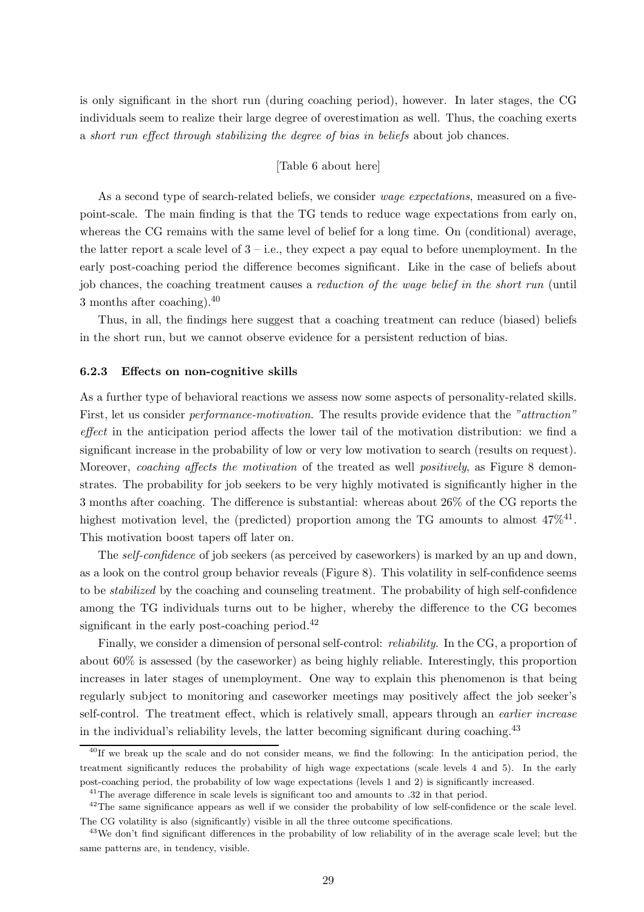is only significant in the short run (during coaching period), however. In later stages, the CG individuals seem to realize their large degree of overestimation as well. Thus, the coaching exerts a short run effect through stabilizing the degree of bias in beliefs about job chances.

#### [Table 6 about here]

As a second type of search-related beliefs, we consider *wage expectations*, measured on a fivepoint-scale. The main finding is that the TG tends to reduce wage expectations from early on, whereas the CG remains with the same level of belief for a long time. On (conditional) average, the latter report a scale level of  $3 - i.e.,$  they expect a pay equal to before unemployment. In the early post-coaching period the difference becomes significant. Like in the case of beliefs about job chances, the coaching treatment causes a reduction of the wage belief in the short run (until 3 months after coaching).<sup>40</sup>

Thus, in all, the findings here suggest that a coaching treatment can reduce (biased) beliefs in the short run, but we cannot observe evidence for a persistent reduction of bias.

#### 6.2.3 Effects on non-cognitive skills

As a further type of behavioral reactions we assess now some aspects of personality-related skills. First, let us consider *performance-motivation*. The results provide evidence that the "attraction" effect in the anticipation period affects the lower tail of the motivation distribution: we find a significant increase in the probability of low or very low motivation to search (results on request). Moreover, *coaching affects the motivation* of the treated as well *positively*, as Figure 8 demonstrates. The probability for job seekers to be very highly motivated is significantly higher in the 3 months after coaching. The difference is substantial: whereas about 26% of the CG reports the highest motivation level, the (predicted) proportion among the TG amounts to almost  $47\%^{41}$ . This motivation boost tapers off later on.

The self-confidence of job seekers (as perceived by caseworkers) is marked by an up and down, as a look on the control group behavior reveals (Figure 8). This volatility in self-confidence seems to be stabilized by the coaching and counseling treatment. The probability of high self-confidence among the TG individuals turns out to be higher, whereby the difference to the CG becomes significant in the early post-coaching period.<sup>42</sup>

Finally, we consider a dimension of personal self-control: reliability. In the CG, a proportion of about 60% is assessed (by the caseworker) as being highly reliable. Interestingly, this proportion increases in later stages of unemployment. One way to explain this phenomenon is that being regularly subject to monitoring and caseworker meetings may positively affect the job seeker's self-control. The treatment effect, which is relatively small, appears through an *earlier increase* in the individual's reliability levels, the latter becoming significant during coaching.<sup>43</sup>

<sup>&</sup>lt;sup>40</sup>If we break up the scale and do not consider means, we find the following: In the anticipation period, the treatment significantly reduces the probability of high wage expectations (scale levels 4 and 5). In the early post-coaching period, the probability of low wage expectations (levels 1 and 2) is significantly increased.

 $41$ <sup>41</sup>The average difference in scale levels is significant too and amounts to  $.32$  in that period.

 $42$ The same significance appears as well if we consider the probability of low self-confidence or the scale level. The CG volatility is also (significantly) visible in all the three outcome specifications.

<sup>&</sup>lt;sup>43</sup>We don't find significant differences in the probability of low reliability of in the average scale level; but the same patterns are, in tendency, visible.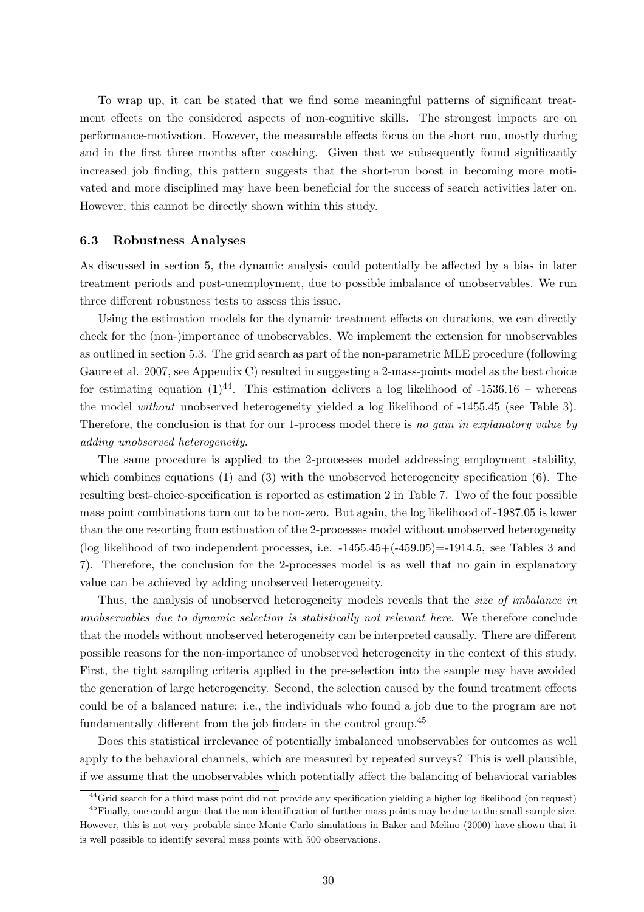To wrap up, it can be stated that we find some meaningful patterns of significant treatment effects on the considered aspects of non-cognitive skills. The strongest impacts are on performance-motivation. However, the measurable effects focus on the short run, mostly during and in the first three months after coaching. Given that we subsequently found significantly increased job finding, this pattern suggests that the short-run boost in becoming more motivated and more disciplined may have been beneficial for the success of search activities later on. However, this cannot be directly shown within this study.

#### 6.3 Robustness Analyses

As discussed in section 5, the dynamic analysis could potentially be affected by a bias in later treatment periods and post-unemployment, due to possible imbalance of unobservables. We run three different robustness tests to assess this issue.

Using the estimation models for the dynamic treatment effects on durations, we can directly check for the (non-)importance of unobservables. We implement the extension for unobservables as outlined in section 5.3. The grid search as part of the non-parametric MLE procedure (following Gaure et al. 2007, see Appendix C) resulted in suggesting a 2-mass-points model as the best choice for estimating equation  $(1)^{44}$ . This estimation delivers a log likelihood of -1536.16 – whereas the model without unobserved heterogeneity yielded a log likelihood of -1455.45 (see Table 3). Therefore, the conclusion is that for our 1-process model there is no gain in explanatory value by adding unobserved heterogeneity.

The same procedure is applied to the 2-processes model addressing employment stability, which combines equations  $(1)$  and  $(3)$  with the unobserved heterogeneity specification  $(6)$ . The resulting best-choice-specification is reported as estimation 2 in Table 7. Two of the four possible mass point combinations turn out to be non-zero. But again, the log likelihood of -1987.05 is lower than the one resorting from estimation of the 2-processes model without unobserved heterogeneity (log likelihood of two independent processes, i.e. -1455.45+(-459.05)=-1914.5, see Tables 3 and 7). Therefore, the conclusion for the 2-processes model is as well that no gain in explanatory value can be achieved by adding unobserved heterogeneity.

Thus, the analysis of unobserved heterogeneity models reveals that the *size of imbalance in* unobservables due to dynamic selection is statistically not relevant here. We therefore conclude that the models without unobserved heterogeneity can be interpreted causally. There are different possible reasons for the non-importance of unobserved heterogeneity in the context of this study. First, the tight sampling criteria applied in the pre-selection into the sample may have avoided the generation of large heterogeneity. Second, the selection caused by the found treatment effects could be of a balanced nature: i.e., the individuals who found a job due to the program are not fundamentally different from the job finders in the control group.<sup>45</sup>

Does this statistical irrelevance of potentially imbalanced unobservables for outcomes as well apply to the behavioral channels, which are measured by repeated surveys? This is well plausible, if we assume that the unobservables which potentially affect the balancing of behavioral variables

 $^{44}$ Grid search for a third mass point did not provide any specification yielding a higher log likelihood (on request)

 $^{45}$ Finally, one could argue that the non-identification of further mass points may be due to the small sample size. However, this is not very probable since Monte Carlo simulations in Baker and Melino (2000) have shown that it is well possible to identify several mass points with 500 observations.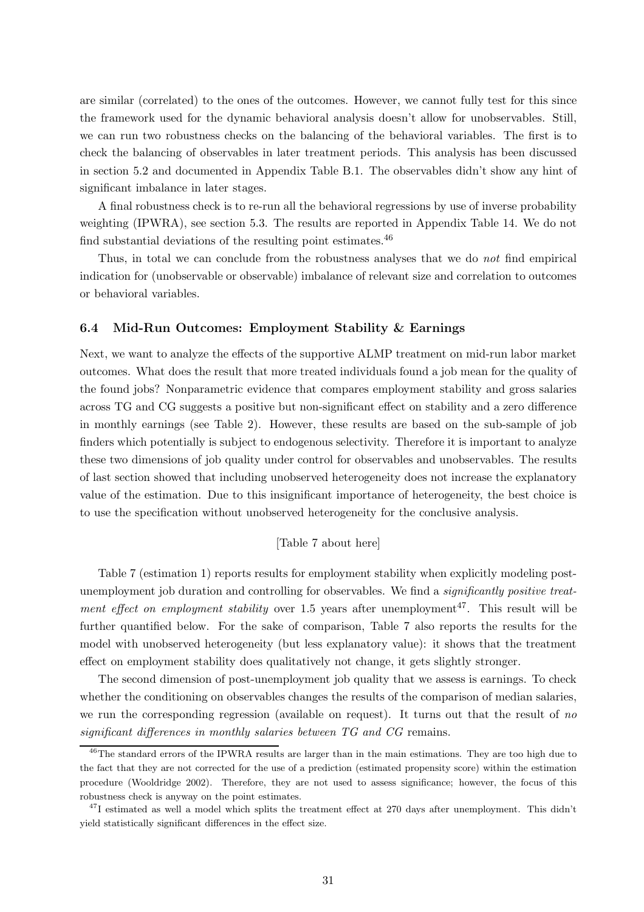are similar (correlated) to the ones of the outcomes. However, we cannot fully test for this since the framework used for the dynamic behavioral analysis doesn't allow for unobservables. Still, we can run two robustness checks on the balancing of the behavioral variables. The first is to check the balancing of observables in later treatment periods. This analysis has been discussed in section 5.2 and documented in Appendix Table B.1. The observables didn't show any hint of significant imbalance in later stages.

A final robustness check is to re-run all the behavioral regressions by use of inverse probability weighting (IPWRA), see section 5.3. The results are reported in Appendix Table 14. We do not find substantial deviations of the resulting point estimates.<sup>46</sup>

Thus, in total we can conclude from the robustness analyses that we do not find empirical indication for (unobservable or observable) imbalance of relevant size and correlation to outcomes or behavioral variables.

#### 6.4 Mid-Run Outcomes: Employment Stability & Earnings

Next, we want to analyze the effects of the supportive ALMP treatment on mid-run labor market outcomes. What does the result that more treated individuals found a job mean for the quality of the found jobs? Nonparametric evidence that compares employment stability and gross salaries across TG and CG suggests a positive but non-significant effect on stability and a zero difference in monthly earnings (see Table 2). However, these results are based on the sub-sample of job finders which potentially is subject to endogenous selectivity. Therefore it is important to analyze these two dimensions of job quality under control for observables and unobservables. The results of last section showed that including unobserved heterogeneity does not increase the explanatory value of the estimation. Due to this insignificant importance of heterogeneity, the best choice is to use the specification without unobserved heterogeneity for the conclusive analysis.

#### [Table 7 about here]

Table 7 (estimation 1) reports results for employment stability when explicitly modeling postunemployment job duration and controlling for observables. We find a significantly positive treatment effect on employment stability over 1.5 years after unemployment<sup>47</sup>. This result will be further quantified below. For the sake of comparison, Table 7 also reports the results for the model with unobserved heterogeneity (but less explanatory value): it shows that the treatment effect on employment stability does qualitatively not change, it gets slightly stronger.

The second dimension of post-unemployment job quality that we assess is earnings. To check whether the conditioning on observables changes the results of the comparison of median salaries, we run the corresponding regression (available on request). It turns out that the result of no significant differences in monthly salaries between TG and CG remains.

<sup>&</sup>lt;sup>46</sup>The standard errors of the IPWRA results are larger than in the main estimations. They are too high due to the fact that they are not corrected for the use of a prediction (estimated propensity score) within the estimation procedure (Wooldridge 2002). Therefore, they are not used to assess significance; however, the focus of this robustness check is anyway on the point estimates.

 $47$ I estimated as well a model which splits the treatment effect at 270 days after unemployment. This didn't yield statistically significant differences in the effect size.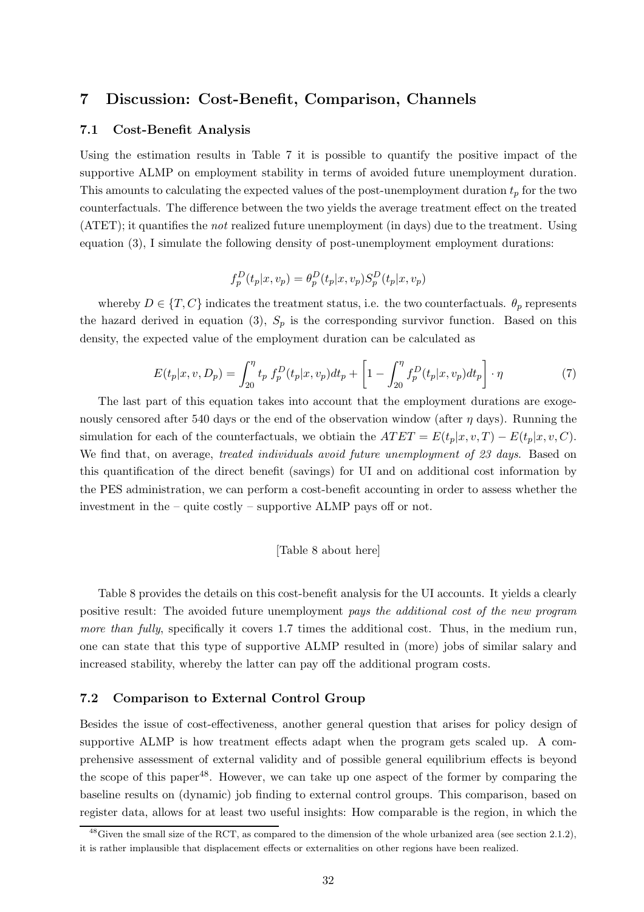## 7 Discussion: Cost-Benefit, Comparison, Channels

#### 7.1 Cost-Benefit Analysis

Using the estimation results in Table 7 it is possible to quantify the positive impact of the supportive ALMP on employment stability in terms of avoided future unemployment duration. This amounts to calculating the expected values of the post-unemployment duration  $t_p$  for the two counterfactuals. The difference between the two yields the average treatment effect on the treated (ATET); it quantifies the not realized future unemployment (in days) due to the treatment. Using equation (3), I simulate the following density of post-unemployment employment durations:

$$
f_p^D(t_p|x,v_p) = \theta_p^D(t_p|x,v_p)S_p^D(t_p|x,v_p)
$$

whereby  $D \in \{T, C\}$  indicates the treatment status, i.e. the two counterfactuals.  $\theta_p$  represents the hazard derived in equation (3),  $S_p$  is the corresponding survivor function. Based on this density, the expected value of the employment duration can be calculated as

$$
E(t_p|x, v, D_p) = \int_{20}^{\eta} t_p f_p^D(t_p|x, v_p) dt_p + \left[1 - \int_{20}^{\eta} f_p^D(t_p|x, v_p) dt_p\right] \cdot \eta \tag{7}
$$

The last part of this equation takes into account that the employment durations are exogenously censored after 540 days or the end of the observation window (after  $\eta$  days). Running the simulation for each of the counterfactuals, we obtiain the  $ATET = E(t_p|x, v, T) - E(t_p|x, v, C)$ . We find that, on average, treated individuals avoid future unemployment of 23 days. Based on this quantification of the direct benefit (savings) for UI and on additional cost information by the PES administration, we can perform a cost-benefit accounting in order to assess whether the investment in the – quite costly – supportive ALMP pays off or not.

#### [Table 8 about here]

Table 8 provides the details on this cost-benefit analysis for the UI accounts. It yields a clearly positive result: The avoided future unemployment pays the additional cost of the new program more than fully, specifically it covers 1.7 times the additional cost. Thus, in the medium run, one can state that this type of supportive ALMP resulted in (more) jobs of similar salary and increased stability, whereby the latter can pay off the additional program costs.

#### 7.2 Comparison to External Control Group

Besides the issue of cost-effectiveness, another general question that arises for policy design of supportive ALMP is how treatment effects adapt when the program gets scaled up. A comprehensive assessment of external validity and of possible general equilibrium effects is beyond the scope of this paper<sup>48</sup>. However, we can take up one aspect of the former by comparing the baseline results on (dynamic) job finding to external control groups. This comparison, based on register data, allows for at least two useful insights: How comparable is the region, in which the

 $^{48}$ Given the small size of the RCT, as compared to the dimension of the whole urbanized area (see section 2.1.2), it is rather implausible that displacement effects or externalities on other regions have been realized.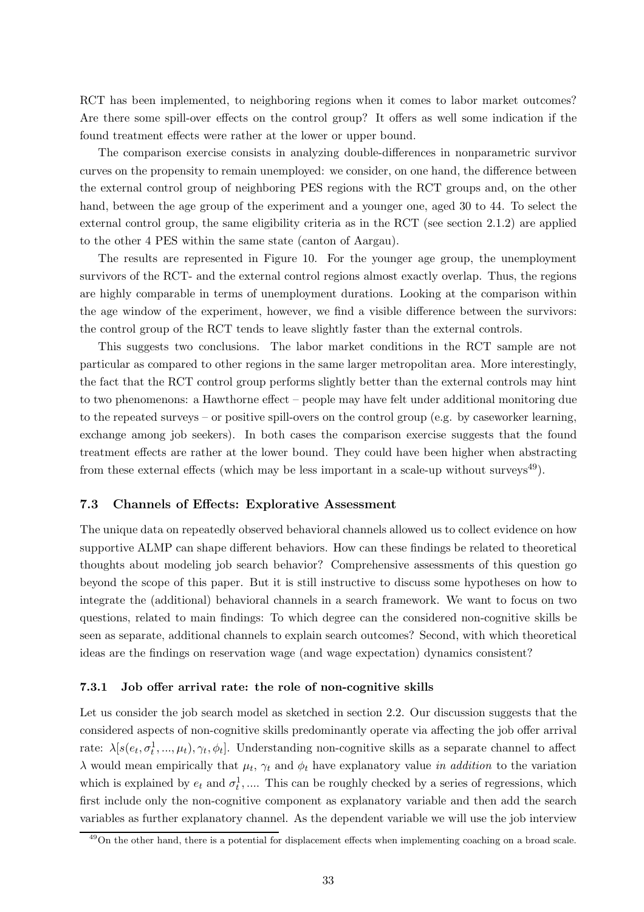RCT has been implemented, to neighboring regions when it comes to labor market outcomes? Are there some spill-over effects on the control group? It offers as well some indication if the found treatment effects were rather at the lower or upper bound.

The comparison exercise consists in analyzing double-differences in nonparametric survivor curves on the propensity to remain unemployed: we consider, on one hand, the difference between the external control group of neighboring PES regions with the RCT groups and, on the other hand, between the age group of the experiment and a younger one, aged 30 to 44. To select the external control group, the same eligibility criteria as in the RCT (see section 2.1.2) are applied to the other 4 PES within the same state (canton of Aargau).

The results are represented in Figure 10. For the younger age group, the unemployment survivors of the RCT- and the external control regions almost exactly overlap. Thus, the regions are highly comparable in terms of unemployment durations. Looking at the comparison within the age window of the experiment, however, we find a visible difference between the survivors: the control group of the RCT tends to leave slightly faster than the external controls.

This suggests two conclusions. The labor market conditions in the RCT sample are not particular as compared to other regions in the same larger metropolitan area. More interestingly, the fact that the RCT control group performs slightly better than the external controls may hint to two phenomenons: a Hawthorne effect – people may have felt under additional monitoring due to the repeated surveys – or positive spill-overs on the control group (e.g. by caseworker learning, exchange among job seekers). In both cases the comparison exercise suggests that the found treatment effects are rather at the lower bound. They could have been higher when abstracting from these external effects (which may be less important in a scale-up without surveys $^{49}$ ).

#### 7.3 Channels of Effects: Explorative Assessment

The unique data on repeatedly observed behavioral channels allowed us to collect evidence on how supportive ALMP can shape different behaviors. How can these findings be related to theoretical thoughts about modeling job search behavior? Comprehensive assessments of this question go beyond the scope of this paper. But it is still instructive to discuss some hypotheses on how to integrate the (additional) behavioral channels in a search framework. We want to focus on two questions, related to main findings: To which degree can the considered non-cognitive skills be seen as separate, additional channels to explain search outcomes? Second, with which theoretical ideas are the findings on reservation wage (and wage expectation) dynamics consistent?

#### 7.3.1 Job offer arrival rate: the role of non-cognitive skills

Let us consider the job search model as sketched in section 2.2. Our discussion suggests that the considered aspects of non-cognitive skills predominantly operate via affecting the job offer arrival rate:  $\lambda[s(e_t, \sigma_t^1, ..., \mu_t), \gamma_t, \phi_t]$ . Understanding non-cognitive skills as a separate channel to affect  $\lambda$  would mean empirically that  $\mu_t$ ,  $\gamma_t$  and  $\phi_t$  have explanatory value in addition to the variation which is explained by  $e_t$  and  $\sigma_t^1$ , .... This can be roughly checked by a series of regressions, which first include only the non-cognitive component as explanatory variable and then add the search variables as further explanatory channel. As the dependent variable we will use the job interview

<sup>&</sup>lt;sup>49</sup>On the other hand, there is a potential for displacement effects when implementing coaching on a broad scale.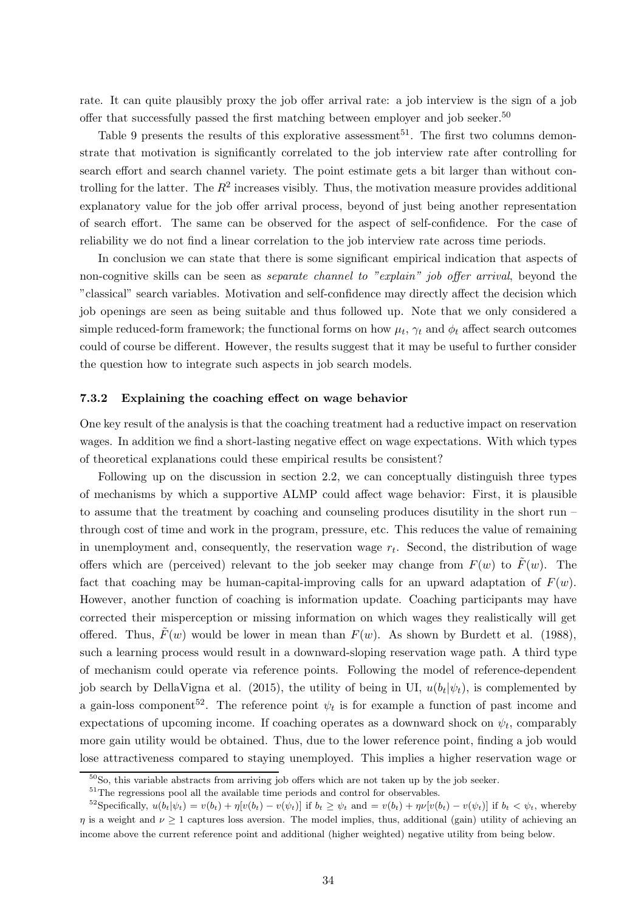rate. It can quite plausibly proxy the job offer arrival rate: a job interview is the sign of a job offer that successfully passed the first matching between employer and job seeker.<sup>50</sup>

Table 9 presents the results of this explorative assessment<sup>51</sup>. The first two columns demonstrate that motivation is significantly correlated to the job interview rate after controlling for search effort and search channel variety. The point estimate gets a bit larger than without controlling for the latter. The  $R^2$  increases visibly. Thus, the motivation measure provides additional explanatory value for the job offer arrival process, beyond of just being another representation of search effort. The same can be observed for the aspect of self-confidence. For the case of reliability we do not find a linear correlation to the job interview rate across time periods.

In conclusion we can state that there is some significant empirical indication that aspects of non-cognitive skills can be seen as *separate channel to "explain" job offer arrival*, beyond the "classical" search variables. Motivation and self-confidence may directly affect the decision which job openings are seen as being suitable and thus followed up. Note that we only considered a simple reduced-form framework; the functional forms on how  $\mu_t$ ,  $\gamma_t$  and  $\phi_t$  affect search outcomes could of course be different. However, the results suggest that it may be useful to further consider the question how to integrate such aspects in job search models.

#### 7.3.2 Explaining the coaching effect on wage behavior

One key result of the analysis is that the coaching treatment had a reductive impact on reservation wages. In addition we find a short-lasting negative effect on wage expectations. With which types of theoretical explanations could these empirical results be consistent?

Following up on the discussion in section 2.2, we can conceptually distinguish three types of mechanisms by which a supportive ALMP could affect wage behavior: First, it is plausible to assume that the treatment by coaching and counseling produces disutility in the short run – through cost of time and work in the program, pressure, etc. This reduces the value of remaining in unemployment and, consequently, the reservation wage  $r_t$ . Second, the distribution of wage offers which are (perceived) relevant to the job seeker may change from  $F(w)$  to  $\tilde{F}(w)$ . The fact that coaching may be human-capital-improving calls for an upward adaptation of  $F(w)$ . However, another function of coaching is information update. Coaching participants may have corrected their misperception or missing information on which wages they realistically will get offered. Thus,  $\tilde{F}(w)$  would be lower in mean than  $F(w)$ . As shown by Burdett et al. (1988), such a learning process would result in a downward-sloping reservation wage path. A third type of mechanism could operate via reference points. Following the model of reference-dependent job search by DellaVigna et al. (2015), the utility of being in UI,  $u(b_t|\psi_t)$ , is complemented by a gain-loss component<sup>52</sup>. The reference point  $\psi_t$  is for example a function of past income and expectations of upcoming income. If coaching operates as a downward shock on  $\psi_t$ , comparably more gain utility would be obtained. Thus, due to the lower reference point, finding a job would lose attractiveness compared to staying unemployed. This implies a higher reservation wage or

 $50S<sub>0</sub>$ , this variable abstracts from arriving job offers which are not taken up by the job seeker.

 $^{51}\mathrm{The}$  regressions pool all the available time periods and control for observables.

<sup>&</sup>lt;sup>52</sup>Specifically,  $u(b_t|\psi_t) = v(b_t) + \eta[v(b_t) - v(\psi_t)]$  if  $b_t \geq \psi_t$  and  $= v(b_t) + \eta[v(b_t) - v(\psi_t)]$  if  $b_t < \psi_t$ , whereby  $\eta$  is a weight and  $\nu \geq 1$  captures loss aversion. The model implies, thus, additional (gain) utility of achieving an income above the current reference point and additional (higher weighted) negative utility from being below.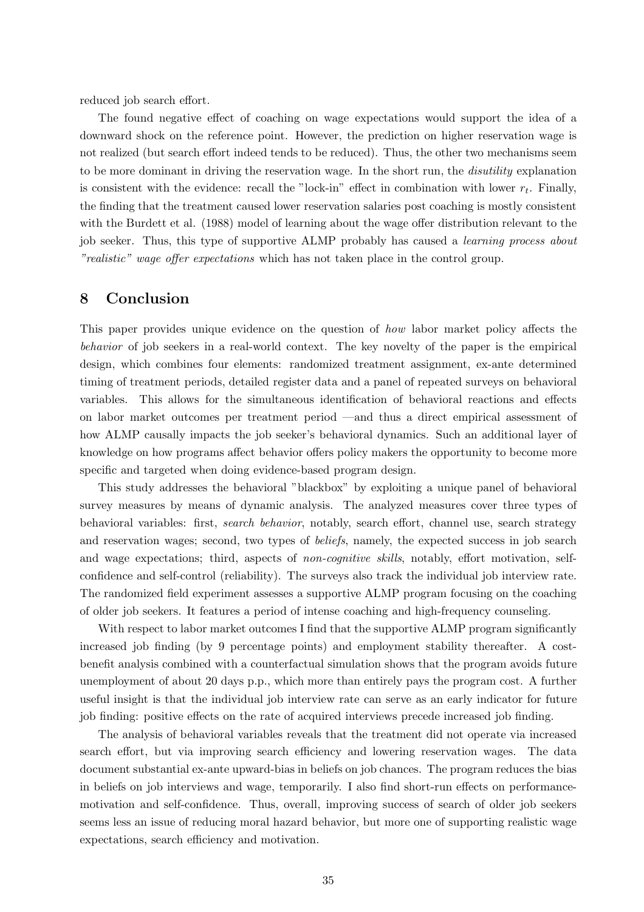reduced job search effort.

The found negative effect of coaching on wage expectations would support the idea of a downward shock on the reference point. However, the prediction on higher reservation wage is not realized (but search effort indeed tends to be reduced). Thus, the other two mechanisms seem to be more dominant in driving the reservation wage. In the short run, the disutility explanation is consistent with the evidence: recall the "lock-in" effect in combination with lower  $r_t$ . Finally, the finding that the treatment caused lower reservation salaries post coaching is mostly consistent with the Burdett et al. (1988) model of learning about the wage offer distribution relevant to the job seeker. Thus, this type of supportive ALMP probably has caused a *learning process about* "realistic" wage offer expectations which has not taken place in the control group.

## 8 Conclusion

This paper provides unique evidence on the question of how labor market policy affects the behavior of job seekers in a real-world context. The key novelty of the paper is the empirical design, which combines four elements: randomized treatment assignment, ex-ante determined timing of treatment periods, detailed register data and a panel of repeated surveys on behavioral variables. This allows for the simultaneous identification of behavioral reactions and effects on labor market outcomes per treatment period —and thus a direct empirical assessment of how ALMP causally impacts the job seeker's behavioral dynamics. Such an additional layer of knowledge on how programs affect behavior offers policy makers the opportunity to become more specific and targeted when doing evidence-based program design.

This study addresses the behavioral "blackbox" by exploiting a unique panel of behavioral survey measures by means of dynamic analysis. The analyzed measures cover three types of behavioral variables: first, search behavior, notably, search effort, channel use, search strategy and reservation wages; second, two types of *beliefs*, namely, the expected success in job search and wage expectations; third, aspects of *non-cognitive skills*, notably, effort motivation, selfconfidence and self-control (reliability). The surveys also track the individual job interview rate. The randomized field experiment assesses a supportive ALMP program focusing on the coaching of older job seekers. It features a period of intense coaching and high-frequency counseling.

With respect to labor market outcomes I find that the supportive ALMP program significantly increased job finding (by 9 percentage points) and employment stability thereafter. A costbenefit analysis combined with a counterfactual simulation shows that the program avoids future unemployment of about 20 days p.p., which more than entirely pays the program cost. A further useful insight is that the individual job interview rate can serve as an early indicator for future job finding: positive effects on the rate of acquired interviews precede increased job finding.

The analysis of behavioral variables reveals that the treatment did not operate via increased search effort, but via improving search efficiency and lowering reservation wages. The data document substantial ex-ante upward-bias in beliefs on job chances. The program reduces the bias in beliefs on job interviews and wage, temporarily. I also find short-run effects on performancemotivation and self-confidence. Thus, overall, improving success of search of older job seekers seems less an issue of reducing moral hazard behavior, but more one of supporting realistic wage expectations, search efficiency and motivation.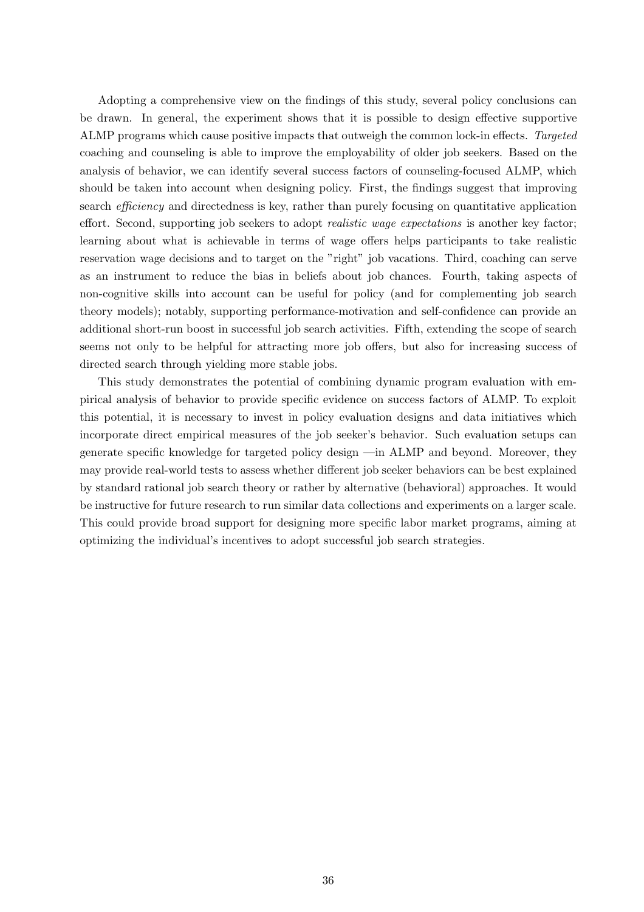Adopting a comprehensive view on the findings of this study, several policy conclusions can be drawn. In general, the experiment shows that it is possible to design effective supportive ALMP programs which cause positive impacts that outweigh the common lock-in effects. Targeted coaching and counseling is able to improve the employability of older job seekers. Based on the analysis of behavior, we can identify several success factors of counseling-focused ALMP, which should be taken into account when designing policy. First, the findings suggest that improving search *efficiency* and directedness is key, rather than purely focusing on quantitative application effort. Second, supporting job seekers to adopt *realistic wage expectations* is another key factor; learning about what is achievable in terms of wage offers helps participants to take realistic reservation wage decisions and to target on the "right" job vacations. Third, coaching can serve as an instrument to reduce the bias in beliefs about job chances. Fourth, taking aspects of non-cognitive skills into account can be useful for policy (and for complementing job search theory models); notably, supporting performance-motivation and self-confidence can provide an additional short-run boost in successful job search activities. Fifth, extending the scope of search seems not only to be helpful for attracting more job offers, but also for increasing success of directed search through yielding more stable jobs.

This study demonstrates the potential of combining dynamic program evaluation with empirical analysis of behavior to provide specific evidence on success factors of ALMP. To exploit this potential, it is necessary to invest in policy evaluation designs and data initiatives which incorporate direct empirical measures of the job seeker's behavior. Such evaluation setups can generate specific knowledge for targeted policy design —in ALMP and beyond. Moreover, they may provide real-world tests to assess whether different job seeker behaviors can be best explained by standard rational job search theory or rather by alternative (behavioral) approaches. It would be instructive for future research to run similar data collections and experiments on a larger scale. This could provide broad support for designing more specific labor market programs, aiming at optimizing the individual's incentives to adopt successful job search strategies.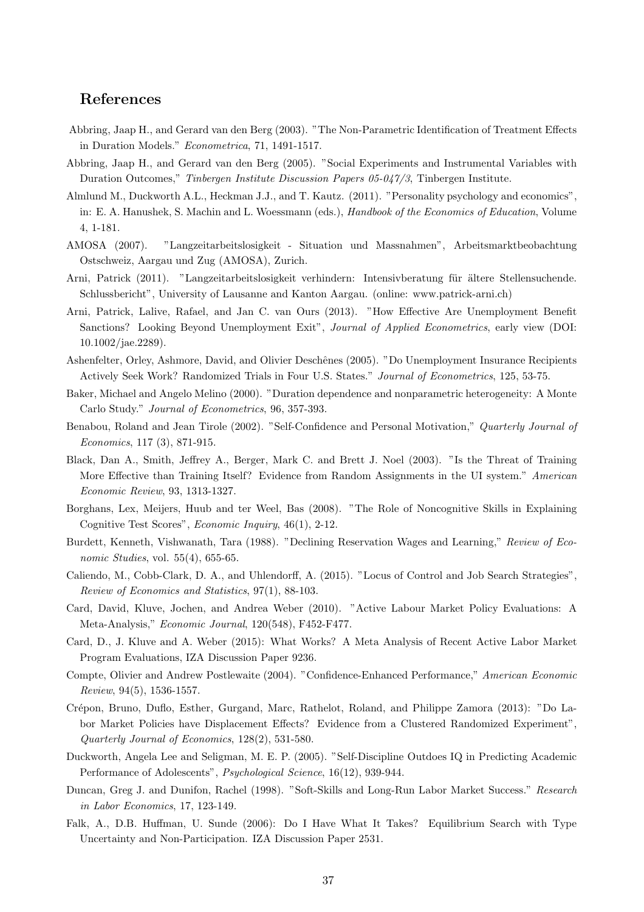## References

- Abbring, Jaap H., and Gerard van den Berg (2003). "The Non-Parametric Identification of Treatment Effects in Duration Models." Econometrica, 71, 1491-1517.
- Abbring, Jaap H., and Gerard van den Berg (2005). "Social Experiments and Instrumental Variables with Duration Outcomes," Tinbergen Institute Discussion Papers 05-047/3, Tinbergen Institute.
- Almlund M., Duckworth A.L., Heckman J.J., and T. Kautz. (2011). "Personality psychology and economics", in: E. A. Hanushek, S. Machin and L. Woessmann (eds.), Handbook of the Economics of Education, Volume 4, 1-181.
- AMOSA (2007). "Langzeitarbeitslosigkeit Situation und Massnahmen", Arbeitsmarktbeobachtung Ostschweiz, Aargau und Zug (AMOSA), Zurich.
- Arni, Patrick (2011). "Langzeitarbeitslosigkeit verhindern: Intensivberatung für ältere Stellensuchende. Schlussbericht", University of Lausanne and Kanton Aargau. (online: www.patrick-arni.ch)
- Arni, Patrick, Lalive, Rafael, and Jan C. van Ours (2013). "How Effective Are Unemployment Benefit Sanctions? Looking Beyond Unemployment Exit", *Journal of Applied Econometrics*, early view (DOI: 10.1002/jae.2289).
- Ashenfelter, Orley, Ashmore, David, and Olivier Deschênes (2005). "Do Unemployment Insurance Recipients Actively Seek Work? Randomized Trials in Four U.S. States." Journal of Econometrics, 125, 53-75.
- Baker, Michael and Angelo Melino (2000). "Duration dependence and nonparametric heterogeneity: A Monte Carlo Study." Journal of Econometrics, 96, 357-393.
- Benabou, Roland and Jean Tirole (2002). "Self-Confidence and Personal Motivation," Quarterly Journal of Economics, 117 (3), 871-915.
- Black, Dan A., Smith, Jeffrey A., Berger, Mark C. and Brett J. Noel (2003). "Is the Threat of Training More Effective than Training Itself? Evidence from Random Assignments in the UI system." American Economic Review, 93, 1313-1327.
- Borghans, Lex, Meijers, Huub and ter Weel, Bas (2008). "The Role of Noncognitive Skills in Explaining Cognitive Test Scores", Economic Inquiry, 46(1), 2-12.
- Burdett, Kenneth, Vishwanath, Tara (1988). "Declining Reservation Wages and Learning," Review of Economic Studies, vol. 55(4), 655-65.
- Caliendo, M., Cobb-Clark, D. A., and Uhlendorff, A. (2015). "Locus of Control and Job Search Strategies", Review of Economics and Statistics, 97(1), 88-103.
- Card, David, Kluve, Jochen, and Andrea Weber (2010). "Active Labour Market Policy Evaluations: A Meta-Analysis," Economic Journal, 120(548), F452-F477.
- Card, D., J. Kluve and A. Weber (2015): What Works? A Meta Analysis of Recent Active Labor Market Program Evaluations, IZA Discussion Paper 9236.
- Compte, Olivier and Andrew Postlewaite (2004). "Confidence-Enhanced Performance," American Economic Review, 94(5), 1536-1557.
- Cr´epon, Bruno, Duflo, Esther, Gurgand, Marc, Rathelot, Roland, and Philippe Zamora (2013): "Do Labor Market Policies have Displacement Effects? Evidence from a Clustered Randomized Experiment", Quarterly Journal of Economics, 128(2), 531-580.
- Duckworth, Angela Lee and Seligman, M. E. P. (2005). "Self-Discipline Outdoes IQ in Predicting Academic Performance of Adolescents", Psychological Science, 16(12), 939-944.
- Duncan, Greg J. and Dunifon, Rachel (1998). "Soft-Skills and Long-Run Labor Market Success." Research in Labor Economics, 17, 123-149.
- Falk, A., D.B. Huffman, U. Sunde (2006): Do I Have What It Takes? Equilibrium Search with Type Uncertainty and Non-Participation. IZA Discussion Paper 2531.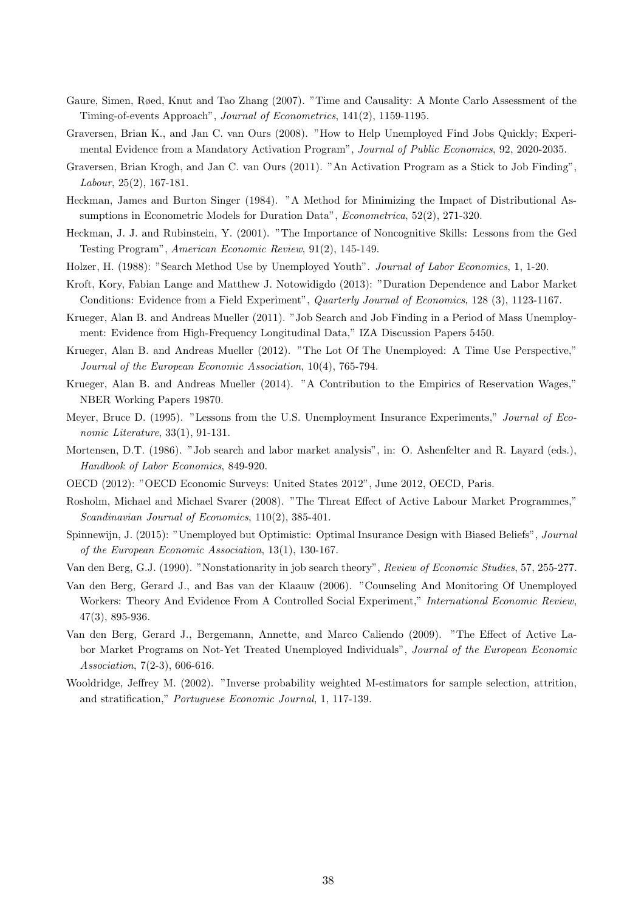- Gaure, Simen, Røed, Knut and Tao Zhang (2007). "Time and Causality: A Monte Carlo Assessment of the Timing-of-events Approach", Journal of Econometrics, 141(2), 1159-1195.
- Graversen, Brian K., and Jan C. van Ours (2008). "How to Help Unemployed Find Jobs Quickly; Experimental Evidence from a Mandatory Activation Program", Journal of Public Economics, 92, 2020-2035.
- Graversen, Brian Krogh, and Jan C. van Ours (2011). "An Activation Program as a Stick to Job Finding", Labour, 25(2), 167-181.
- Heckman, James and Burton Singer (1984). "A Method for Minimizing the Impact of Distributional Assumptions in Econometric Models for Duration Data", *Econometrica*, 52(2), 271-320.
- Heckman, J. J. and Rubinstein, Y. (2001). "The Importance of Noncognitive Skills: Lessons from the Ged Testing Program", American Economic Review, 91(2), 145-149.
- Holzer, H. (1988): "Search Method Use by Unemployed Youth". Journal of Labor Economics, 1, 1-20.
- Kroft, Kory, Fabian Lange and Matthew J. Notowidigdo (2013): "Duration Dependence and Labor Market Conditions: Evidence from a Field Experiment", Quarterly Journal of Economics, 128 (3), 1123-1167.
- Krueger, Alan B. and Andreas Mueller (2011). "Job Search and Job Finding in a Period of Mass Unemployment: Evidence from High-Frequency Longitudinal Data," IZA Discussion Papers 5450.
- Krueger, Alan B. and Andreas Mueller (2012). "The Lot Of The Unemployed: A Time Use Perspective," Journal of the European Economic Association, 10(4), 765-794.
- Krueger, Alan B. and Andreas Mueller (2014). "A Contribution to the Empirics of Reservation Wages," NBER Working Papers 19870.
- Meyer, Bruce D. (1995). "Lessons from the U.S. Unemployment Insurance Experiments," Journal of Economic Literature, 33(1), 91-131.
- Mortensen, D.T. (1986). "Job search and labor market analysis", in: O. Ashenfelter and R. Layard (eds.), Handbook of Labor Economics, 849-920.
- OECD (2012): "OECD Economic Surveys: United States 2012", June 2012, OECD, Paris.
- Rosholm, Michael and Michael Svarer (2008). "The Threat Effect of Active Labour Market Programmes," Scandinavian Journal of Economics, 110(2), 385-401.
- Spinnewijn, J. (2015): "Unemployed but Optimistic: Optimal Insurance Design with Biased Beliefs", Journal of the European Economic Association, 13(1), 130-167.
- Van den Berg, G.J. (1990). "Nonstationarity in job search theory", Review of Economic Studies, 57, 255-277.
- Van den Berg, Gerard J., and Bas van der Klaauw (2006). "Counseling And Monitoring Of Unemployed Workers: Theory And Evidence From A Controlled Social Experiment," International Economic Review, 47(3), 895-936.
- Van den Berg, Gerard J., Bergemann, Annette, and Marco Caliendo (2009). "The Effect of Active Labor Market Programs on Not-Yet Treated Unemployed Individuals", Journal of the European Economic Association, 7(2-3), 606-616.
- Wooldridge, Jeffrey M. (2002). "Inverse probability weighted M-estimators for sample selection, attrition, and stratification," Portuguese Economic Journal, 1, 117-139.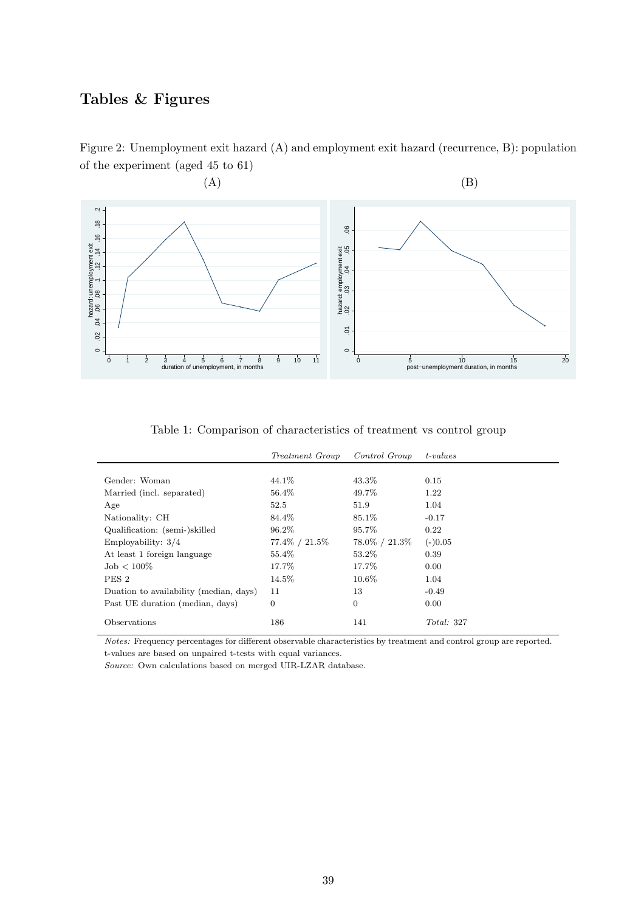## Tables & Figures

Figure 2: Unemployment exit hazard (A) and employment exit hazard (recurrence, B): population of the experiment (aged 45 to 61)



Table 1: Comparison of characteristics of treatment vs control group

|                                        | <i>Treatment Group</i> | Control Group   | $t-values$ |
|----------------------------------------|------------------------|-----------------|------------|
|                                        |                        |                 |            |
| Gender: Woman                          | 44.1\%                 | 43.3%           | 0.15       |
| Married (incl. separated)              | 56.4\%                 | 49.7%           | 1.22       |
| Age                                    | 52.5                   | 51.9            | 1.04       |
| Nationality: CH                        | 84.4%                  | 85.1%           | $-0.17$    |
| Qualification: (semi-)skilled          | 96.2%                  | 95.7%           | 0.22       |
| Employability: $3/4$                   | 77.4\% / 21.5\%        | 78.0\% / 21.3\% | $(-)0.05$  |
| At least 1 foreign language            | 55.4%                  | 53.2%           | 0.39       |
| $\mathrm{Job} < 100\%$                 | 17.7%                  | 17.7%           | 0.00       |
| PES <sub>2</sub>                       | 14.5%                  | $10.6\%$        | 1.04       |
| Duation to availability (median, days) | 11                     | 13              | $-0.49$    |
| Past UE duration (median, days)        | $\overline{0}$         | $\overline{0}$  | 0.00       |
| Observations                           | 186                    | 141             | Total: 327 |

Notes: Frequency percentages for different observable characteristics by treatment and control group are reported. t-values are based on unpaired t-tests with equal variances.

Source: Own calculations based on merged UIR-LZAR database.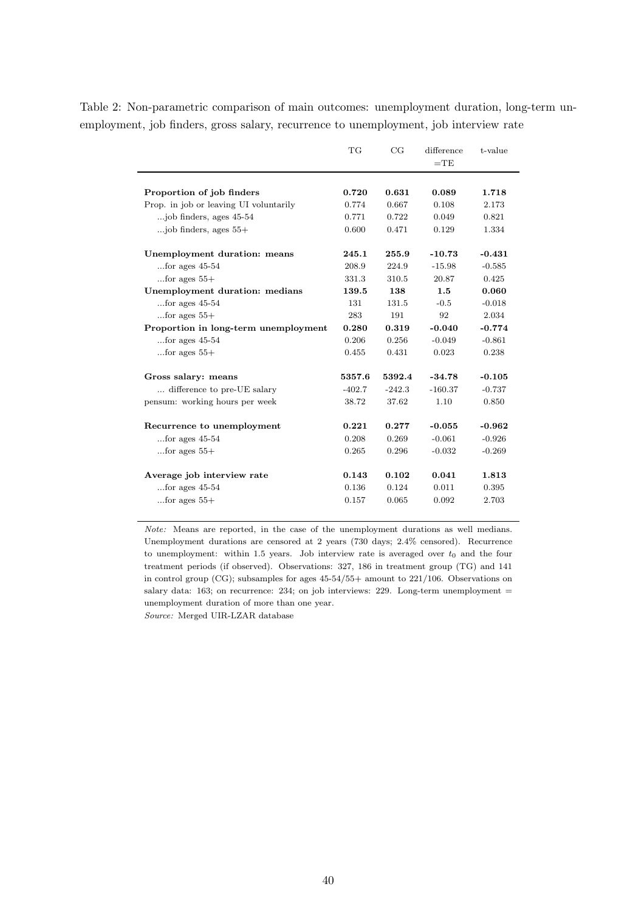Table 2: Non-parametric comparison of main outcomes: unemployment duration, long-term unemployment, job finders, gross salary, recurrence to unemployment, job interview rate

|                                        | TG       | CG       | difference | t-value  |
|----------------------------------------|----------|----------|------------|----------|
|                                        |          |          | $=$ TE     |          |
|                                        |          |          |            |          |
| Proportion of job finders              | 0.720    | 0.631    | 0.089      | 1.718    |
| Prop. in job or leaving UI voluntarily | 0.774    | 0.667    | 0.108      | 2.173    |
| job finders, ages 45-54                | 0.771    | 0.722    | 0.049      | 0.821    |
| $\ldots$ job finders, ages $55+$       | 0.600    | 0.471    | 0.129      | 1.334    |
| Unemployment duration: means           | 245.1    | 255.9    | $-10.73$   | $-0.431$ |
| for ages $45-54$                       | 208.9    | 224.9    | $-15.98$   | $-0.585$ |
| for ages $55+$                         | 331.3    | 310.5    | 20.87      | 0.425    |
| Unemployment duration: medians         | 139.5    | 138      | 1.5        | 0.060    |
| for ages $45-54$                       | 131      | 131.5    | $-0.5$     | $-0.018$ |
| for ages $55+$                         | 283      | 191      | 92         | 2.034    |
| Proportion in long-term unemployment   | 0.280    | 0.319    | $-0.040$   | $-0.774$ |
| for ages $45-54$                       | 0.206    | 0.256    | $-0.049$   | $-0.861$ |
| $\dots$ for ages $55+$                 | 0.455    | 0.431    | 0.023      | 0.238    |
| Gross salary: means                    | 5357.6   | 5392.4   | $-34.78$   | $-0.105$ |
| difference to pre-UE salary            | $-402.7$ | $-242.3$ | $-160.37$  | $-0.737$ |
| pensum: working hours per week         | 38.72    | 37.62    | 1.10       | 0.850    |
| Recurrence to unemployment             | 0.221    | 0.277    | $-0.055$   | $-0.962$ |
| for ages $45-54$                       | 0.208    | 0.269    | $-0.061$   | $-0.926$ |
| $\dots$ for ages $55+$                 | 0.265    | 0.296    | $-0.032$   | $-0.269$ |
| Average job interview rate             | 0.143    | 0.102    | 0.041      | 1.813    |
| for ages $45-54$                       | 0.136    | 0.124    | 0.011      | 0.395    |
| $\dots$ for ages $55+$                 | 0.157    | 0.065    | 0.092      | 2.703    |
|                                        |          |          |            |          |

Note: Means are reported, in the case of the unemployment durations as well medians. Unemployment durations are censored at 2 years (730 days; 2.4% censored). Recurrence to unemployment: within 1.5 years. Job interview rate is averaged over  $t_0$  and the four treatment periods (if observed). Observations: 327, 186 in treatment group (TG) and 141 in control group (CG); subsamples for ages 45-54/55+ amount to 221/106. Observations on salary data: 163; on recurrence: 234; on job interviews: 229. Long-term unemployment  $=$ unemployment duration of more than one year.

Source: Merged UIR-LZAR database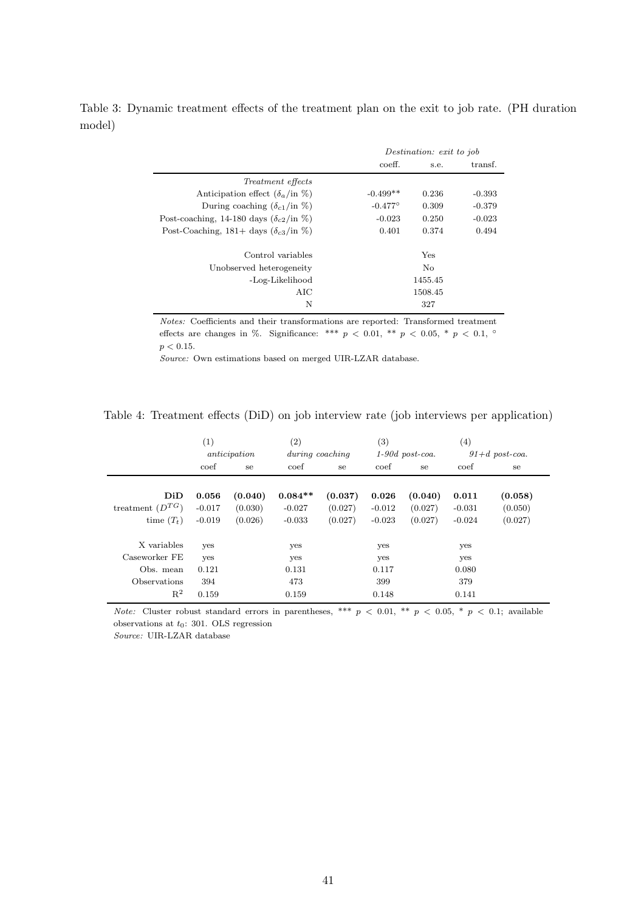|                                                         |                  | Destination: exit to job |          |  |  |  |
|---------------------------------------------------------|------------------|--------------------------|----------|--|--|--|
|                                                         | coeff.           | s.e.                     | transf.  |  |  |  |
| <i>Treatment effects</i>                                |                  |                          |          |  |  |  |
| Anticipation effect $(\delta_a$ /in $\%)$               | $-0.499**$       | 0.236                    | $-0.393$ |  |  |  |
| During coaching $(\delta_{c1}/\text{in }\%)$            | $-0.477^{\circ}$ | 0.309                    | $-0.379$ |  |  |  |
| Post-coaching, 14-180 days $(\delta_{c2}/\text{in }\%)$ | $-0.023$         | 0.250                    | $-0.023$ |  |  |  |
| Post-Coaching, 181+ days $(\delta_{c3}/\text{in }\%)$   | 0.401            | 0.374                    | 0.494    |  |  |  |
| Control variables                                       |                  | Yes                      |          |  |  |  |
| Unobserved heterogeneity                                |                  | N <sub>o</sub>           |          |  |  |  |
| -Log-Likelihood                                         |                  | 1455.45                  |          |  |  |  |
| AIC                                                     |                  | 1508.45                  |          |  |  |  |
| N                                                       |                  | 327                      |          |  |  |  |

Table 3: Dynamic treatment effects of the treatment plan on the exit to job rate. (PH duration model)

> $Notes:$  Coefficients and their transformations are reported: Transformed treatment effects are changes in %. Significance: \*\*\*  $p \, < 0.01$ , \*\*  $p \, < 0.05$ , \*  $p \, < 0.1$ ,  $\circ$  $p < 0.15$ .

Source: Own estimations based on merged UIR-LZAR database.

| Table 4: Treatment effects (DiD) on job interview rate (job interviews per application) |  |  |  |  |
|-----------------------------------------------------------------------------------------|--|--|--|--|
|-----------------------------------------------------------------------------------------|--|--|--|--|

|                                      | $\left( 1\right)$<br>anticipation |                    | $\left( 2\right)$<br>during coaching |                    | $\left( 3\right)$<br>$1-90d$ post-coa. |                    | $\left( 4\right)$<br>$91+d$ post-coa. |                    |
|--------------------------------------|-----------------------------------|--------------------|--------------------------------------|--------------------|----------------------------------------|--------------------|---------------------------------------|--------------------|
|                                      | coef                              | se                 | coef                                 | se                 | coef                                   | se                 | coef                                  | se                 |
| DiD                                  | 0.056                             | (0.040)            | $0.084**$                            | (0.037)            | 0.026                                  | (0.040)            | 0.011                                 | (0.058)            |
| treatment $(D^{TG})$<br>time $(T_t)$ | $-0.017$<br>$-0.019$              | (0.030)<br>(0.026) | $-0.027$<br>$-0.033$                 | (0.027)<br>(0.027) | $-0.012$<br>$-0.023$                   | (0.027)<br>(0.027) | $-0.031$<br>$-0.024$                  | (0.050)<br>(0.027) |
| X variables<br>Caseworker FE         | yes<br>yes                        |                    | yes<br>yes                           |                    | yes<br>yes                             |                    | yes<br>yes                            |                    |
| Obs. mean<br>Observations            | 0.121<br>394                      |                    | 0.131<br>473                         |                    | 0.117<br>399                           |                    | 0.080<br>379                          |                    |
| $R^2$                                | 0.159                             |                    | 0.159                                |                    | 0.148                                  |                    | 0.141                                 |                    |

Note: Cluster robust standard errors in parentheses, \*\*\*  $p < 0.01$ , \*\*  $p < 0.05$ , \*  $p < 0.1$ ; available observations at  $t_0$ : 301. OLS regression

Source: UIR-LZAR database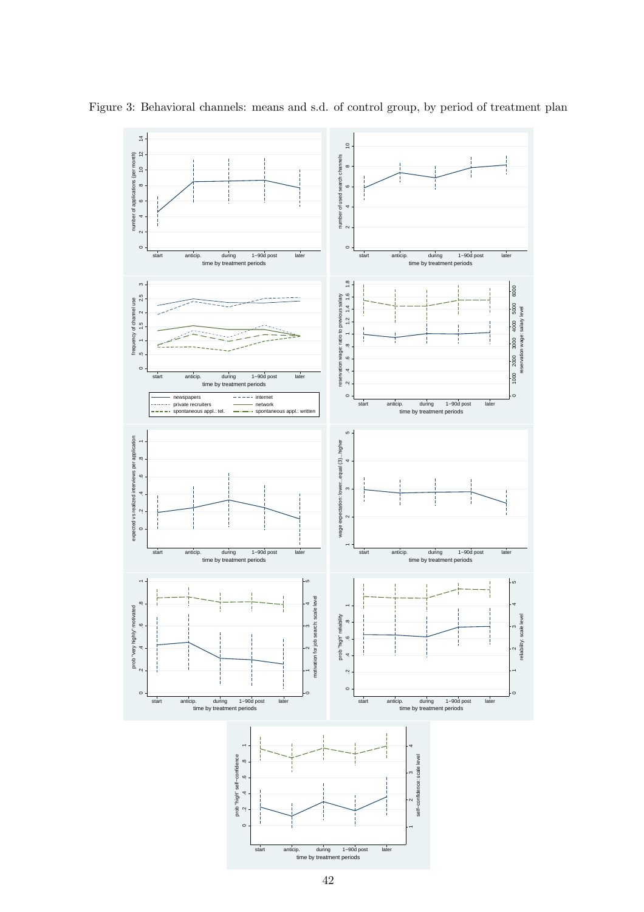

Figure 3: Behavioral channels: means and s.d. of control group, by period of treatment plan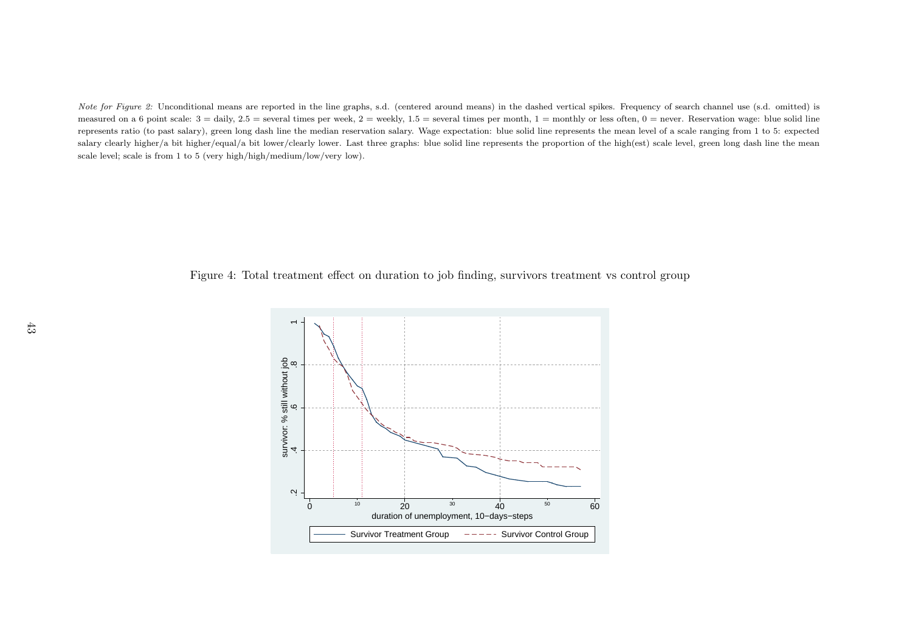Note for Figure 2: Unconditional means are reported in the line graphs, s.d. (centered around means) in the dashed vertical spikes. Frequency of search channel use (s.d. omitted) is measured on a 6 point scale:  $3 =$  daily,  $2.5 =$  several times per week,  $2 =$  weekly,  $1.5 =$  several times per month,  $1 =$  monthly or less often,  $0 =$  never. Reservation wage: blue solid line represents ratio (to past salary), green long dash line the median reservation salary. Wage expectation: blue solid line represents the mean level of <sup>a</sup> scale ranging from <sup>1</sup> to 5: expectedsalary clearly higher/a bit higher/equal/a bit lower/clearly lower. Last three graphs: blue solid line represents the proportion of the high(est) scale level, green long dash line the mean scale level; scale is from <sup>1</sup> to <sup>5</sup> (very high/high/medium/low/very low).

Figure 4: Total treatment effect on duration to job finding, survivors treatment vs control group

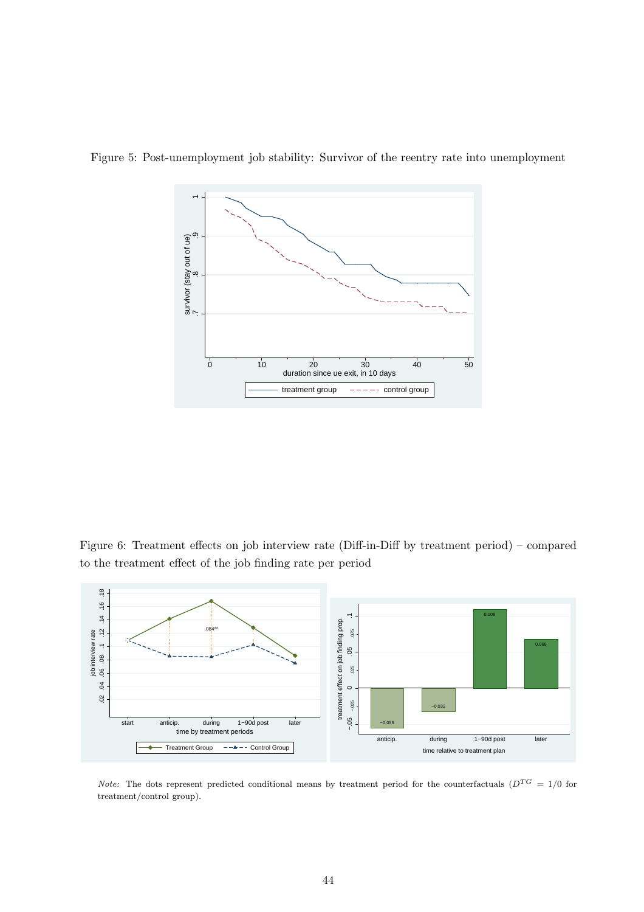

Figure 5: Post-unemployment job stability: Survivor of the reentry rate into unemployment

Figure 6: Treatment effects on job interview rate (Diff-in-Diff by treatment period) – compared to the treatment effect of the job finding rate per period



*Note:* The dots represent predicted conditional means by treatment period for the counterfactuals ( $D^{TG} = 1/0$  for treatment/control group).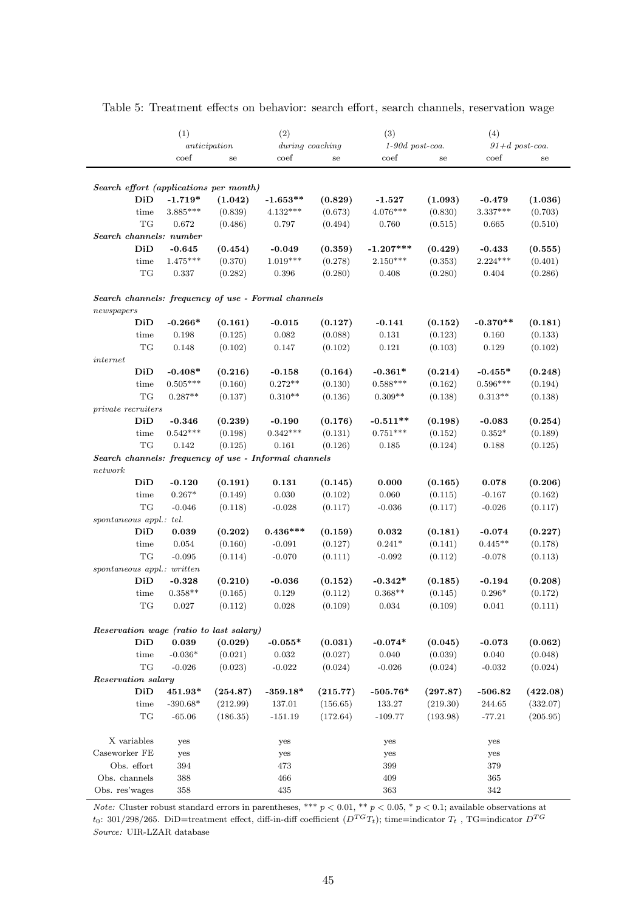|                                                       | (1)             |              | (2)             |            | (3)               |             | (4)              |          |  |
|-------------------------------------------------------|-----------------|--------------|-----------------|------------|-------------------|-------------|------------------|----------|--|
|                                                       |                 | anticipation | during coaching |            | $1-90d$ post-coa. |             | $91+d$ post-coa. |          |  |
|                                                       | $\mathrm{coef}$ | se           | coef            | ${\rm se}$ | coef              | $_{\rm se}$ | coef             | se       |  |
|                                                       |                 |              |                 |            |                   |             |                  |          |  |
| Search effort (applications per month)                |                 |              |                 |            |                   |             |                  |          |  |
| DiD                                                   | $-1.719*$       | (1.042)      | $-1.653**$      | (0.829)    | $-1.527$          | (1.093)     | $-0.479$         | (1.036)  |  |
| time                                                  | $3.885***$      | (0.839)      | $4.132***$      | (0.673)    | $4.076***$        | (0.830)     | 3.337***         | (0.703)  |  |
| TG                                                    | 0.672           | (0.486)      | 0.797           | (0.494)    | 0.760             | (0.515)     | 0.665            | (0.510)  |  |
| Search channels: number                               |                 |              |                 |            |                   |             |                  |          |  |
| DiD                                                   | $-0.645$        | (0.454)      | $-0.049$        | (0.359)    | $-1.207***$       | (0.429)     | $-0.433$         | (0.555)  |  |
| time                                                  | $1.475***$      | (0.370)      | $1.019***$      | (0.278)    | $2.150***$        | (0.353)     | $2.224***$       | (0.401)  |  |
| TG                                                    | 0.337           | (0.282)      | 0.396           | (0.280)    | 0.408             | (0.280)     | $0.404\,$        | (0.286)  |  |
|                                                       |                 |              |                 |            |                   |             |                  |          |  |
| Search channels: frequency of use - Formal channels   |                 |              |                 |            |                   |             |                  |          |  |
| newspapers                                            |                 |              |                 |            |                   |             |                  |          |  |
| DiD                                                   | $-0.266*$       | (0.161)      | $-0.015$        | (0.127)    | $-0.141$          | (0.152)     | $-0.370**$       | (0.181)  |  |
| time                                                  | 0.198           | (0.125)      | 0.082           | (0.088)    | 0.131             | (0.123)     | 0.160            | (0.133)  |  |
| TG                                                    | 0.148           | (0.102)      | 0.147           | (0.102)    | 0.121             | (0.103)     | 0.129            | (0.102)  |  |
| internet                                              |                 |              |                 |            |                   |             |                  |          |  |
| DiD                                                   | $-0.408*$       | (0.216)      | $-0.158$        | (0.164)    | $-0.361*$         | (0.214)     | $-0.455*$        | (0.248)  |  |
| time                                                  | $0.505***$      | (0.160)      | $0.272**$       | (0.130)    | $0.588***$        | (0.162)     | $0.596***$       | (0.194)  |  |
| TG                                                    | $0.287**$       | (0.137)      | $0.310**$       | (0.136)    | $0.309**$         | (0.138)     | $0.313**$        | (0.138)  |  |
| $private\ recruters$                                  |                 |              |                 |            |                   |             |                  |          |  |
| DiD                                                   | $-0.346$        | (0.239)      | $-0.190$        | (0.176)    | $-0.511**$        | (0.198)     | -0.083           | (0.254)  |  |
| time                                                  | $0.542***$      | (0.198)      | $0.342***$      | (0.131)    | $0.751***$        | (0.152)     | $0.352*$         | (0.189)  |  |
| TG                                                    | 0.142           | (0.125)      | 0.161           | (0.126)    | 0.185             | (0.124)     | 0.188            | (0.125)  |  |
| Search channels: frequency of use - Informal channels |                 |              |                 |            |                   |             |                  |          |  |
| network                                               |                 |              |                 |            |                   |             |                  |          |  |
| DiD                                                   | $-0.120$        | (0.191)      | 0.131           | (0.145)    | 0.000             | (0.165)     | 0.078            | (0.206)  |  |
| time                                                  | $0.267*$        | (0.149)      | 0.030           | (0.102)    | 0.060             | (0.115)     | $-0.167$         | (0.162)  |  |
| TG                                                    | $-0.046$        | (0.118)      | $-0.028$        | (0.117)    | $-0.036$          | (0.117)     | $-0.026$         | (0.117)  |  |
| spontaneous appl.: tel.                               |                 |              |                 |            |                   |             |                  |          |  |
| DiD                                                   | 0.039           | (0.202)      | $0.436***$      | (0.159)    | 0.032             | (0.181)     | $-0.074$         | (0.227)  |  |
| time                                                  | 0.054           | (0.160)      | $-0.091$        | (0.127)    | $0.241*$          | (0.141)     | $0.445**$        | (0.178)  |  |
| TG                                                    | $-0.095$        | (0.114)      | $-0.070$        | (0.111)    | $-0.092$          | (0.112)     | $-0.078$         | (0.113)  |  |
| $spontaneous$ appl.: written                          |                 |              |                 |            |                   |             |                  |          |  |
| DiD                                                   | $-0.328$        | (0.210)      | $-0.036$        | (0.152)    | $-0.342*$         | (0.185)     | -0.194           | (0.208)  |  |
| time                                                  | $0.358**$       | (0.165)      | 0.129           | (0.112)    | $0.368**$         | (0.145)     | $0.296*$         | (0.172)  |  |
| TG                                                    | 0.027           | (0.112)      | 0.028           | (0.109)    | 0.034             | (0.109)     | 0.041            | (0.111)  |  |
|                                                       |                 |              |                 |            |                   |             |                  |          |  |
| Reservation wage (ratio to last salary)               |                 |              |                 |            |                   |             |                  |          |  |
| DiD                                                   | 0.039           | (0.029)      | $-0.055*$       | (0.031)    | $-0.074*$         | (0.045)     | $-0.073$         | (0.062)  |  |
| time                                                  | $-0.036*$       | (0.021)      | 0.032           | (0.027)    | 0.040             | (0.039)     | 0.040            | (0.048)  |  |
| TG                                                    | $-0.026$        | (0.023)      | $-0.022$        | (0.024)    | $-0.026$          | (0.024)     | $-0.032$         | (0.024)  |  |
| Reservation salary                                    |                 |              |                 |            |                   |             |                  |          |  |
| DiD                                                   | 451.93*         | (254.87)     | $-359.18*$      | (215.77)   | $-505.76*$        | (297.87)    | $-506.82$        | (422.08) |  |
| time                                                  | $-390.68*$      | (212.99)     | 137.01          | (156.65)   | 133.27            | (219.30)    | 244.65           | (332.07) |  |
| TG                                                    | $-65.06$        | (186.35)     | $-151.19$       | (172.64)   | $-109.77$         | (193.98)    | $-77.21$         | (205.95) |  |
|                                                       |                 |              |                 |            |                   |             |                  |          |  |
| X variables                                           | yes             |              | yes             |            | yes               |             | yes              |          |  |
| Caseworker FE                                         | yes             |              | yes             |            | yes               |             | yes              |          |  |
| Obs. effort                                           | 394             |              | 473             |            | 399               |             | 379              |          |  |
| Obs. channels                                         | 388             |              | 466             |            | 409               |             | 365              |          |  |
| Obs. res'wages                                        | 358             |              | 435             |            | 363               |             | 342              |          |  |

Table 5: Treatment effects on behavior: search effort, search channels, reservation wage

*Note:* Cluster robust standard errors in parentheses, \*\*\*  $p < 0.01$ , \*\*  $p < 0.05$ , \*  $p < 0.1$ ; available observations at t<sub>0</sub>: 301/298/265. DiD=treatment effect, diff-in-diff coefficient  $(D^{TG}T_t)$ ; time=indicator  $T_t$ , TG=indicator  $D^{TG}$ Source: UIR-LZAR database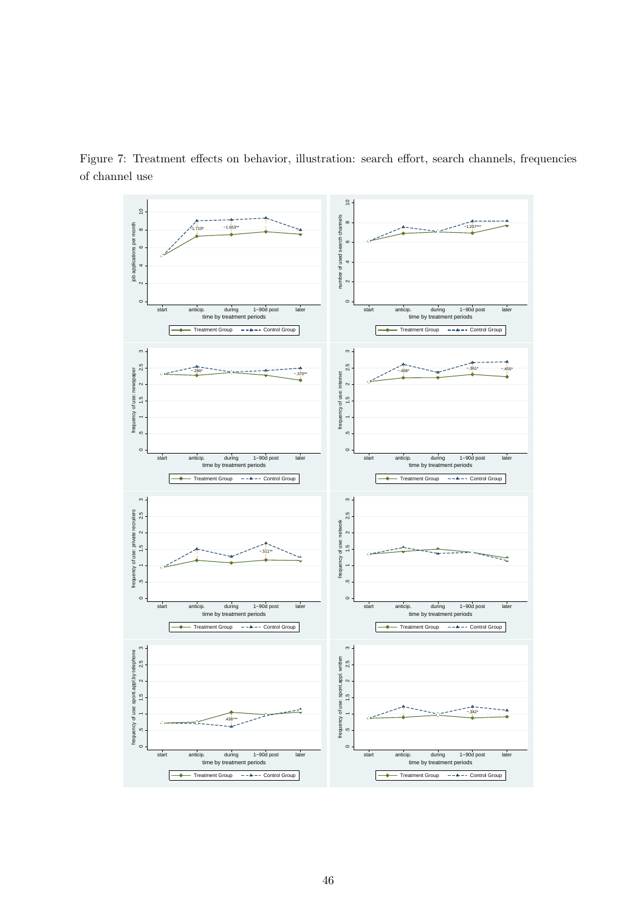

Figure 7: Treatment effects on behavior, illustration: search effort, search channels, frequencies of channel use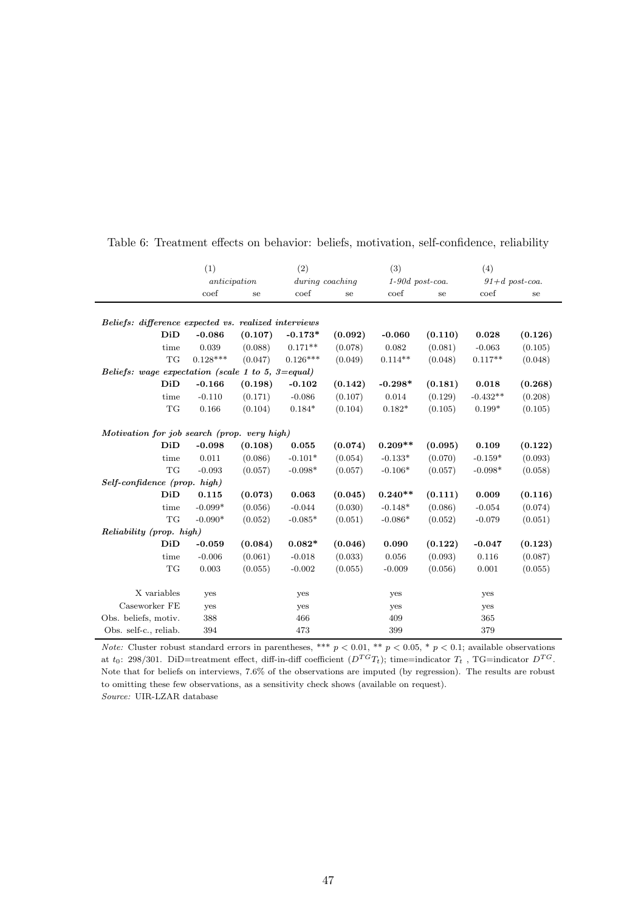|                                                      | (1)          | (2)     |                 |         | (3)               |         | (4)        |                  |  |
|------------------------------------------------------|--------------|---------|-----------------|---------|-------------------|---------|------------|------------------|--|
|                                                      | anticipation |         | during coaching |         | $1-90d$ post-coa. |         |            | $91+d$ post-coa. |  |
|                                                      | coef         | se      | coef            | se      | coef              | se      | coef       | se               |  |
|                                                      |              |         |                 |         |                   |         |            |                  |  |
| Beliefs: difference expected vs. realized interviews |              |         |                 |         |                   |         |            |                  |  |
| DiD                                                  | $-0.086$     | (0.107) | $-0.173*$       | (0.092) | $-0.060$          | (0.110) | 0.028      | (0.126)          |  |
| time                                                 | 0.039        | (0.088) | $0.171**$       | (0.078) | 0.082             | (0.081) | $-0.063$   | (0.105)          |  |
| <b>TG</b>                                            | $0.128***$   | (0.047) | $0.126***$      | (0.049) | $0.114**$         | (0.048) | $0.117**$  | (0.048)          |  |
| Beliefs: wage expectation (scale 1 to 5, 3=equal)    |              |         |                 |         |                   |         |            |                  |  |
| DiD                                                  | $-0.166$     | (0.198) | $-0.102$        | (0.142) | $-0.298*$         | (0.181) | 0.018      | (0.268)          |  |
| time                                                 | $-0.110$     | (0.171) | $-0.086$        | (0.107) | 0.014             | (0.129) | $-0.432**$ | (0.208)          |  |
| TG                                                   | 0.166        | (0.104) | $0.184*$        | (0.104) | $0.182*$          | (0.105) | $0.199*$   | (0.105)          |  |
| Motivation for job search (prop. very high)          |              |         |                 |         |                   |         |            |                  |  |
| DiD                                                  | $-0.098$     | (0.108) | 0.055           | (0.074) | $0.209**$         | (0.095) | 0.109      | (0.122)          |  |
| time                                                 | 0.011        | (0.086) | $-0.101*$       | (0.054) | $-0.133*$         | (0.070) | $-0.159*$  | (0.093)          |  |
| <b>TG</b>                                            | $-0.093$     | (0.057) | $-0.098*$       | (0.057) | $-0.106*$         | (0.057) | $-0.098*$  | (0.058)          |  |
| Self-confidence (prop. high)                         |              |         |                 |         |                   |         |            |                  |  |
| DiD                                                  | 0.115        | (0.073) | 0.063           | (0.045) | $0.240**$         | (0.111) | 0.009      | (0.116)          |  |
| time                                                 | $-0.099*$    | (0.056) | $-0.044$        | (0.030) | $-0.148*$         | (0.086) | $-0.054$   | (0.074)          |  |
| $\operatorname{\mathcal{T}G}$                        | $-0.090*$    | (0.052) | $-0.085*$       | (0.051) | $-0.086*$         | (0.052) | $-0.079$   | (0.051)          |  |
| Reliability (prop. high)                             |              |         |                 |         |                   |         |            |                  |  |
| DiD                                                  | $-0.059$     | (0.084) | $0.082*$        | (0.046) | 0.090             | (0.122) | $-0.047$   | (0.123)          |  |
| time                                                 | $-0.006$     | (0.061) | $-0.018$        | (0.033) | 0.056             | (0.093) | 0.116      | (0.087)          |  |
| TG                                                   | 0.003        | (0.055) | $-0.002$        | (0.055) | $-0.009$          | (0.056) | 0.001      | (0.055)          |  |
| X variables                                          | yes          |         | yes             |         | yes               |         | yes        |                  |  |
| Caseworker FE                                        | yes          |         | yes             |         | yes               |         | yes        |                  |  |
| Obs. beliefs, motiv.                                 | 388          |         | 466             |         | 409               |         | 365        |                  |  |
| Obs. self-c., reliab.                                | 394          |         | 473             |         | 399               |         | 379        |                  |  |
|                                                      |              |         |                 |         |                   |         |            |                  |  |

Table 6: Treatment effects on behavior: beliefs, motivation, self-confidence, reliability

*Note:* Cluster robust standard errors in parentheses, \*\*\*  $p < 0.01$ , \*\*  $p < 0.05$ , \*  $p < 0.1$ ; available observations at  $t_0$ : 298/301. DiD=treatment effect, diff-in-diff coefficient  $(D^{TG}T_t)$ ; time=indicator  $T_t$ , TG=indicator  $D^{TG}$ . Note that for beliefs on interviews, 7.6% of the observations are imputed (by regression). The results are robust to omitting these few observations, as a sensitivity check shows (available on request).

Source: UIR-LZAR database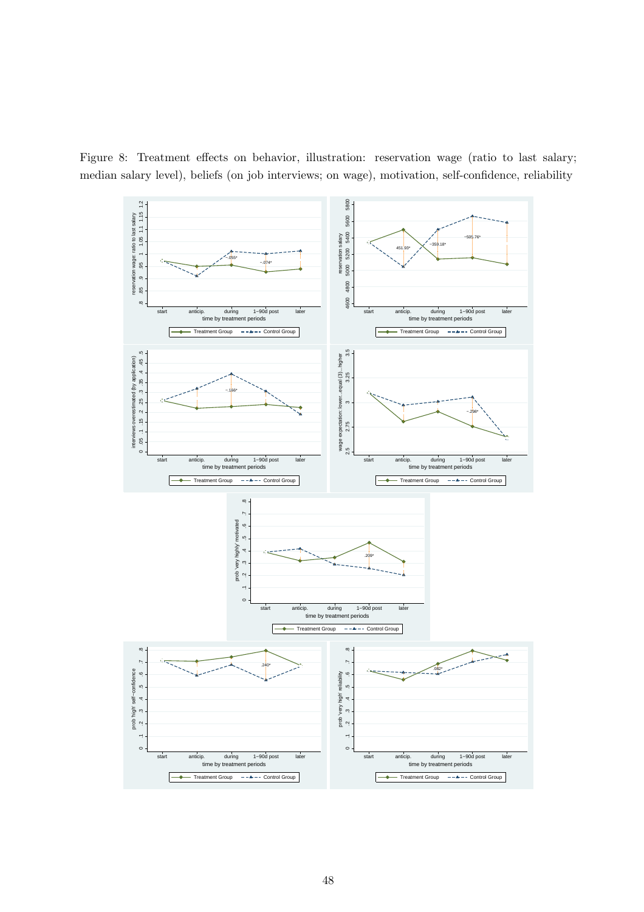Figure 8: Treatment effects on behavior, illustration: reservation wage (ratio to last salary; median salary level), beliefs (on job interviews; on wage), motivation, self-confidence, reliability

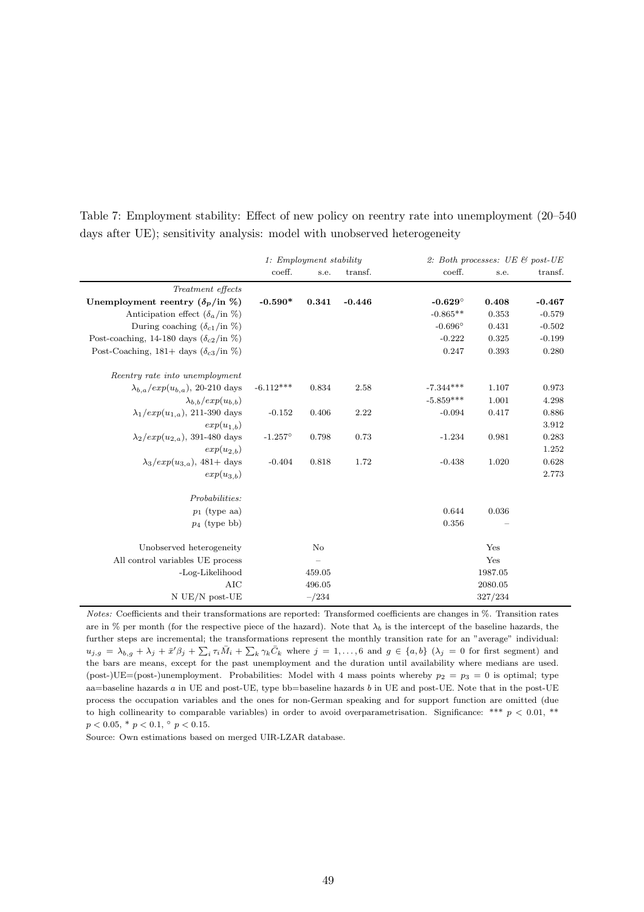|                                                                           |  |  | Table 7: Employment stability: Effect of new policy on reentry rate into unemployment (20–540) |  |
|---------------------------------------------------------------------------|--|--|------------------------------------------------------------------------------------------------|--|
| days after UE); sensitivity analysis: model with unobserved heterogeneity |  |  |                                                                                                |  |

|                                                         | 1: Employment stability |           |          | 2: Both processes: UE & post-UE |         |          |  |
|---------------------------------------------------------|-------------------------|-----------|----------|---------------------------------|---------|----------|--|
|                                                         | coeff.                  | s.e.      | transf.  | coeff.                          | s.e.    | transf.  |  |
| Treatment effects                                       |                         |           |          |                                 |         |          |  |
| Unemployment reentry $(\delta_p / \text{in} \%)$        | $-0.590*$               | 0.341     | $-0.446$ | $-0.629^\circ$                  | 0.408   | $-0.467$ |  |
| Anticipation effect $(\delta_a$ /in $\%)$               |                         |           |          | $-0.865**$                      | 0.353   | $-0.579$ |  |
| During coaching $(\delta_{c1}/\text{in }\%)$            |                         |           |          | $-0.696^\circ$                  | 0.431   | $-0.502$ |  |
| Post-coaching, 14-180 days $(\delta_{c2}/\text{in }\%)$ |                         |           |          | $-0.222$                        | 0.325   | $-0.199$ |  |
| Post-Coaching, 181+ days $(\delta_{c3}/\text{in }\%)$   |                         |           |          | 0.247                           | 0.393   | 0.280    |  |
| Reentry rate into unemployment                          |                         |           |          |                                 |         |          |  |
| $\lambda_{b,a}/exp(u_{b,a})$ , 20-210 days              | $-6.112***$             | 0.834     | 2.58     | $-7.344***$                     | 1.107   | 0.973    |  |
| $\lambda_{b,b}/exp(u_{b,b})$                            |                         |           |          | $-5.859***$                     | 1.001   | 4.298    |  |
| $\lambda_1/exp(u_{1,a}), 211-390$ days                  | $-0.152$                | 0.406     | 2.22     | $-0.094$                        | 0.417   | 0.886    |  |
| $exp(u_{1,b})$                                          |                         |           |          |                                 |         | 3.912    |  |
| $\lambda_2/exp(u_{2,a}), 391-480 \text{ days}$          | $-1.257^{\circ}$        | 0.798     | 0.73     | $-1.234$                        | 0.981   | 0.283    |  |
| $exp(u_{2,b})$                                          |                         |           |          |                                 |         | 1.252    |  |
| $\lambda_3/exp(u_{3,a}),$ 481+ days                     | $-0.404$                | 0.818     | 1.72     | $-0.438$                        | 1.020   | 0.628    |  |
| $exp(u_{3,b})$                                          |                         |           |          |                                 |         | 2.773    |  |
| Probabilities:                                          |                         |           |          |                                 |         |          |  |
| $p_1$ (type aa)                                         |                         |           |          | 0.644                           | 0.036   |          |  |
| $p_4$ (type bb)                                         |                         |           |          | 0.356                           |         |          |  |
| Unobserved heterogeneity                                |                         | No        |          |                                 | Yes     |          |  |
| All control variables UE process                        |                         |           |          |                                 | Yes     |          |  |
| -Log-Likelihood                                         |                         | 459.05    |          |                                 | 1987.05 |          |  |
| <b>AIC</b>                                              |                         | 496.05    |          |                                 | 2080.05 |          |  |
| $N$ UE/N post-UE                                        |                         | $- / 234$ |          |                                 | 327/234 |          |  |

Notes: Coefficients and their transformations are reported: Transformed coefficients are changes in %. Transition rates are in % per month (for the respective piece of the hazard). Note that  $\lambda_b$  is the intercept of the baseline hazards, the further steps are incremental; the transformations represent the monthly transition rate for an "average" individual:  $u_{j,g} = \lambda_{b,g} + \lambda_j + \bar{x}'\beta_j + \sum_i \tau_i \bar{M}_i + \sum_k \gamma_k \bar{C}_k$  where  $j = 1,\ldots, 6$  and  $g \in \{a,b\}$   $(\lambda_j = 0$  for first segment) and the bars are means, except for the past unemployment and the duration until availability where medians are used. (post-)UE=(post-)unemployment. Probabilities: Model with 4 mass points whereby  $p_2 = p_3 = 0$  is optimal; type aa=baseline hazards a in UE and post-UE, type bb=baseline hazards b in UE and post-UE. Note that in the post-UE process the occupation variables and the ones for non-German speaking and for support function are omitted (due to high collinearity to comparable variables) in order to avoid overparametrisation. Significance: \*\*\*  $p < 0.01$ , \*\*  $p < 0.05, \, ^*p < 0.1, \, ^{\circ}p < 0.15.$ 

Source: Own estimations based on merged UIR-LZAR database.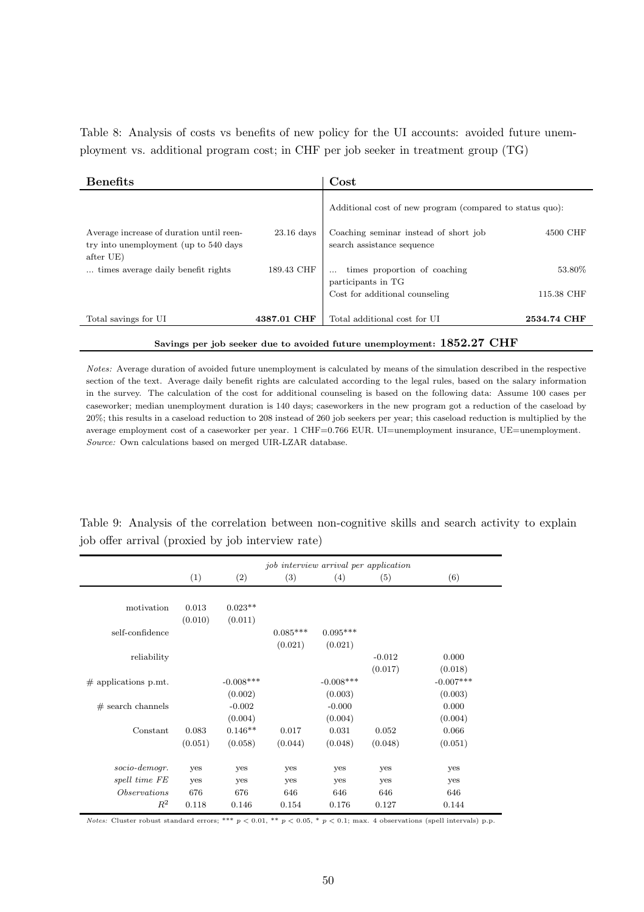Table 8: Analysis of costs vs benefits of new policy for the UI accounts: avoided future unemployment vs. additional program cost; in CHF per job seeker in treatment group (TG)

| <b>Benefits</b>                                                                                 |              | Cost                                                                |             |  |  |  |  |
|-------------------------------------------------------------------------------------------------|--------------|---------------------------------------------------------------------|-------------|--|--|--|--|
|                                                                                                 |              | Additional cost of new program (compared to status quo):            |             |  |  |  |  |
| Average increase of duration until reen-<br>try into unemployment (up to 540 days)<br>after UE) | $23.16$ days | Coaching seminar instead of short job<br>search assistance sequence | 4500 CHF    |  |  |  |  |
| times average daily benefit rights.                                                             | 189.43 CHF   | times proportion of coaching<br>participants in TG                  | 53.80%      |  |  |  |  |
|                                                                                                 |              | Cost for additional counseling                                      | 115.38 CHF  |  |  |  |  |
| Total savings for UI                                                                            | 4387.01 CHF  | Total additional cost for UI                                        | 2534.74 CHF |  |  |  |  |
| Savings per job seeker due to avoided future unemployment: 1852.27 CHF                          |              |                                                                     |             |  |  |  |  |

Notes: Average duration of avoided future unemployment is calculated by means of the simulation described in the respective section of the text. Average daily benefit rights are calculated according to the legal rules, based on the salary information in the survey. The calculation of the cost for additional counseling is based on the following data: Assume 100 cases per caseworker; median unemployment duration is 140 days; caseworkers in the new program got a reduction of the caseload by 20%; this results in a caseload reduction to 208 instead of 260 job seekers per year; this caseload reduction is multiplied by the average employment cost of a caseworker per year. 1 CHF=0.766 EUR. UI=unemployment insurance, UE=unemployment. Source: Own calculations based on merged UIR-LZAR database.

job interview arrival per application  $(1)$   $(2)$   $(3)$   $(4)$   $(5)$   $(6)$ motivation 0.013 0.023\*\*  $(0.010)$   $(0.011)$ self-confidence 0.085\*\*\* 0.095\*\*\*  $(0.021)$   $(0.021)$ reliability  $-0.012$   $0.000$  $(0.017)$   $(0.018)$  $\#$  applications p.mt.  $-0.008***$   $-0.008***$   $-0.008***$   $-0.007***$  $(0.002)$   $(0.003)$   $(0.003)$  $\#$  search channels  $-0.002$   $-0.000$   $0.000$  $(0.004)$   $(0.004)$   $(0.004)$ Constant 0.083 0.146\*\* 0.017 0.031 0.052 0.066 (0.051) (0.058) (0.044) (0.048) (0.048) (0.051) socio-demogr. yes yes yes yes yes yes spell time FE yes yes yes yes yes yes yes yes Observations 676 676 646 646 646 646  $R^2$  0.118 0.146 0.154 0.176 0.127 0.144

Table 9: Analysis of the correlation between non-cognitive skills and search activity to explain job offer arrival (proxied by job interview rate)

Notes: Cluster robust standard errors; \*\*\*  $p < 0.01$ , \*\*  $p < 0.05$ , \*  $p < 0.1$ ; max. 4 observations (spell intervals) p.p.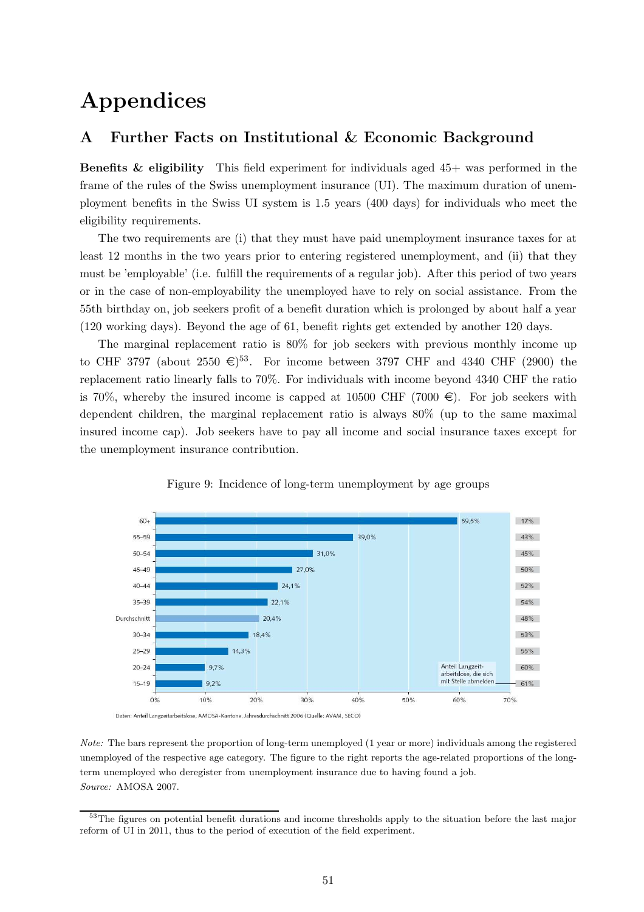## Appendices

## A Further Facts on Institutional & Economic Background

**Benefits & eligibility** This field experiment for individuals aged  $45+$  was performed in the frame of the rules of the Swiss unemployment insurance (UI). The maximum duration of unemployment benefits in the Swiss UI system is 1.5 years (400 days) for individuals who meet the eligibility requirements.

The two requirements are (i) that they must have paid unemployment insurance taxes for at least 12 months in the two years prior to entering registered unemployment, and (ii) that they must be 'employable' (i.e. fulfill the requirements of a regular job). After this period of two years or in the case of non-employability the unemployed have to rely on social assistance. From the 55th birthday on, job seekers profit of a benefit duration which is prolonged by about half a year (120 working days). Beyond the age of 61, benefit rights get extended by another 120 days.

The marginal replacement ratio is 80% for job seekers with previous monthly income up to CHF 3797 (about 2550  $\epsilon$ )<sup>53</sup>. For income between 3797 CHF and 4340 CHF (2900) the replacement ratio linearly falls to 70%. For individuals with income beyond 4340 CHF the ratio is 70%, whereby the insured income is capped at 10500 CHF (7000  $\in$ ). For job seekers with dependent children, the marginal replacement ratio is always 80% (up to the same maximal insured income cap). Job seekers have to pay all income and social insurance taxes except for the unemployment insurance contribution.





Daten: Anteil Langzeitarbeitslose, AMOSA-Kantone, Jahresdurchschnitt 2006 (Quelle: AVAM, SECO)

Note: The bars represent the proportion of long-term unemployed (1 year or more) individuals among the registered unemployed of the respective age category. The figure to the right reports the age-related proportions of the longterm unemployed who deregister from unemployment insurance due to having found a job. Source: AMOSA 2007.

<sup>53</sup>The figures on potential benefit durations and income thresholds apply to the situation before the last major reform of UI in 2011, thus to the period of execution of the field experiment.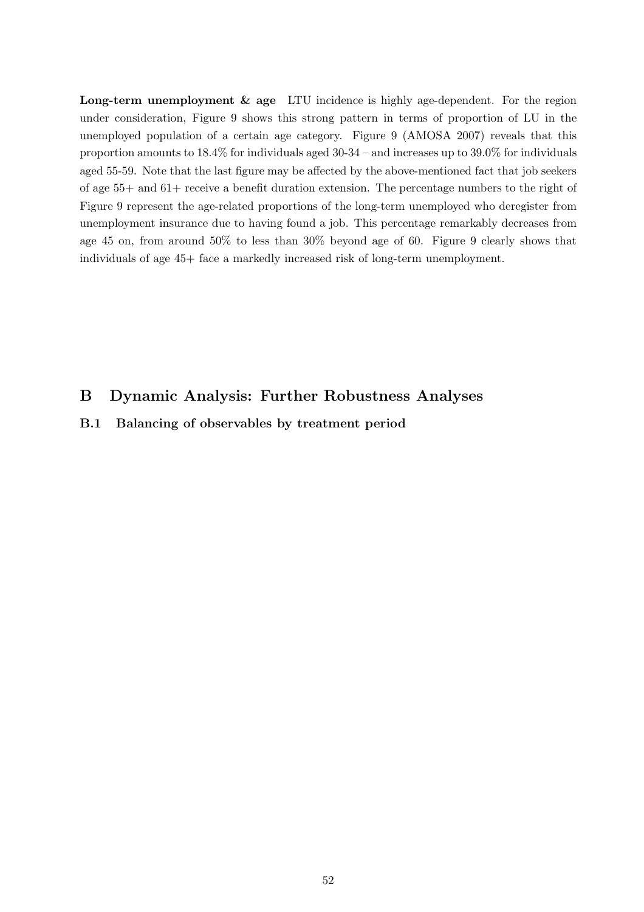Long-term unemployment & age LTU incidence is highly age-dependent. For the region under consideration, Figure 9 shows this strong pattern in terms of proportion of LU in the unemployed population of a certain age category. Figure 9 (AMOSA 2007) reveals that this proportion amounts to 18.4% for individuals aged 30-34 – and increases up to 39.0% for individuals aged 55-59. Note that the last figure may be affected by the above-mentioned fact that job seekers of age 55+ and 61+ receive a benefit duration extension. The percentage numbers to the right of Figure 9 represent the age-related proportions of the long-term unemployed who deregister from unemployment insurance due to having found a job. This percentage remarkably decreases from age 45 on, from around 50% to less than 30% beyond age of 60. Figure 9 clearly shows that individuals of age 45+ face a markedly increased risk of long-term unemployment.

## B Dynamic Analysis: Further Robustness Analyses

B.1 Balancing of observables by treatment period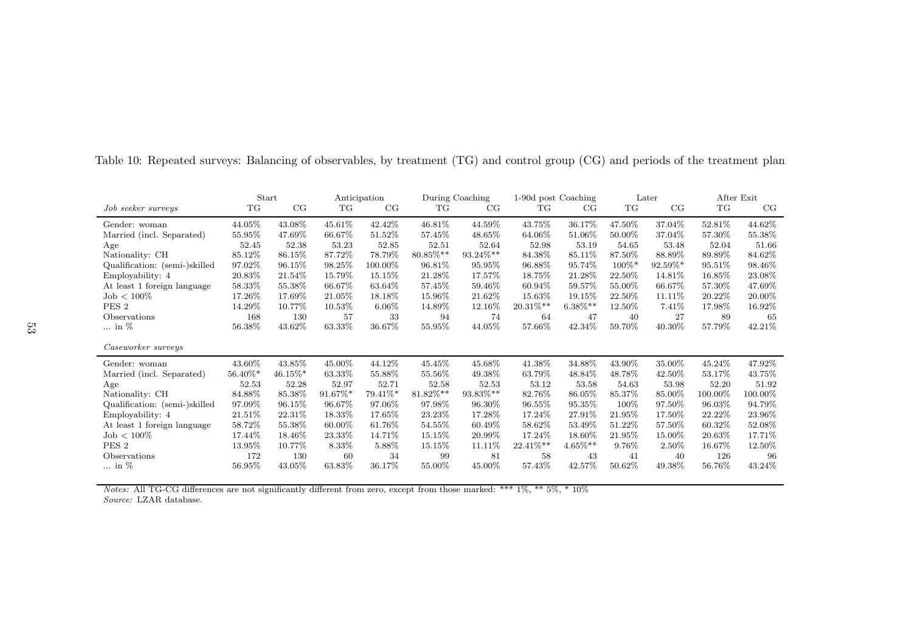|                               | <b>Start</b> |            |         | Anticipation |          | During Coaching | 1-90d post Coaching |            |          | Later      |           | After Exit |
|-------------------------------|--------------|------------|---------|--------------|----------|-----------------|---------------------|------------|----------|------------|-----------|------------|
| Job seeker surveys            | TG           | CG         | TG      | CG           | TG       | CG              | TG                  | CG         | TG       | CG         | TG        | CG         |
| Gender: woman                 | 44.05%       | 43.08%     | 45.61%  | 42.42\%      | 46.81\%  | 44.59%          | 43.75%              | 36.17%     | 47.50%   | 37.04%     | 52.81\%   | 44.62%     |
| Married (incl. Separated)     | 55.95%       | 47.69%     | 66.67%  | 51.52%       | 57.45%   | 48.65%          | 64.06%              | 51.06%     | 50.00%   | 37.04%     | 57.30%    | 55.38%     |
| Age                           | 52.45        | 52.38      | 53.23   | 52.85        | 52.51    | 52.64           | 52.98               | 53.19      | 54.65    | 53.48      | 52.04     | 51.66      |
| Nationality: CH               | 85.12%       | 86.15%     | 87.72%  | 78.79%       | 80.85%** | 93.24%**        | 84.38%              | 85.11%     | 87.50%   | 88.89%     | 89.89%    | 84.62%     |
| Qualification: (semi-)skilled | 97.02%       | 96.15%     | 98.25%  | 100.00%      | 96.81\%  | 95.95%          | 96.88%              | 95.74%     | $100\%*$ | $92.59\%*$ | 95.51\%   | 98.46\%    |
| Employability: 4              | 20.83%       | 21.54%     | 15.79%  | 15.15%       | 21.28%   | 17.57%          | 18.75%              | 21.28%     | 22.50%   | 14.81\%    | 16.85%    | 23.08%     |
| At least 1 foreign language   | 58.33%       | 55.38%     | 66.67%  | 63.64\%      | 57.45%   | 59.46\%         | 60.94%              | 59.57%     | 55.00%   | 66.67%     | 57.30%    | 47.69%     |
| $\mathrm{Job} < 100\%$        | 17.26%       | 17.69%     | 21.05%  | 18.18\%      | 15.96%   | 21.62%          | 15.63%              | 19.15%     | 22.50%   | 11.11\%    | 20.22\%   | 20.00%     |
| PES <sub>2</sub>              | 14.29%       | 10.77%     | 10.53%  | $6.06\%$     | 14.89%   | 12.16\%         | $20.31\%**$         | $6.38\%**$ | 12.50%   | 7.41%      | 17.98%    | 16.92%     |
| Observations                  | 168          | 130        | 57      | 33           | 94       | 74              | 64                  | 47         | 40       | 27         | 89        | 65         |
| $\ldots$ in $\%$              | 56.38%       | 43.62%     | 63.33%  | 36.67%       | 55.95%   | 44.05%          | 57.66%              | 42.34%     | 59.70%   | 40.30%     | 57.79%    | 42.21\%    |
| Caseworker surveys            |              |            |         |              |          |                 |                     |            |          |            |           |            |
| Gender: woman                 | 43.60%       | 43.85%     | 45.00%  | 44.12%       | 45.45%   | 45.68%          | 41.38%              | 34.88%     | 43.90%   | 35.00%     | 45.24\%   | 47.92%     |
| Married (incl. Separated)     | $56.40\%*$   | $46.15\%*$ | 63.33%  | 55.88%       | 55.56%   | 49.38%          | 63.79%              | 48.84%     | 48.78%   | 42.50%     | 53.17%    | 43.75%     |
| Age                           | 52.53        | 52.28      | 52.97   | 52.71        | 52.58    | 52.53           | 53.12               | 53.58      | 54.63    | 53.98      | 52.20     | 51.92      |
| Nationality: CH               | 84.88%       | 85.38%     | 91.67%* | 79.41%*      | 81.82%** | 93.83%**        | 82.76%              | 86.05%     | 85.37%   | 85.00%     | 100.00%   | 100.00%    |
| Qualification: (semi-)skilled | 97.09%       | 96.15%     | 96.67%  | 97.06%       | 97.98%   | 96.30\%         | 96.55%              | 95.35%     | $100\%$  | 97.50%     | 96.03%    | 94.79%     |
| Employability: 4              | 21.51\%      | 22.31%     | 18.33%  | 17.65%       | 23.23%   | 17.28%          | 17.24\%             | 27.91%     | 21.95%   | 17.50%     | 22.22%    | 23.96%     |
| At least 1 foreign language   | 58.72%       | 55.38%     | 60.00%  | 61.76%       | 54.55%   | 60.49%          | 58.62%              | 53.49%     | 51.22%   | 57.50%     | 60.32%    | 52.08%     |
| $\mathrm{Job} < 100\%$        | 17.44\%      | 18.46%     | 23.33%  | 14.71%       | 15.15%   | 20.99%          | 17.24\%             | 18.60%     | 21.95%   | 15.00%     | 20.63%    | 17.71\%    |
| PES <sub>2</sub>              | 13.95%       | 10.77%     | 8.33%   | 5.88%        | 15.15%   | 11.11%          | $22.41\%**$         | $4.65\%**$ | 9.76%    | 2.50%      | $16.67\%$ | 12.50%     |
| Observations                  | 172          | 130        | 60      | 34           | 99       | 81              | 58                  | 43         | 41       | 40         | 126       | 96         |
| $\ldots$ in $\%$              | 56.95%       | 43.05%     | 63.83%  | 36.17%       | 55.00%   | 45.00%          | 57.43%              | 42.57%     | 50.62%   | 49.38%     | 56.76%    | 43.24\%    |

Table 10: Repeated surveys: Balancing of observables, by treatment (TG) and control group (CG) and periods of the treatment <sup>p</sup>lan

Notes: All TG-CG differences are not significantly different from zero, except from those marked: \*\*\* 1%, \*\* 5%, \* 10%Source: LZAR database.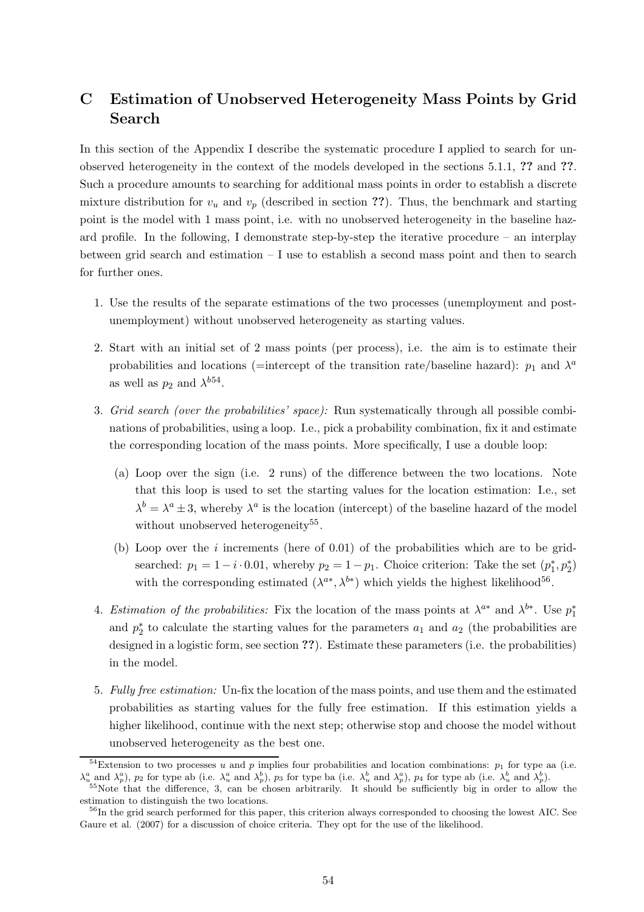## C Estimation of Unobserved Heterogeneity Mass Points by Grid Search

In this section of the Appendix I describe the systematic procedure I applied to search for unobserved heterogeneity in the context of the models developed in the sections 5.1.1, ?? and ??. Such a procedure amounts to searching for additional mass points in order to establish a discrete mixture distribution for  $v_u$  and  $v_p$  (described in section ??). Thus, the benchmark and starting point is the model with 1 mass point, i.e. with no unobserved heterogeneity in the baseline hazard profile. In the following, I demonstrate step-by-step the iterative procedure – an interplay between grid search and estimation – I use to establish a second mass point and then to search for further ones.

- 1. Use the results of the separate estimations of the two processes (unemployment and postunemployment) without unobserved heterogeneity as starting values.
- 2. Start with an initial set of 2 mass points (per process), i.e. the aim is to estimate their probabilities and locations (=intercept of the transition rate/baseline hazard):  $p_1$  and  $\lambda^a$ as well as  $p_2$  and  $\lambda^{b54}$ .
- 3. Grid search (over the probabilities' space): Run systematically through all possible combinations of probabilities, using a loop. I.e., pick a probability combination, fix it and estimate the corresponding location of the mass points. More specifically, I use a double loop:
	- (a) Loop over the sign (i.e. 2 runs) of the difference between the two locations. Note that this loop is used to set the starting values for the location estimation: I.e., set  $\lambda^{b} = \lambda^{a} \pm 3$ , whereby  $\lambda^{a}$  is the location (intercept) of the baseline hazard of the model without unobserved heterogeneity<sup>55</sup>.
	- (b) Loop over the  $i$  increments (here of 0.01) of the probabilities which are to be gridsearched:  $p_1 = 1 - i \cdot 0.01$ , whereby  $p_2 = 1 - p_1$ . Choice criterion: Take the set  $(p_1^*, p_2^*)$ with the corresponding estimated  $(\lambda^{a*}, \lambda^{b*})$  which yields the highest likelihood<sup>56</sup>.
- 4. Estimation of the probabilities: Fix the location of the mass points at  $\lambda^{a*}$  and  $\lambda^{b*}$ . Use  $p_1^*$ and  $p_2^*$  to calculate the starting values for the parameters  $a_1$  and  $a_2$  (the probabilities are designed in a logistic form, see section ??). Estimate these parameters (i.e. the probabilities) in the model.
- 5. Fully free estimation: Un-fix the location of the mass points, and use them and the estimated probabilities as starting values for the fully free estimation. If this estimation yields a higher likelihood, continue with the next step; otherwise stop and choose the model without unobserved heterogeneity as the best one.

<sup>&</sup>lt;sup>54</sup>Extension to two processes u and p implies four probabilities and location combinations:  $p_1$  for type aa (i.e.  $\lambda_u^a$  and  $\lambda_p^a$ ),  $p_2$  for type ab (i.e.  $\lambda_u^a$  and  $\lambda_p^b$ ),  $p_3$  for type ba (i.e.  $\lambda_u^b$  and  $\lambda_p^a$ ),  $p_4$  for type ab (i.e.  $\lambda_u^b$  and  $\lambda_p^b$ ).

<sup>&</sup>lt;sup>55</sup>Note that the difference, 3, can be chosen arbitrarily. It should be sufficiently big in order to allow the estimation to distinguish the two locations.

<sup>&</sup>lt;sup>56</sup>In the grid search performed for this paper, this criterion always corresponded to choosing the lowest AIC. See Gaure et al. (2007) for a discussion of choice criteria. They opt for the use of the likelihood.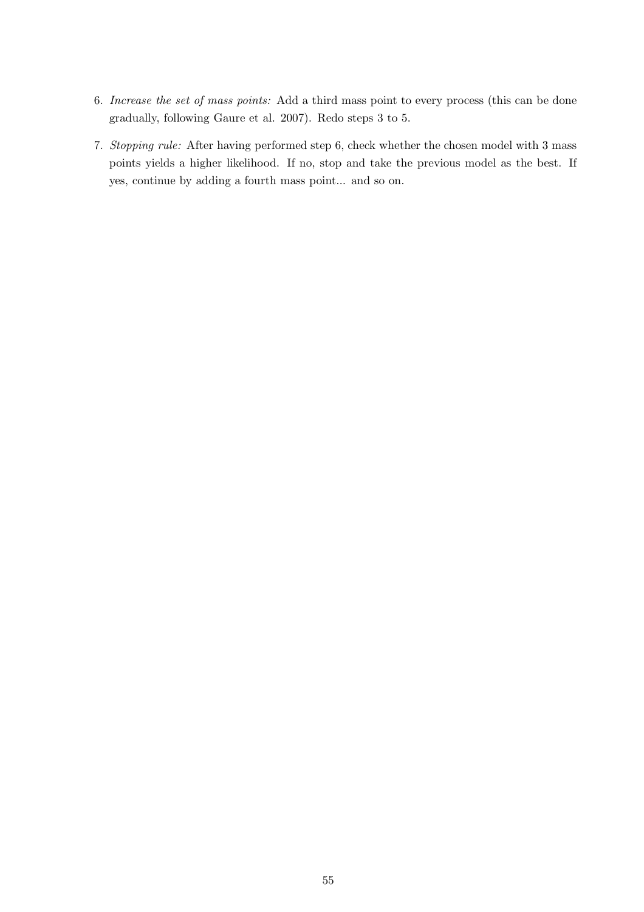- 6. Increase the set of mass points: Add a third mass point to every process (this can be done gradually, following Gaure et al. 2007). Redo steps 3 to 5.
- 7. Stopping rule: After having performed step 6, check whether the chosen model with 3 mass points yields a higher likelihood. If no, stop and take the previous model as the best. If yes, continue by adding a fourth mass point... and so on.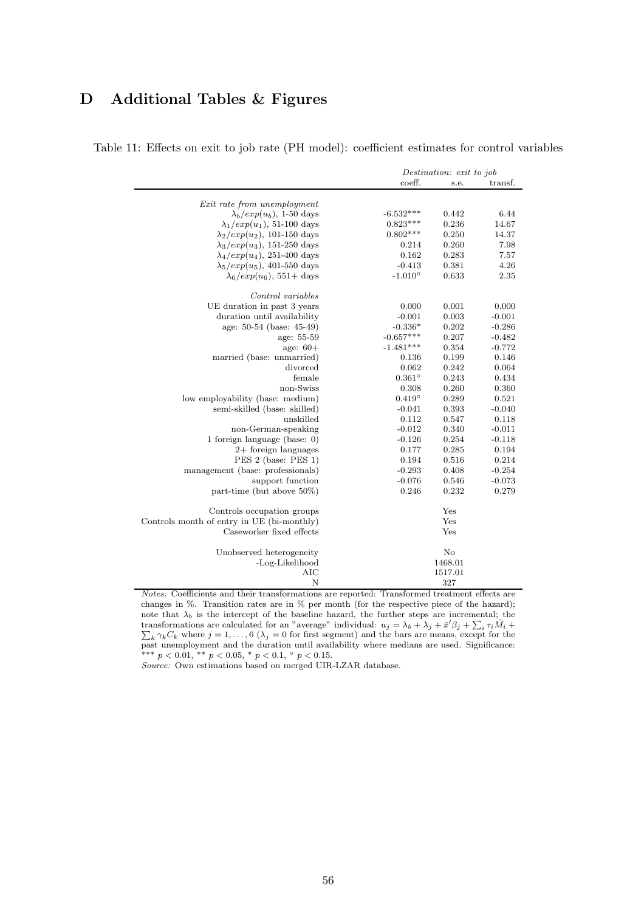## D Additional Tables & Figures

|                                            |                  | Destination: exit to job |          |
|--------------------------------------------|------------------|--------------------------|----------|
|                                            | coeff.           | s.e.                     | transf.  |
|                                            |                  |                          |          |
| Exit rate from unemployment                |                  |                          |          |
| $\lambda_b/exp(u_b)$ , 1-50 days           | $-6.532***$      | 0.442                    | 6.44     |
| $\lambda_1/exp(u_1)$ , 51-100 days         | $0.823***$       | 0.236                    | 14.67    |
| $\lambda_2/exp(u_2)$ , 101-150 days        | $0.802***$       | 0.250                    | 14.37    |
| $\lambda_3/exp(u_3)$ , 151-250 days        | 0.214            | 0.260                    | 7.98     |
| $\lambda_4/exp(u_4)$ , 251-400 days        | 0.162            | 0.283                    | 7.57     |
| $\lambda_5/exp(u_5)$ , 401-550 days        | $-0.413$         | 0.381                    | 4.26     |
| $\lambda_6/exp(u_6)$ , 551+ days           | $-1.010^{\circ}$ | 0.633                    | 2.35     |
| Control variables                          |                  |                          |          |
| UE duration in past 3 years                | 0.000            | 0.001                    | 0.000    |
| duration until availability                | $-0.001$         | 0.003                    | $-0.001$ |
| age: 50-54 (base: 45-49)                   | $-0.336*$        | 0.202                    | $-0.286$ |
| age: 55-59                                 | $-0.657***$      | 0.207                    | $-0.482$ |
| age: $60+$                                 | $-1.481***$      | 0.354                    | $-0.772$ |
| married (base: unmarried)                  | 0.136            | 0.199                    | 0.146    |
| divorced                                   | 0.062            | 0.242                    | 0.064    |
| female                                     | $0.361^\circ$    | 0.243                    | 0.434    |
| non-Swiss                                  | 0.308            | 0.260                    | 0.360    |
| low employability (base: medium)           | $0.419^\circ$    | 0.289                    | 0.521    |
| semi-skilled (base: skilled)               | $-0.041$         | 0.393                    | $-0.040$ |
| unskilled                                  | 0.112            | 0.547                    | 0.118    |
| non-German-speaking                        | $-0.012$         | 0.340                    | $-0.011$ |
| 1 foreign language (base: $0$ )            | $-0.126$         | 0.254                    | $-0.118$ |
| $2+$ foreign languages                     | 0.177            | 0.285                    | 0.194    |
| PES 2 (base: PES 1)                        | 0.194            | 0.516                    | 0.214    |
| management (base: professionals)           | $-0.293$         | 0.408                    | $-0.254$ |
| support function                           | $-0.076$         | 0.546                    | $-0.073$ |
| part-time (but above $50\%$ )              | 0.246            | 0.232                    | 0.279    |
| Controls occupation groups                 |                  | Yes                      |          |
| Controls month of entry in UE (bi-monthly) |                  | Yes                      |          |
| Caseworker fixed effects                   |                  | Yes                      |          |
| Unobserved heterogeneity                   |                  | $\rm No$                 |          |
| -Log-Likelihood                            |                  | 1468.01                  |          |
| <b>AIC</b>                                 |                  | 1517.01                  |          |
| N                                          |                  | 327                      |          |

Table 11: Effects on exit to job rate (PH model): coefficient estimates for control variables

Notes: Coefficients and their transformations are reported: Transformed treatment effects are changes in %. Transition rates are in % per month (for the respective piece of the hazard); note that  $\lambda_b$  is the intercept of the baseline hazard, the further steps are incremental; the transformations are calculated for an "average" individual:  $u_j = \lambda_b + \lambda_j + \bar{x}' \beta_j + \sum_i \tau_i \bar{M}_i + \sum_k \gamma_k C_k$  where  $j = 1, ..., 6$  ( $\lambda_j = 0$  for first segment) and the bars are means, except for the past unemployment and the duration until availability where medians are used. Significance:<br>\*\*\*  $p < 0.01$ , \*\*  $p < 0.05$ , \*  $p < 0.1$ , °  $p < 0.15$ .

Source: Own estimations based on merged UIR-LZAR database.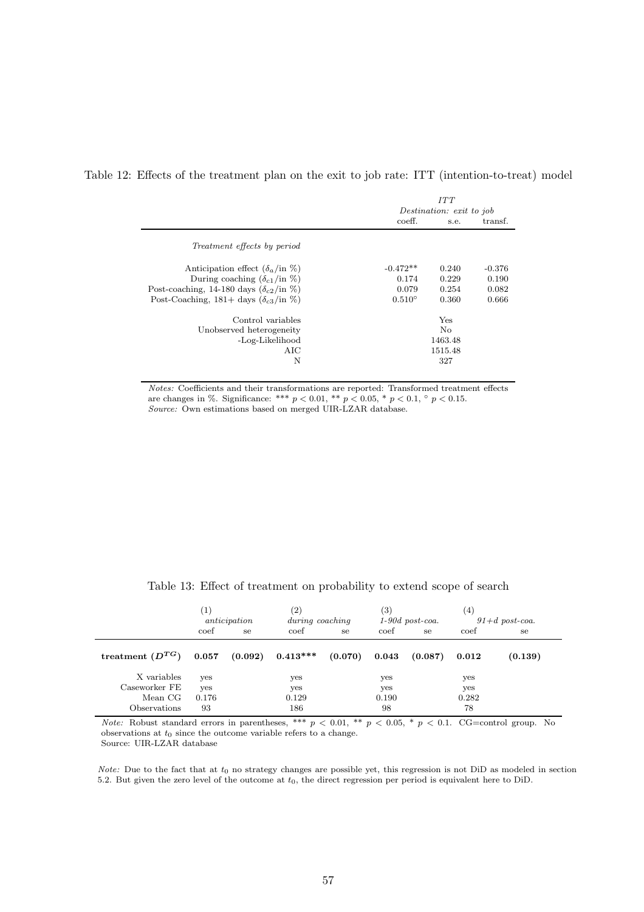Table 12: Effects of the treatment plan on the exit to job rate: ITT (intention-to-treat) model

|                                                         |                 | ITT<br>Destination: exit to job |          |  |  |  |  |
|---------------------------------------------------------|-----------------|---------------------------------|----------|--|--|--|--|
|                                                         | coeff.          | s.e.                            | transf.  |  |  |  |  |
| <i>Treatment effects by period</i>                      |                 |                                 |          |  |  |  |  |
| Anticipation effect $(\delta_a$ /in $\%)$               | $-0.472**$      | 0.240                           | $-0.376$ |  |  |  |  |
| During coaching $(\delta_{c1}/\text{in }\%)$            | 0.174           | 0.229                           | 0.190    |  |  |  |  |
| Post-coaching, 14-180 days $(\delta_{c2}/\text{in }\%)$ | 0.079           | 0.254                           | 0.082    |  |  |  |  |
| Post-Coaching, 181+ days $(\delta_{c3}/\text{in }\%)$   | $0.510^{\circ}$ | 0.360                           | 0.666    |  |  |  |  |
| Control variables                                       |                 | Yes                             |          |  |  |  |  |
| Unobserved heterogeneity                                |                 | No                              |          |  |  |  |  |
| -Log-Likelihood                                         |                 | 1463.48                         |          |  |  |  |  |
| AIC                                                     |                 | 1515.48                         |          |  |  |  |  |
| N                                                       |                 | 327                             |          |  |  |  |  |
|                                                         |                 |                                 |          |  |  |  |  |

Notes: Coefficients and their transformations are reported: Transformed treatment effects are changes in %. Significance: \*\*\*  $p < 0.01$ , \*\*  $p < 0.05$ , \*  $p < 0.1$ ,  $\circ$   $p < 0.15$ . Source: Own estimations based on merged UIR-LZAR database.

|                              | $\mathbf{1}^{\prime}$<br>anticipation |    | $\left( 2\right)$<br>during coaching |         | $\left( 3\right)$<br>$1-90d$ post-coa. |         | (4)<br>$91+d$ post-coa. |         |
|------------------------------|---------------------------------------|----|--------------------------------------|---------|----------------------------------------|---------|-------------------------|---------|
|                              | coef                                  | se | coef                                 | se.     | coef                                   | se      | coef                    | se      |
| treatment $(D^{TG})$         | 0.057                                 |    | $(0.092)$ $0.413***$                 | (0.070) | $\bf 0.043$                            | (0.087) | 0.012                   | (0.139) |
| X variables<br>Caseworker FE | yes                                   |    | yes                                  |         | yes                                    |         | yes                     |         |
| Mean CG                      | yes<br>0.176                          |    | yes<br>0.129                         |         | yes<br>0.190                           |         | yes<br>0.282            |         |
| Observations                 | 93                                    |    | 186                                  |         | 98                                     |         | 78                      |         |

Table 13: Effect of treatment on probability to extend scope of search

Note: Robust standard errors in parentheses, \*\*\*  $p < 0.01$ , \*\*  $p < 0.05$ , \*  $p < 0.1$ . CG=control group. No observations at  $t_0$  since the outcome variable refers to a change. Source: UIR-LZAR database

Note: Due to the fact that at  $t_0$  no strategy changes are possible yet, this regression is not DiD as modeled in section 5.2. But given the zero level of the outcome at  $t_0$ , the direct regression per period is equivalent here to DiD.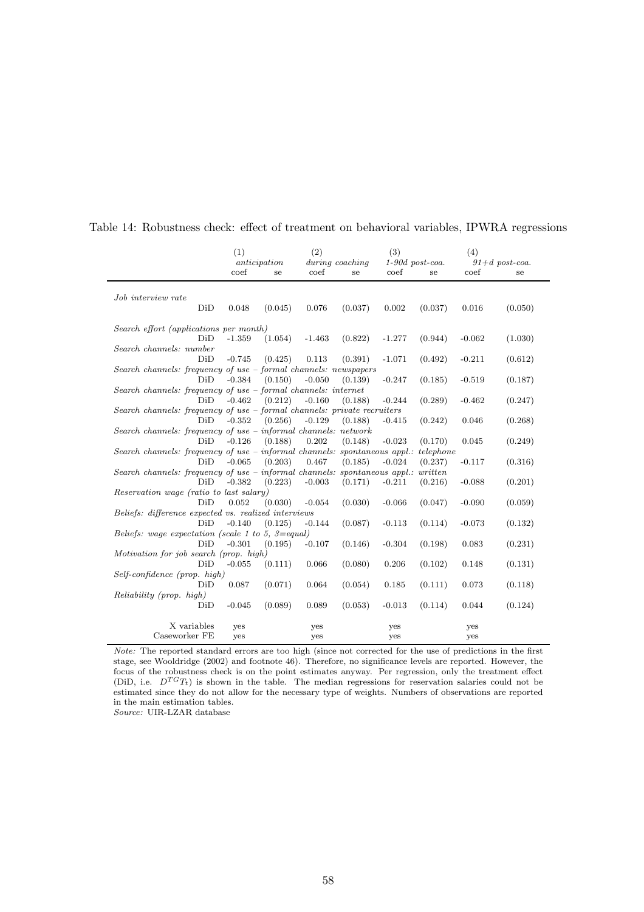|                                                                                     | (1)      |              | (2)      |                 | (3)      |                   | (4)      |                  |  |
|-------------------------------------------------------------------------------------|----------|--------------|----------|-----------------|----------|-------------------|----------|------------------|--|
|                                                                                     |          | anticipation |          | during coaching |          | $1-90d$ post-coa. |          | $91+d$ post-coa. |  |
|                                                                                     | coef     | se           | coef     | se              | coef     | se                | coef     | se               |  |
| Job interview rate                                                                  |          |              |          |                 |          |                   |          |                  |  |
| DiD                                                                                 | 0.048    | (0.045)      | 0.076    | (0.037)         | 0.002    | (0.037)           | 0.016    | (0.050)          |  |
| Search effort (applications per month)                                              |          |              |          |                 |          |                   |          |                  |  |
| DiD                                                                                 | $-1.359$ | (1.054)      | $-1.463$ | (0.822)         | $-1.277$ | (0.944)           | $-0.062$ | (1.030)          |  |
| Search channels: number                                                             |          |              |          |                 |          |                   |          |                  |  |
| DiD                                                                                 | $-0.745$ | (0.425)      | 0.113    | (0.391)         | $-1.071$ | (0.492)           | $-0.211$ | (0.612)          |  |
| Search channels: frequency of use $-$ formal channels: newspapers                   |          |              |          |                 |          |                   |          |                  |  |
| DiD                                                                                 | $-0.384$ | (0.150)      | $-0.050$ | (0.139)         | $-0.247$ | (0.185)           | $-0.519$ | (0.187)          |  |
| Search channels: frequency of use - formal channels: internet                       |          |              |          |                 |          |                   |          |                  |  |
| DiD                                                                                 | $-0.462$ | (0.212)      | $-0.160$ | (0.188)         | $-0.244$ | (0.289)           | $-0.462$ | (0.247)          |  |
| Search channels: frequency of use $-$ formal channels: private recruiters           |          |              |          |                 |          |                   |          |                  |  |
| DiD                                                                                 | $-0.352$ | (0.256)      | $-0.129$ | (0.188)         | $-0.415$ | (0.242)           | 0.046    | (0.268)          |  |
| Search channels: frequency of use $-$ informal channels: network                    |          |              |          |                 |          |                   |          |                  |  |
| DiD                                                                                 | $-0.126$ | (0.188)      | 0.202    | (0.148)         | $-0.023$ | (0.170)           | 0.045    | (0.249)          |  |
| Search channels: frequency of use – informal channels: spontaneous appl.: telephone |          |              |          |                 |          |                   |          |                  |  |
| DiD                                                                                 | $-0.065$ | (0.203)      | 0.467    | (0.185)         | $-0.024$ | (0.237)           | $-0.117$ | (0.316)          |  |
| Search channels: frequency of use – informal channels: spontaneous appl.: written   |          |              |          |                 |          |                   |          |                  |  |
| DiD                                                                                 | $-0.382$ | (0.223)      | $-0.003$ | (0.171)         | $-0.211$ | (0.216)           | $-0.088$ | (0.201)          |  |
| Reservation wage (ratio to last salary)                                             |          |              |          |                 |          |                   |          |                  |  |
| DiD                                                                                 | 0.052    | (0.030)      | $-0.054$ | (0.030)         | $-0.066$ | (0.047)           | $-0.090$ | (0.059)          |  |
| Beliefs: difference expected vs. realized interviews                                |          |              |          |                 |          |                   |          |                  |  |
| DiD                                                                                 | $-0.140$ | (0.125)      | $-0.144$ | (0.087)         | $-0.113$ | (0.114)           | $-0.073$ | (0.132)          |  |
| Beliefs: wage expectation (scale 1 to 5, 3=equal)                                   |          |              |          |                 |          |                   |          |                  |  |
| DiD                                                                                 | $-0.301$ | (0.195)      | $-0.107$ | (0.146)         | $-0.304$ | (0.198)           | 0.083    | (0.231)          |  |
| Motivation for job search (prop. high)                                              |          |              |          |                 |          |                   |          |                  |  |
| DiD                                                                                 | $-0.055$ | (0.111)      | 0.066    | (0.080)         | 0.206    | (0.102)           | 0.148    | (0.131)          |  |
| $Self-confidence$ (prop. high)                                                      |          |              |          |                 |          |                   |          |                  |  |
| DiD                                                                                 | 0.087    | (0.071)      | 0.064    | (0.054)         | 0.185    | (0.111)           | 0.073    | (0.118)          |  |
| Reliability (prop. high)                                                            |          |              |          |                 |          |                   |          |                  |  |
| DiD                                                                                 | $-0.045$ | (0.089)      | 0.089    | (0.053)         | $-0.013$ | (0.114)           | 0.044    | (0.124)          |  |
| X variables                                                                         | yes      |              | yes      |                 | yes      |                   | yes      |                  |  |
| Caseworker FE                                                                       | yes      |              | yes      |                 | yes      |                   | yes      |                  |  |

#### Table 14: Robustness check: effect of treatment on behavioral variables, IPWRA regressions

Note: The reported standard errors are too high (since not corrected for the use of predictions in the first stage, see Wooldridge (2002) and footnote 46). Therefore, no significance levels are reported. However, the focus of the robustness check is on the point estimates anyway. Per regression, only the treatment effect (DiD, i.e.  $D^{TG}T_t$ ) is shown in the table. The median regressions for reservation salaries could not be estimated since they do not allow for the necessary type of weights. Numbers of observations are reported in the main estimation tables.

 $Source:$  UIR-LZAR database